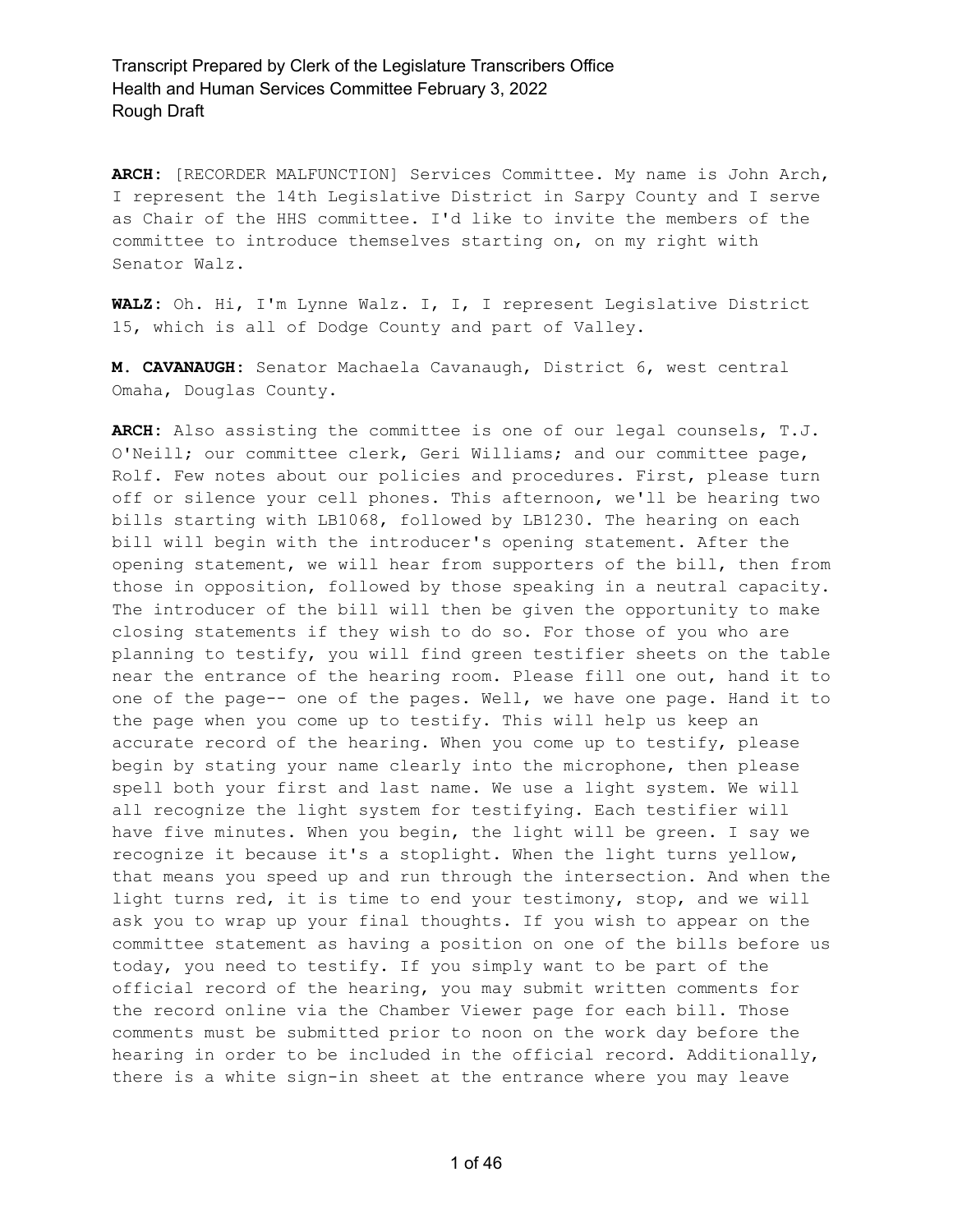**ARCH:** [RECORDER MALFUNCTION] Services Committee. My name is John Arch, I represent the 14th Legislative District in Sarpy County and I serve as Chair of the HHS committee. I'd like to invite the members of the committee to introduce themselves starting on, on my right with Senator Walz.

**WALZ:** Oh. Hi, I'm Lynne Walz. I, I, I represent Legislative District 15, which is all of Dodge County and part of Valley.

**M. CAVANAUGH:** Senator Machaela Cavanaugh, District 6, west central Omaha, Douglas County.

**ARCH:** Also assisting the committee is one of our legal counsels, T.J. O'Neill; our committee clerk, Geri Williams; and our committee page, Rolf. Few notes about our policies and procedures. First, please turn off or silence your cell phones. This afternoon, we'll be hearing two bills starting with LB1068, followed by LB1230. The hearing on each bill will begin with the introducer's opening statement. After the opening statement, we will hear from supporters of the bill, then from those in opposition, followed by those speaking in a neutral capacity. The introducer of the bill will then be given the opportunity to make closing statements if they wish to do so. For those of you who are planning to testify, you will find green testifier sheets on the table near the entrance of the hearing room. Please fill one out, hand it to one of the page-- one of the pages. Well, we have one page. Hand it to the page when you come up to testify. This will help us keep an accurate record of the hearing. When you come up to testify, please begin by stating your name clearly into the microphone, then please spell both your first and last name. We use a light system. We will all recognize the light system for testifying. Each testifier will have five minutes. When you begin, the light will be green. I say we recognize it because it's a stoplight. When the light turns yellow, that means you speed up and run through the intersection. And when the light turns red, it is time to end your testimony, stop, and we will ask you to wrap up your final thoughts. If you wish to appear on the committee statement as having a position on one of the bills before us today, you need to testify. If you simply want to be part of the official record of the hearing, you may submit written comments for the record online via the Chamber Viewer page for each bill. Those comments must be submitted prior to noon on the work day before the hearing in order to be included in the official record. Additionally, there is a white sign-in sheet at the entrance where you may leave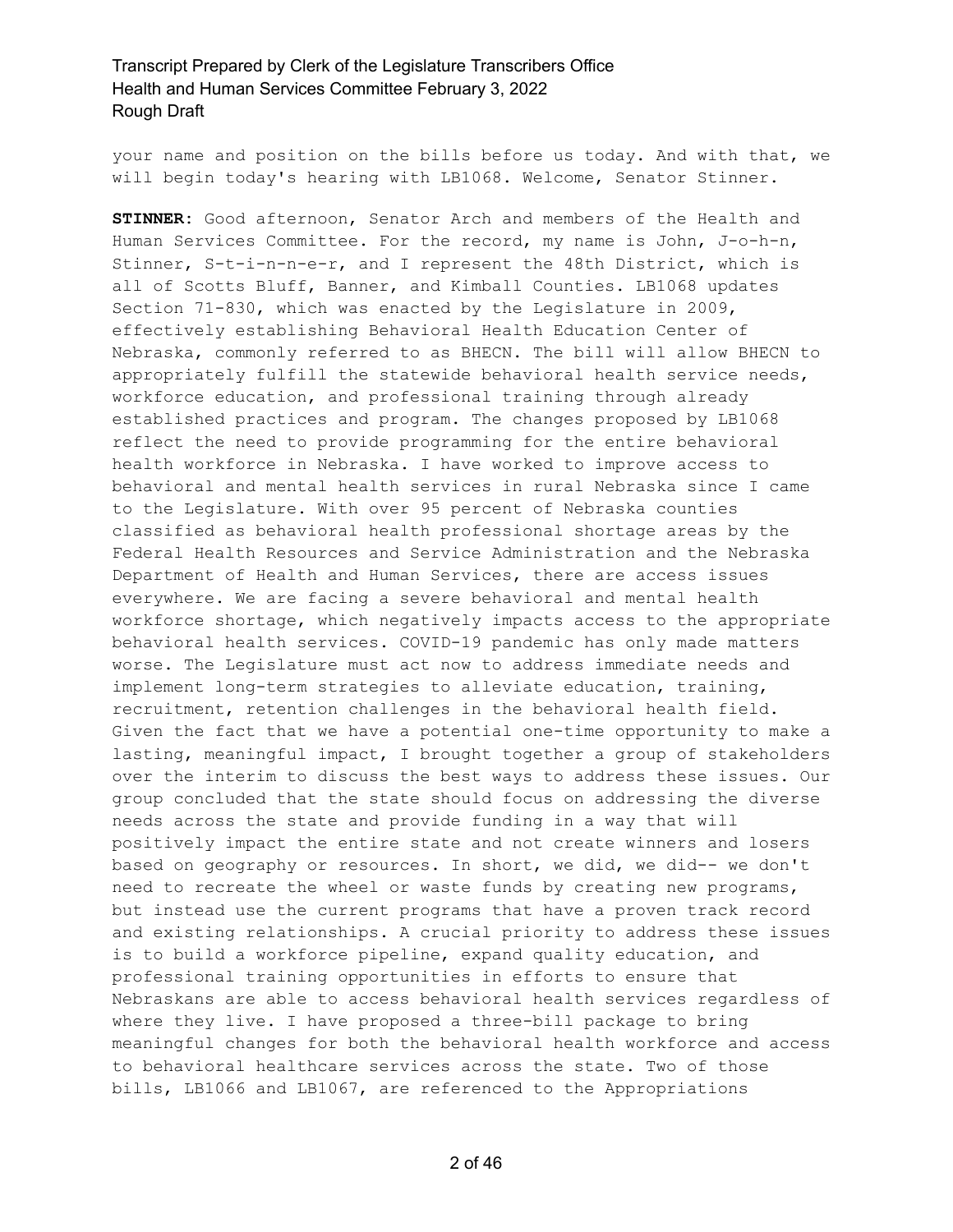your name and position on the bills before us today. And with that, we will begin today's hearing with LB1068. Welcome, Senator Stinner.

**STINNER:** Good afternoon, Senator Arch and members of the Health and Human Services Committee. For the record, my name is John, J-o-h-n, Stinner, S-t-i-n-n-e-r, and I represent the 48th District, which is all of Scotts Bluff, Banner, and Kimball Counties. LB1068 updates Section 71-830, which was enacted by the Legislature in 2009, effectively establishing Behavioral Health Education Center of Nebraska, commonly referred to as BHECN. The bill will allow BHECN to appropriately fulfill the statewide behavioral health service needs, workforce education, and professional training through already established practices and program. The changes proposed by LB1068 reflect the need to provide programming for the entire behavioral health workforce in Nebraska. I have worked to improve access to behavioral and mental health services in rural Nebraska since I came to the Legislature. With over 95 percent of Nebraska counties classified as behavioral health professional shortage areas by the Federal Health Resources and Service Administration and the Nebraska Department of Health and Human Services, there are access issues everywhere. We are facing a severe behavioral and mental health workforce shortage, which negatively impacts access to the appropriate behavioral health services. COVID-19 pandemic has only made matters worse. The Legislature must act now to address immediate needs and implement long-term strategies to alleviate education, training, recruitment, retention challenges in the behavioral health field. Given the fact that we have a potential one-time opportunity to make a lasting, meaningful impact, I brought together a group of stakeholders over the interim to discuss the best ways to address these issues. Our group concluded that the state should focus on addressing the diverse needs across the state and provide funding in a way that will positively impact the entire state and not create winners and losers based on geography or resources. In short, we did, we did-- we don't need to recreate the wheel or waste funds by creating new programs, but instead use the current programs that have a proven track record and existing relationships. A crucial priority to address these issues is to build a workforce pipeline, expand quality education, and professional training opportunities in efforts to ensure that Nebraskans are able to access behavioral health services regardless of where they live. I have proposed a three-bill package to bring meaningful changes for both the behavioral health workforce and access to behavioral healthcare services across the state. Two of those bills, LB1066 and LB1067, are referenced to the Appropriations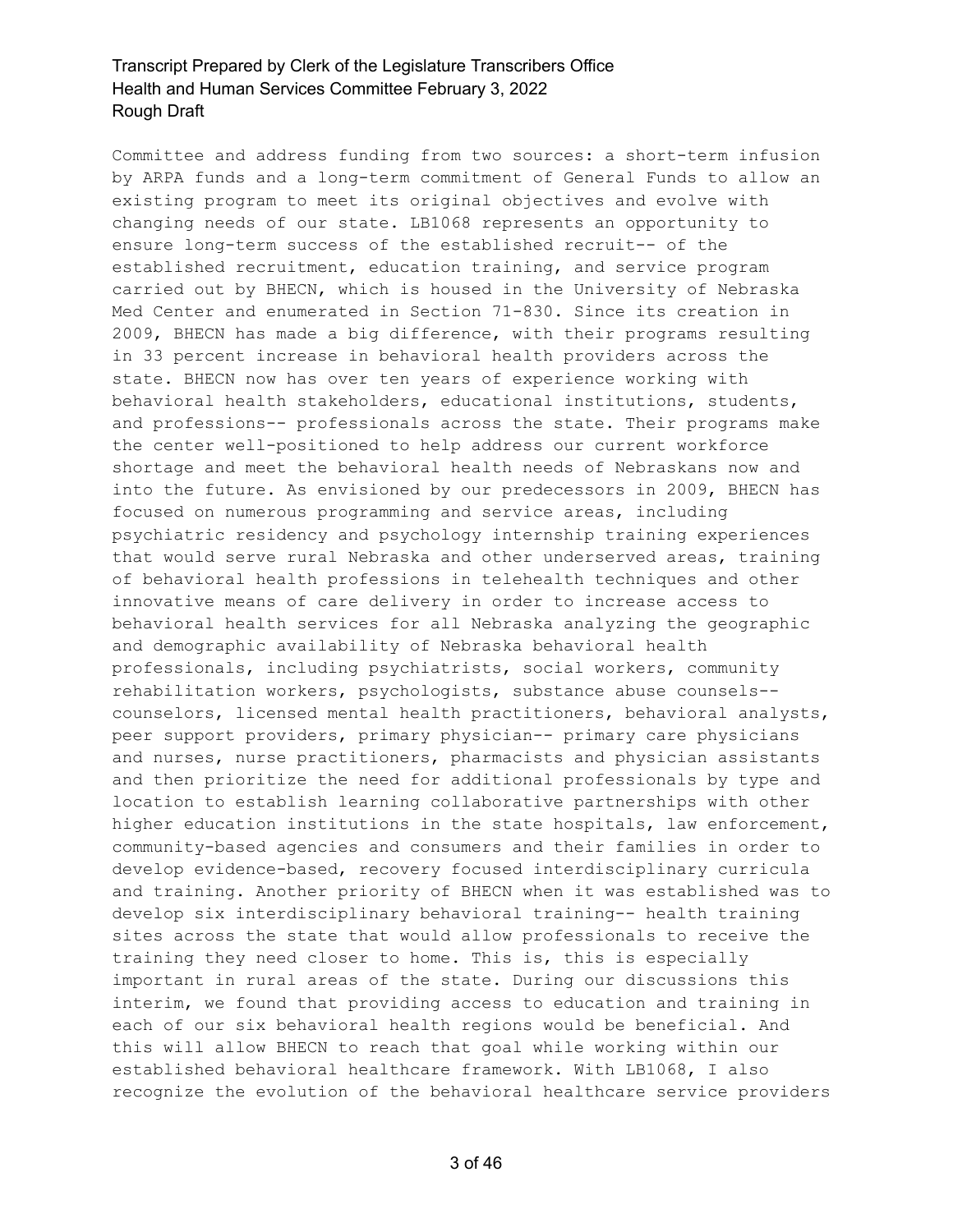Committee and address funding from two sources: a short-term infusion by ARPA funds and a long-term commitment of General Funds to allow an existing program to meet its original objectives and evolve with changing needs of our state. LB1068 represents an opportunity to ensure long-term success of the established recruit-- of the established recruitment, education training, and service program carried out by BHECN, which is housed in the University of Nebraska Med Center and enumerated in Section 71-830. Since its creation in 2009, BHECN has made a big difference, with their programs resulting in 33 percent increase in behavioral health providers across the state. BHECN now has over ten years of experience working with behavioral health stakeholders, educational institutions, students, and professions-- professionals across the state. Their programs make the center well-positioned to help address our current workforce shortage and meet the behavioral health needs of Nebraskans now and into the future. As envisioned by our predecessors in 2009, BHECN has focused on numerous programming and service areas, including psychiatric residency and psychology internship training experiences that would serve rural Nebraska and other underserved areas, training of behavioral health professions in telehealth techniques and other innovative means of care delivery in order to increase access to behavioral health services for all Nebraska analyzing the geographic and demographic availability of Nebraska behavioral health professionals, including psychiatrists, social workers, community rehabilitation workers, psychologists, substance abuse counsels- counselors, licensed mental health practitioners, behavioral analysts, peer support providers, primary physician-- primary care physicians and nurses, nurse practitioners, pharmacists and physician assistants and then prioritize the need for additional professionals by type and location to establish learning collaborative partnerships with other higher education institutions in the state hospitals, law enforcement, community-based agencies and consumers and their families in order to develop evidence-based, recovery focused interdisciplinary curricula and training. Another priority of BHECN when it was established was to develop six interdisciplinary behavioral training-- health training sites across the state that would allow professionals to receive the training they need closer to home. This is, this is especially important in rural areas of the state. During our discussions this interim, we found that providing access to education and training in each of our six behavioral health regions would be beneficial. And this will allow BHECN to reach that goal while working within our established behavioral healthcare framework. With LB1068, I also recognize the evolution of the behavioral healthcare service providers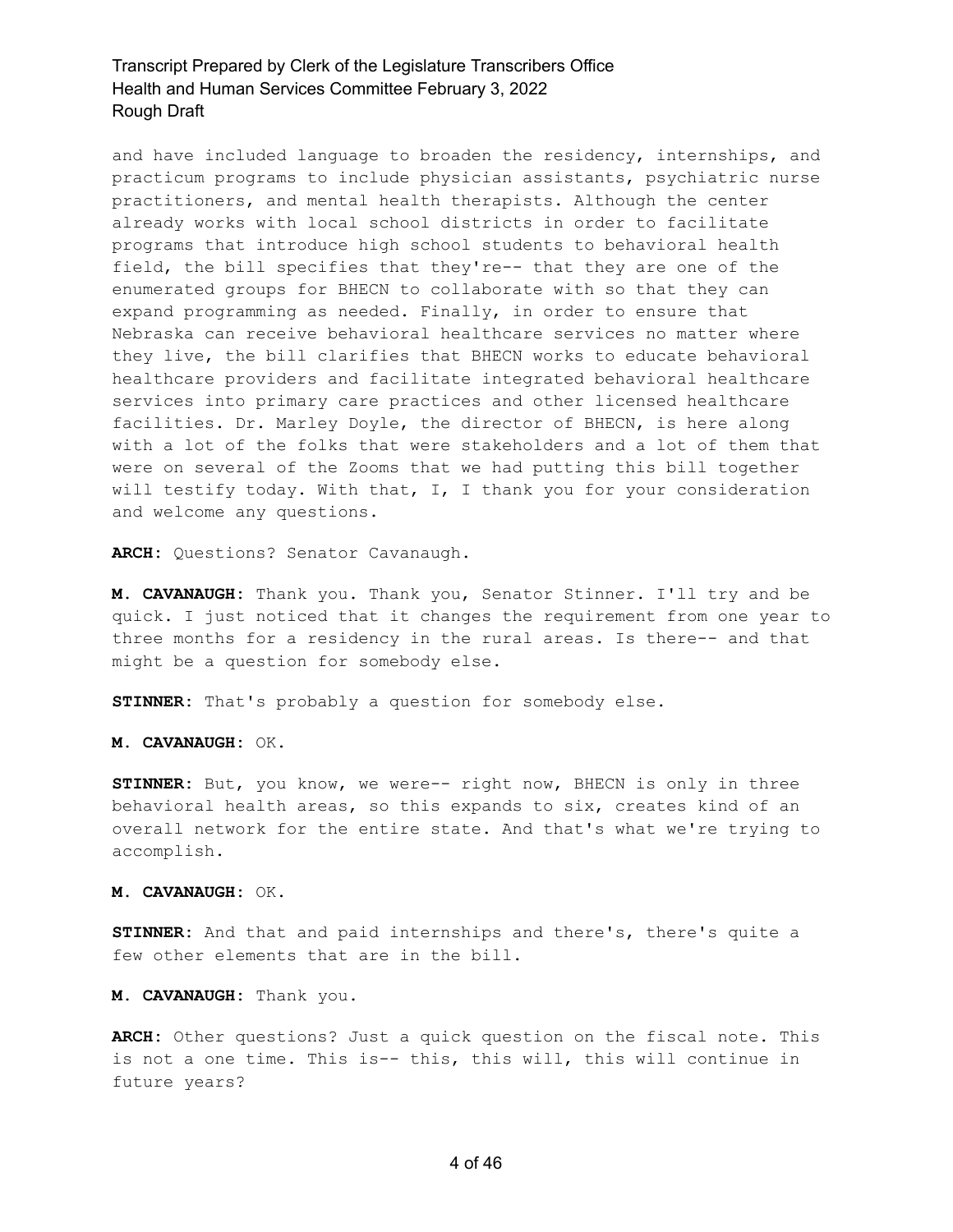and have included language to broaden the residency, internships, and practicum programs to include physician assistants, psychiatric nurse practitioners, and mental health therapists. Although the center already works with local school districts in order to facilitate programs that introduce high school students to behavioral health field, the bill specifies that they're-- that they are one of the enumerated groups for BHECN to collaborate with so that they can expand programming as needed. Finally, in order to ensure that Nebraska can receive behavioral healthcare services no matter where they live, the bill clarifies that BHECN works to educate behavioral healthcare providers and facilitate integrated behavioral healthcare services into primary care practices and other licensed healthcare facilities. Dr. Marley Doyle, the director of BHECN, is here along with a lot of the folks that were stakeholders and a lot of them that were on several of the Zooms that we had putting this bill together will testify today. With that, I, I thank you for your consideration and welcome any questions.

**ARCH:** Questions? Senator Cavanaugh.

**M. CAVANAUGH:** Thank you. Thank you, Senator Stinner. I'll try and be quick. I just noticed that it changes the requirement from one year to three months for a residency in the rural areas. Is there-- and that might be a question for somebody else.

**STINNER:** That's probably a question for somebody else.

**M. CAVANAUGH:** OK.

**STINNER:** But, you know, we were-- right now, BHECN is only in three behavioral health areas, so this expands to six, creates kind of an overall network for the entire state. And that's what we're trying to accomplish.

**M. CAVANAUGH:** OK.

**STINNER:** And that and paid internships and there's, there's quite a few other elements that are in the bill.

**M. CAVANAUGH:** Thank you.

**ARCH:** Other questions? Just a quick question on the fiscal note. This is not a one time. This is-- this, this will, this will continue in future years?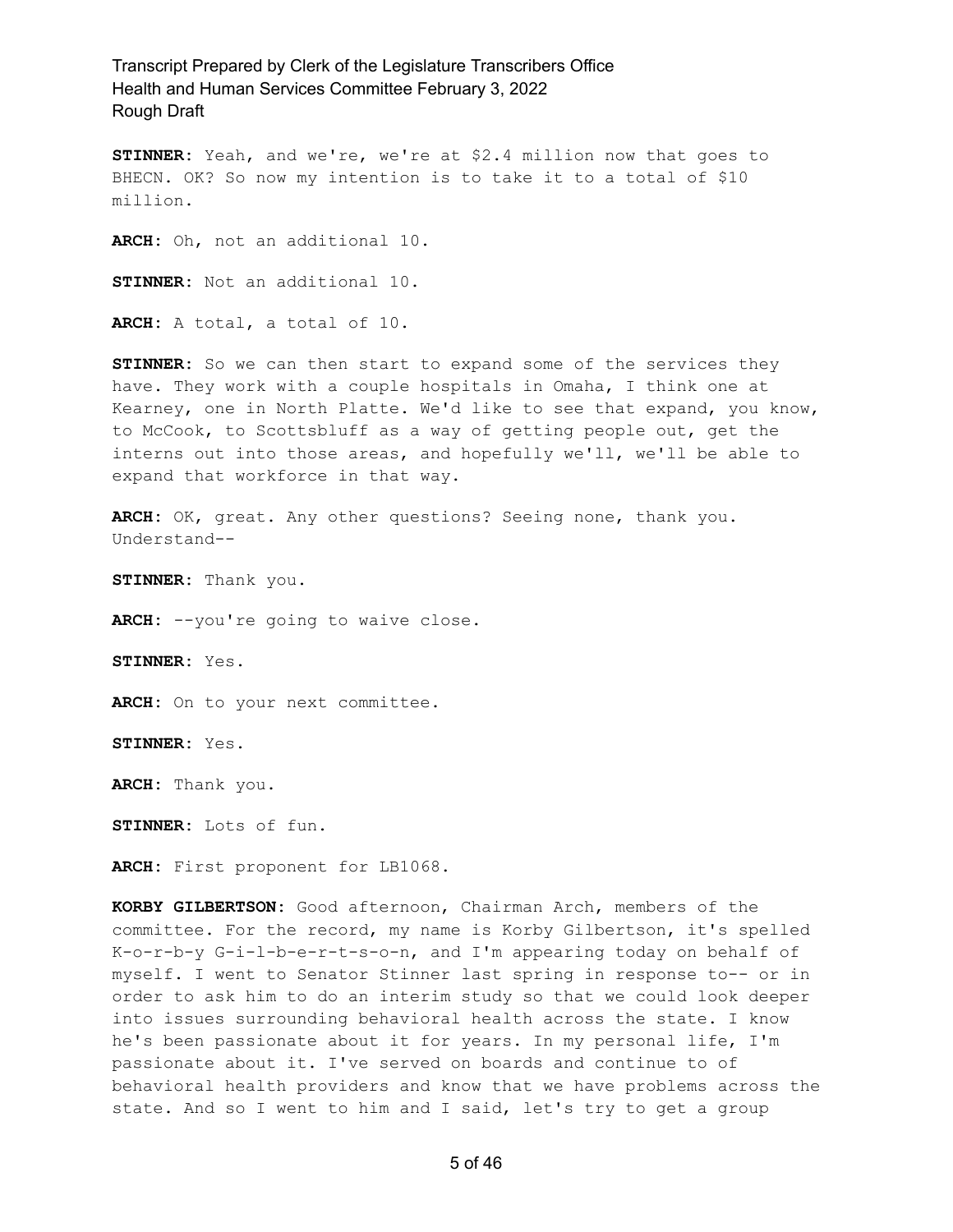**STINNER:** Yeah, and we're, we're at \$2.4 million now that goes to BHECN. OK? So now my intention is to take it to a total of \$10 million.

**ARCH:** Oh, not an additional 10.

**STINNER:** Not an additional 10.

**ARCH:** A total, a total of 10.

**STINNER:** So we can then start to expand some of the services they have. They work with a couple hospitals in Omaha, I think one at Kearney, one in North Platte. We'd like to see that expand, you know, to McCook, to Scottsbluff as a way of getting people out, get the interns out into those areas, and hopefully we'll, we'll be able to expand that workforce in that way.

**ARCH:** OK, great. Any other questions? Seeing none, thank you. Understand--

**STINNER:** Thank you.

**ARCH:** --you're going to waive close.

**STINNER:** Yes.

ARCH: On to your next committee.

**STINNER:** Yes.

**ARCH:** Thank you.

**STINNER:** Lots of fun.

**ARCH:** First proponent for LB1068.

**KORBY GILBERTSON:** Good afternoon, Chairman Arch, members of the committee. For the record, my name is Korby Gilbertson, it's spelled K-o-r-b-y G-i-l-b-e-r-t-s-o-n, and I'm appearing today on behalf of myself. I went to Senator Stinner last spring in response to-- or in order to ask him to do an interim study so that we could look deeper into issues surrounding behavioral health across the state. I know he's been passionate about it for years. In my personal life, I'm passionate about it. I've served on boards and continue to of behavioral health providers and know that we have problems across the state. And so I went to him and I said, let's try to get a group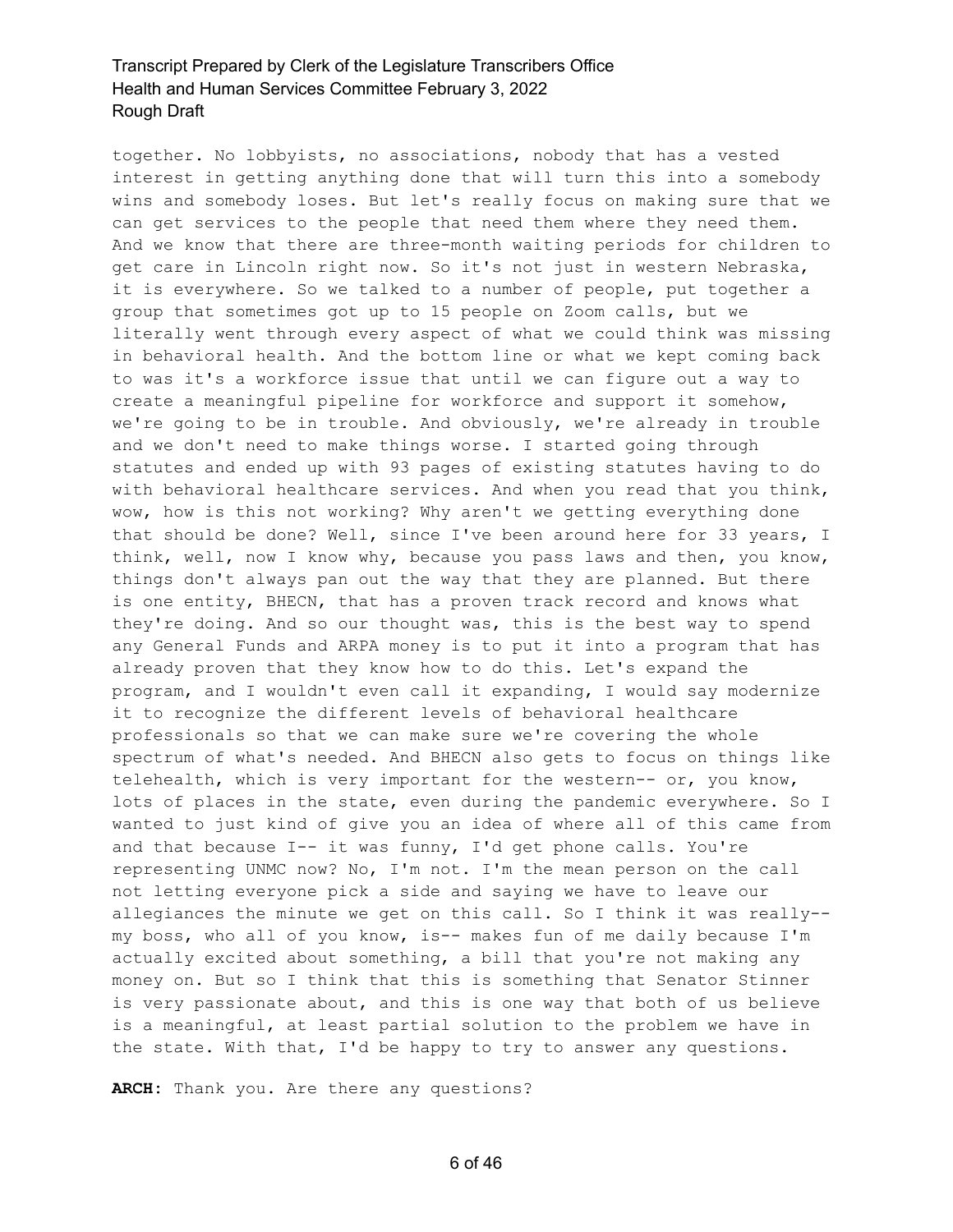together. No lobbyists, no associations, nobody that has a vested interest in getting anything done that will turn this into a somebody wins and somebody loses. But let's really focus on making sure that we can get services to the people that need them where they need them. And we know that there are three-month waiting periods for children to get care in Lincoln right now. So it's not just in western Nebraska, it is everywhere. So we talked to a number of people, put together a group that sometimes got up to 15 people on Zoom calls, but we literally went through every aspect of what we could think was missing in behavioral health. And the bottom line or what we kept coming back to was it's a workforce issue that until we can figure out a way to create a meaningful pipeline for workforce and support it somehow, we're going to be in trouble. And obviously, we're already in trouble and we don't need to make things worse. I started going through statutes and ended up with 93 pages of existing statutes having to do with behavioral healthcare services. And when you read that you think, wow, how is this not working? Why aren't we getting everything done that should be done? Well, since I've been around here for 33 years, I think, well, now I know why, because you pass laws and then, you know, things don't always pan out the way that they are planned. But there is one entity, BHECN, that has a proven track record and knows what they're doing. And so our thought was, this is the best way to spend any General Funds and ARPA money is to put it into a program that has already proven that they know how to do this. Let's expand the program, and I wouldn't even call it expanding, I would say modernize it to recognize the different levels of behavioral healthcare professionals so that we can make sure we're covering the whole spectrum of what's needed. And BHECN also gets to focus on things like telehealth, which is very important for the western-- or, you know, lots of places in the state, even during the pandemic everywhere. So I wanted to just kind of give you an idea of where all of this came from and that because I-- it was funny, I'd get phone calls. You're representing UNMC now? No, I'm not. I'm the mean person on the call not letting everyone pick a side and saying we have to leave our allegiances the minute we get on this call. So I think it was really- my boss, who all of you know, is-- makes fun of me daily because I'm actually excited about something, a bill that you're not making any money on. But so I think that this is something that Senator Stinner is very passionate about, and this is one way that both of us believe is a meaningful, at least partial solution to the problem we have in the state. With that, I'd be happy to try to answer any questions.

**ARCH:** Thank you. Are there any questions?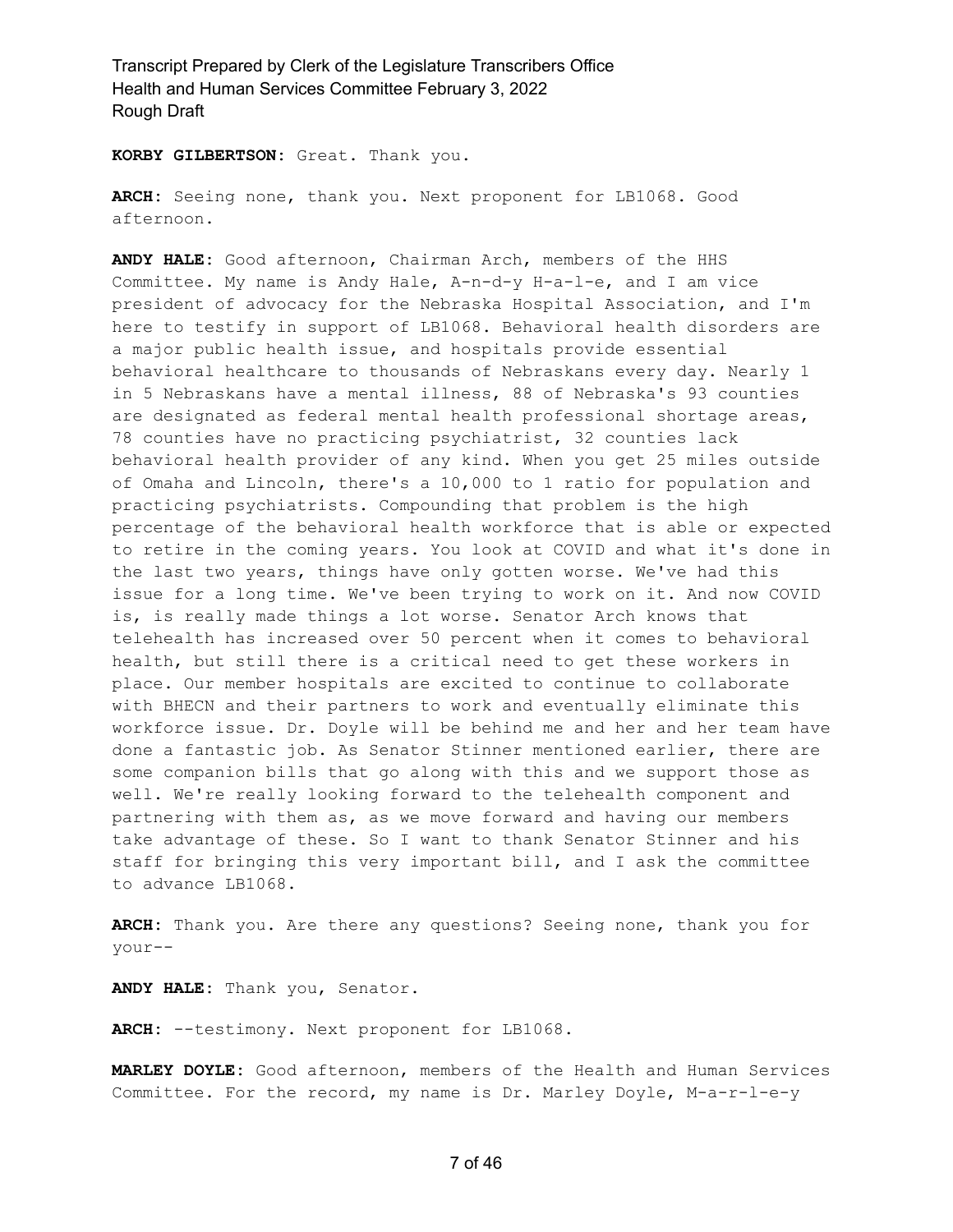**KORBY GILBERTSON:** Great. Thank you.

**ARCH:** Seeing none, thank you. Next proponent for LB1068. Good afternoon.

**ANDY HALE:** Good afternoon, Chairman Arch, members of the HHS Committee. My name is Andy Hale, A-n-d-y H-a-l-e, and I am vice president of advocacy for the Nebraska Hospital Association, and I'm here to testify in support of LB1068. Behavioral health disorders are a major public health issue, and hospitals provide essential behavioral healthcare to thousands of Nebraskans every day. Nearly 1 in 5 Nebraskans have a mental illness, 88 of Nebraska's 93 counties are designated as federal mental health professional shortage areas, 78 counties have no practicing psychiatrist, 32 counties lack behavioral health provider of any kind. When you get 25 miles outside of Omaha and Lincoln, there's a 10,000 to 1 ratio for population and practicing psychiatrists. Compounding that problem is the high percentage of the behavioral health workforce that is able or expected to retire in the coming years. You look at COVID and what it's done in the last two years, things have only gotten worse. We've had this issue for a long time. We've been trying to work on it. And now COVID is, is really made things a lot worse. Senator Arch knows that telehealth has increased over 50 percent when it comes to behavioral health, but still there is a critical need to get these workers in place. Our member hospitals are excited to continue to collaborate with BHECN and their partners to work and eventually eliminate this workforce issue. Dr. Doyle will be behind me and her and her team have done a fantastic job. As Senator Stinner mentioned earlier, there are some companion bills that go along with this and we support those as well. We're really looking forward to the telehealth component and partnering with them as, as we move forward and having our members take advantage of these. So I want to thank Senator Stinner and his staff for bringing this very important bill, and I ask the committee to advance LB1068.

**ARCH:** Thank you. Are there any questions? Seeing none, thank you for your--

**ANDY HALE:** Thank you, Senator.

**ARCH:** --testimony. Next proponent for LB1068.

**MARLEY DOYLE:** Good afternoon, members of the Health and Human Services Committee. For the record, my name is Dr. Marley Doyle, M-a-r-l-e-y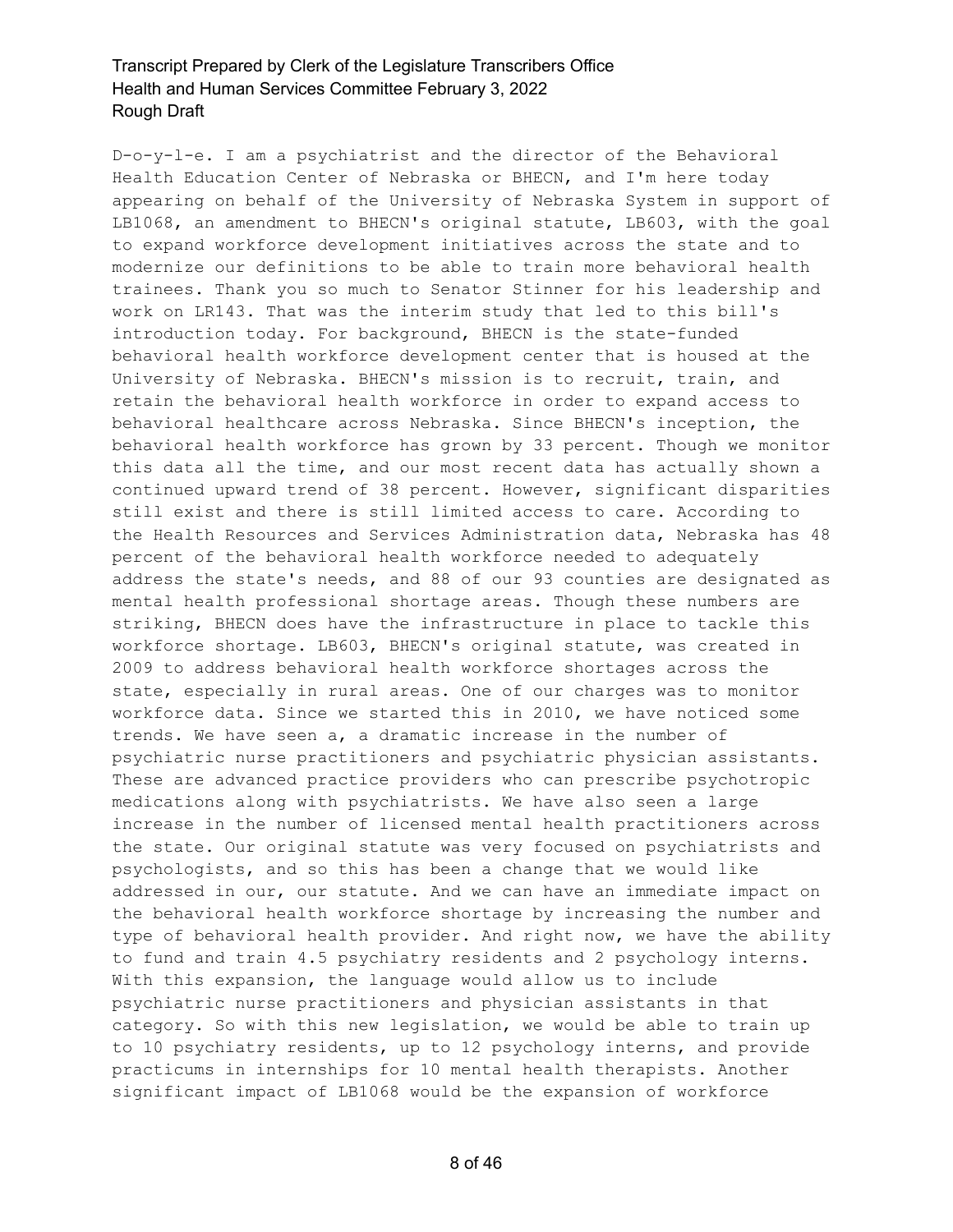D-o-y-l-e. I am a psychiatrist and the director of the Behavioral Health Education Center of Nebraska or BHECN, and I'm here today appearing on behalf of the University of Nebraska System in support of LB1068, an amendment to BHECN's original statute, LB603, with the goal to expand workforce development initiatives across the state and to modernize our definitions to be able to train more behavioral health trainees. Thank you so much to Senator Stinner for his leadership and work on LR143. That was the interim study that led to this bill's introduction today. For background, BHECN is the state-funded behavioral health workforce development center that is housed at the University of Nebraska. BHECN's mission is to recruit, train, and retain the behavioral health workforce in order to expand access to behavioral healthcare across Nebraska. Since BHECN's inception, the behavioral health workforce has grown by 33 percent. Though we monitor this data all the time, and our most recent data has actually shown a continued upward trend of 38 percent. However, significant disparities still exist and there is still limited access to care. According to the Health Resources and Services Administration data, Nebraska has 48 percent of the behavioral health workforce needed to adequately address the state's needs, and 88 of our 93 counties are designated as mental health professional shortage areas. Though these numbers are striking, BHECN does have the infrastructure in place to tackle this workforce shortage. LB603, BHECN's original statute, was created in 2009 to address behavioral health workforce shortages across the state, especially in rural areas. One of our charges was to monitor workforce data. Since we started this in 2010, we have noticed some trends. We have seen a, a dramatic increase in the number of psychiatric nurse practitioners and psychiatric physician assistants. These are advanced practice providers who can prescribe psychotropic medications along with psychiatrists. We have also seen a large increase in the number of licensed mental health practitioners across the state. Our original statute was very focused on psychiatrists and psychologists, and so this has been a change that we would like addressed in our, our statute. And we can have an immediate impact on the behavioral health workforce shortage by increasing the number and type of behavioral health provider. And right now, we have the ability to fund and train 4.5 psychiatry residents and 2 psychology interns. With this expansion, the language would allow us to include psychiatric nurse practitioners and physician assistants in that category. So with this new legislation, we would be able to train up to 10 psychiatry residents, up to 12 psychology interns, and provide practicums in internships for 10 mental health therapists. Another significant impact of LB1068 would be the expansion of workforce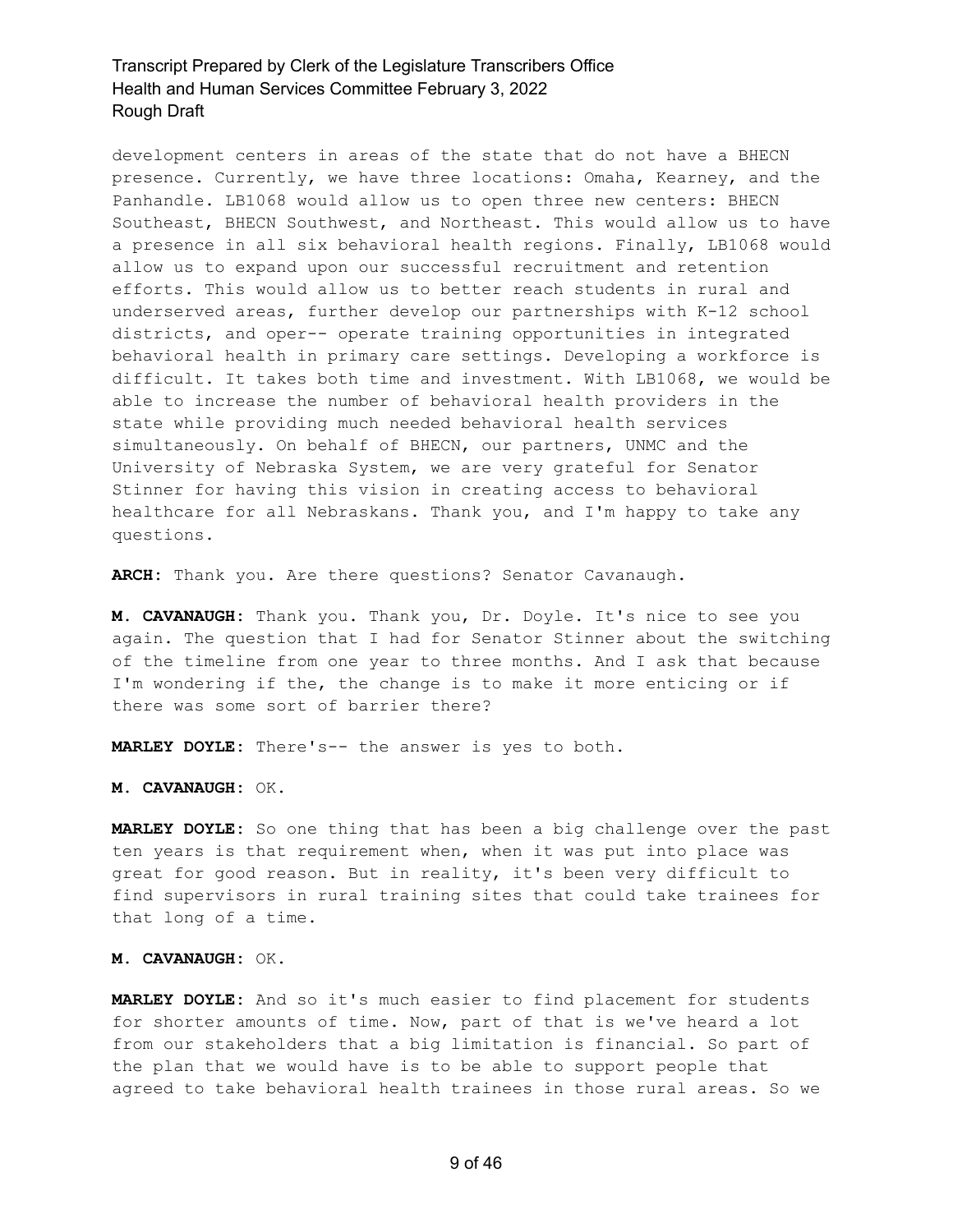development centers in areas of the state that do not have a BHECN presence. Currently, we have three locations: Omaha, Kearney, and the Panhandle. LB1068 would allow us to open three new centers: BHECN Southeast, BHECN Southwest, and Northeast. This would allow us to have a presence in all six behavioral health regions. Finally, LB1068 would allow us to expand upon our successful recruitment and retention efforts. This would allow us to better reach students in rural and underserved areas, further develop our partnerships with K-12 school districts, and oper-- operate training opportunities in integrated behavioral health in primary care settings. Developing a workforce is difficult. It takes both time and investment. With LB1068, we would be able to increase the number of behavioral health providers in the state while providing much needed behavioral health services simultaneously. On behalf of BHECN, our partners, UNMC and the University of Nebraska System, we are very grateful for Senator Stinner for having this vision in creating access to behavioral healthcare for all Nebraskans. Thank you, and I'm happy to take any questions.

**ARCH:** Thank you. Are there questions? Senator Cavanaugh.

**M. CAVANAUGH:** Thank you. Thank you, Dr. Doyle. It's nice to see you again. The question that I had for Senator Stinner about the switching of the timeline from one year to three months. And I ask that because I'm wondering if the, the change is to make it more enticing or if there was some sort of barrier there?

**MARLEY DOYLE:** There's-- the answer is yes to both.

**M. CAVANAUGH:** OK.

**MARLEY DOYLE:** So one thing that has been a big challenge over the past ten years is that requirement when, when it was put into place was great for good reason. But in reality, it's been very difficult to find supervisors in rural training sites that could take trainees for that long of a time.

#### **M. CAVANAUGH:** OK.

**MARLEY DOYLE:** And so it's much easier to find placement for students for shorter amounts of time. Now, part of that is we've heard a lot from our stakeholders that a big limitation is financial. So part of the plan that we would have is to be able to support people that agreed to take behavioral health trainees in those rural areas. So we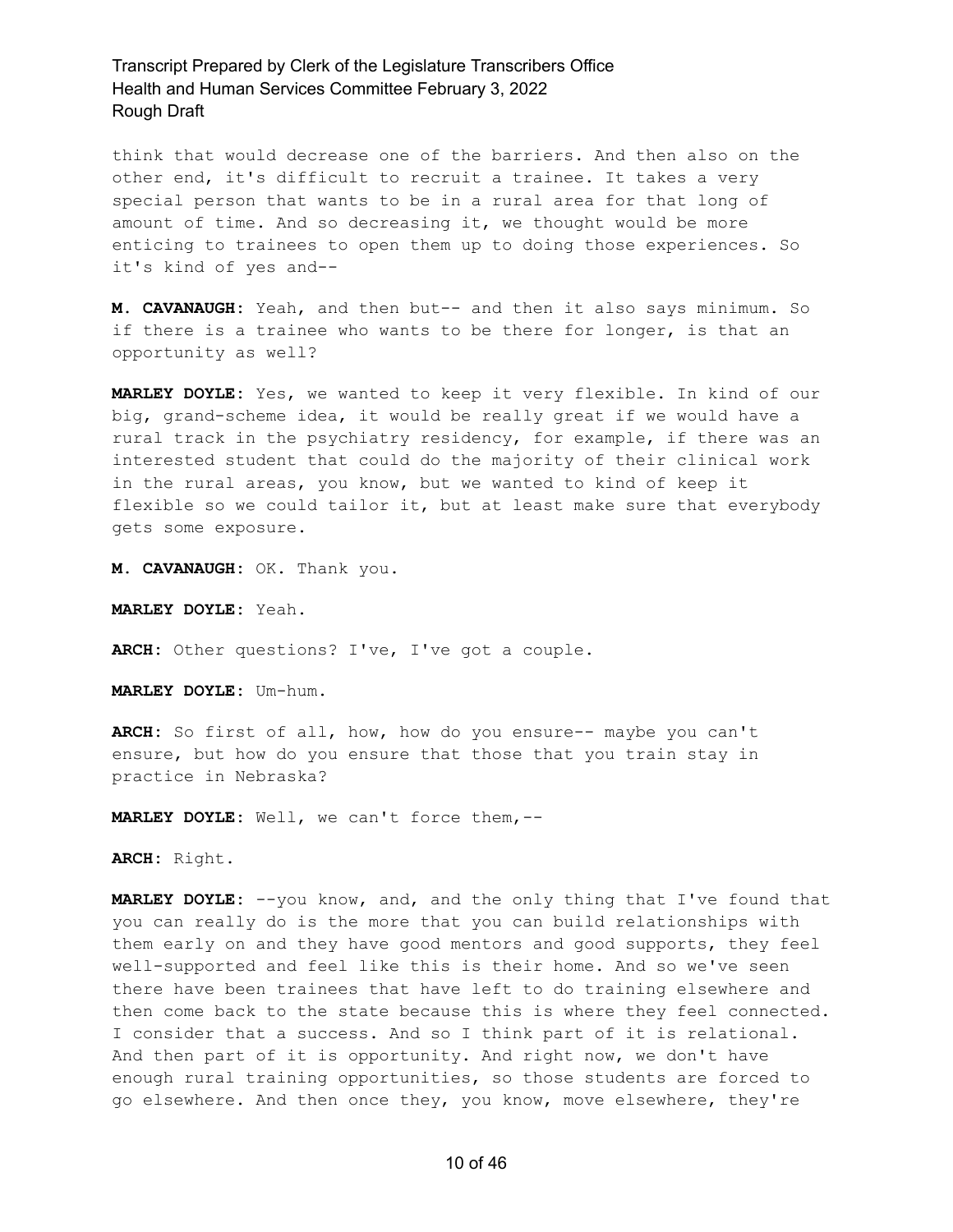think that would decrease one of the barriers. And then also on the other end, it's difficult to recruit a trainee. It takes a very special person that wants to be in a rural area for that long of amount of time. And so decreasing it, we thought would be more enticing to trainees to open them up to doing those experiences. So it's kind of yes and--

**M. CAVANAUGH:** Yeah, and then but-- and then it also says minimum. So if there is a trainee who wants to be there for longer, is that an opportunity as well?

**MARLEY DOYLE:** Yes, we wanted to keep it very flexible. In kind of our big, grand-scheme idea, it would be really great if we would have a rural track in the psychiatry residency, for example, if there was an interested student that could do the majority of their clinical work in the rural areas, you know, but we wanted to kind of keep it flexible so we could tailor it, but at least make sure that everybody gets some exposure.

**M. CAVANAUGH:** OK. Thank you.

**MARLEY DOYLE:** Yeah.

**ARCH:** Other questions? I've, I've got a couple.

**MARLEY DOYLE:** Um-hum.

**ARCH:** So first of all, how, how do you ensure-- maybe you can't ensure, but how do you ensure that those that you train stay in practice in Nebraska?

**MARLEY DOYLE:** Well, we can't force them,--

**ARCH:** Right.

**MARLEY DOYLE:** --you know, and, and the only thing that I've found that you can really do is the more that you can build relationships with them early on and they have good mentors and good supports, they feel well-supported and feel like this is their home. And so we've seen there have been trainees that have left to do training elsewhere and then come back to the state because this is where they feel connected. I consider that a success. And so I think part of it is relational. And then part of it is opportunity. And right now, we don't have enough rural training opportunities, so those students are forced to go elsewhere. And then once they, you know, move elsewhere, they're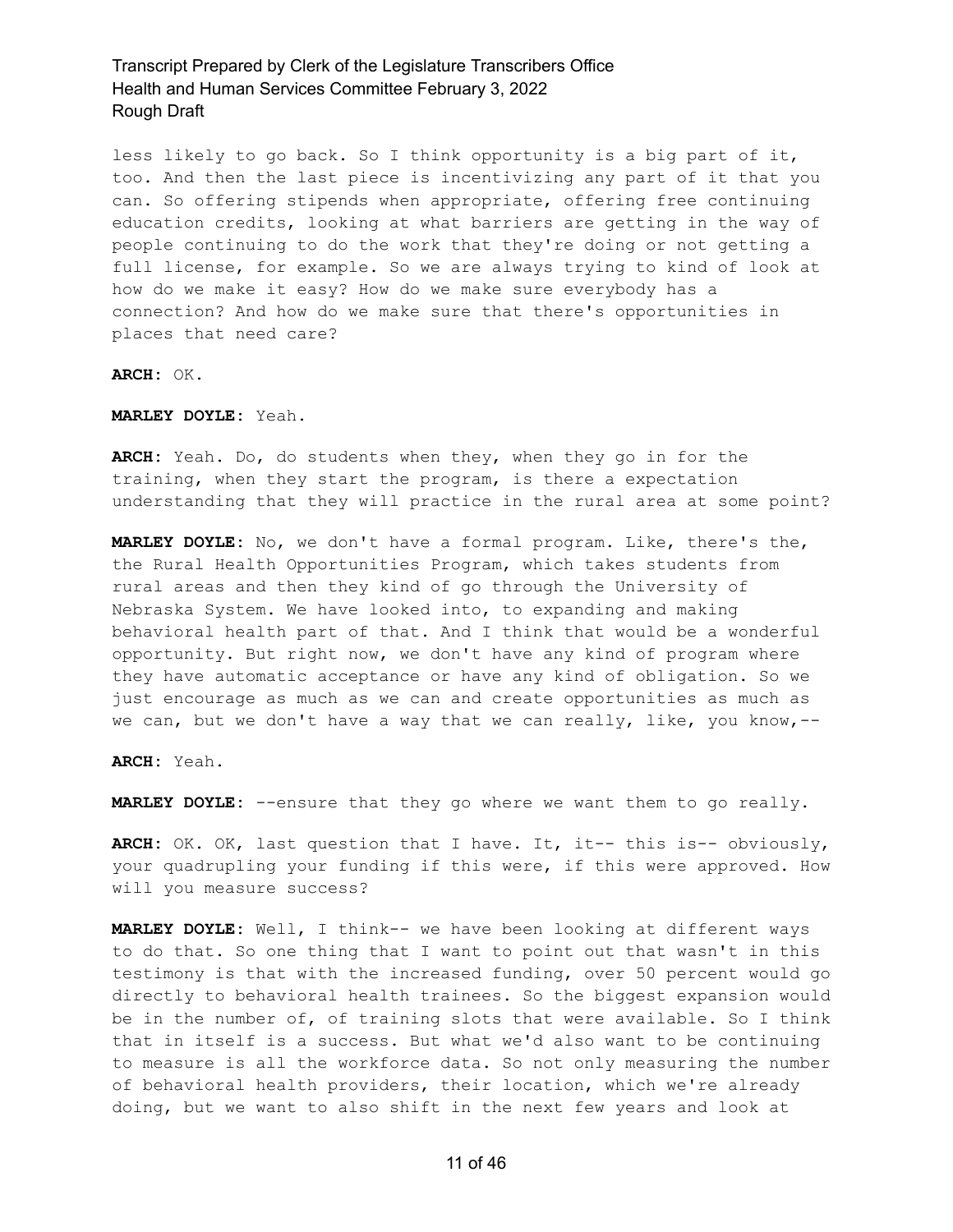less likely to go back. So I think opportunity is a big part of it, too. And then the last piece is incentivizing any part of it that you can. So offering stipends when appropriate, offering free continuing education credits, looking at what barriers are getting in the way of people continuing to do the work that they're doing or not getting a full license, for example. So we are always trying to kind of look at how do we make it easy? How do we make sure everybody has a connection? And how do we make sure that there's opportunities in places that need care?

**ARCH:** OK.

**MARLEY DOYLE:** Yeah.

**ARCH:** Yeah. Do, do students when they, when they go in for the training, when they start the program, is there a expectation understanding that they will practice in the rural area at some point?

**MARLEY DOYLE:** No, we don't have a formal program. Like, there's the, the Rural Health Opportunities Program, which takes students from rural areas and then they kind of go through the University of Nebraska System. We have looked into, to expanding and making behavioral health part of that. And I think that would be a wonderful opportunity. But right now, we don't have any kind of program where they have automatic acceptance or have any kind of obligation. So we just encourage as much as we can and create opportunities as much as we can, but we don't have a way that we can really, like, you know,--

**ARCH:** Yeah.

**MARLEY DOYLE:** --ensure that they go where we want them to go really.

**ARCH:** OK. OK, last question that I have. It, it-- this is-- obviously, your quadrupling your funding if this were, if this were approved. How will you measure success?

**MARLEY DOYLE:** Well, I think-- we have been looking at different ways to do that. So one thing that I want to point out that wasn't in this testimony is that with the increased funding, over 50 percent would go directly to behavioral health trainees. So the biggest expansion would be in the number of, of training slots that were available. So I think that in itself is a success. But what we'd also want to be continuing to measure is all the workforce data. So not only measuring the number of behavioral health providers, their location, which we're already doing, but we want to also shift in the next few years and look at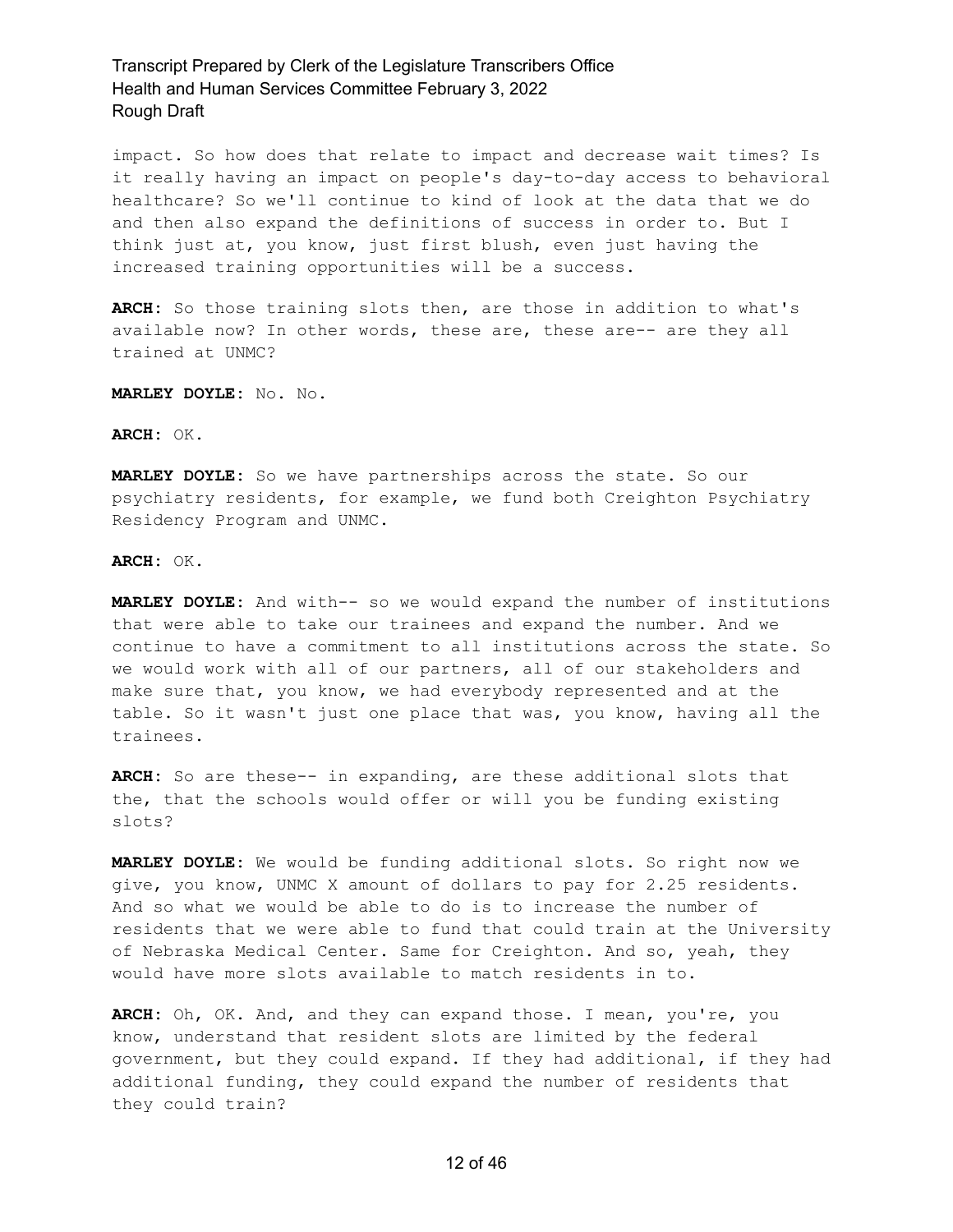impact. So how does that relate to impact and decrease wait times? Is it really having an impact on people's day-to-day access to behavioral healthcare? So we'll continue to kind of look at the data that we do and then also expand the definitions of success in order to. But I think just at, you know, just first blush, even just having the increased training opportunities will be a success.

**ARCH:** So those training slots then, are those in addition to what's available now? In other words, these are, these are-- are they all trained at UNMC?

**MARLEY DOYLE:** No. No.

#### **ARCH:** OK.

**MARLEY DOYLE:** So we have partnerships across the state. So our psychiatry residents, for example, we fund both Creighton Psychiatry Residency Program and UNMC.

#### **ARCH:** OK.

**MARLEY DOYLE:** And with-- so we would expand the number of institutions that were able to take our trainees and expand the number. And we continue to have a commitment to all institutions across the state. So we would work with all of our partners, all of our stakeholders and make sure that, you know, we had everybody represented and at the table. So it wasn't just one place that was, you know, having all the trainees.

**ARCH:** So are these-- in expanding, are these additional slots that the, that the schools would offer or will you be funding existing slots?

**MARLEY DOYLE:** We would be funding additional slots. So right now we give, you know, UNMC X amount of dollars to pay for 2.25 residents. And so what we would be able to do is to increase the number of residents that we were able to fund that could train at the University of Nebraska Medical Center. Same for Creighton. And so, yeah, they would have more slots available to match residents in to.

**ARCH:** Oh, OK. And, and they can expand those. I mean, you're, you know, understand that resident slots are limited by the federal government, but they could expand. If they had additional, if they had additional funding, they could expand the number of residents that they could train?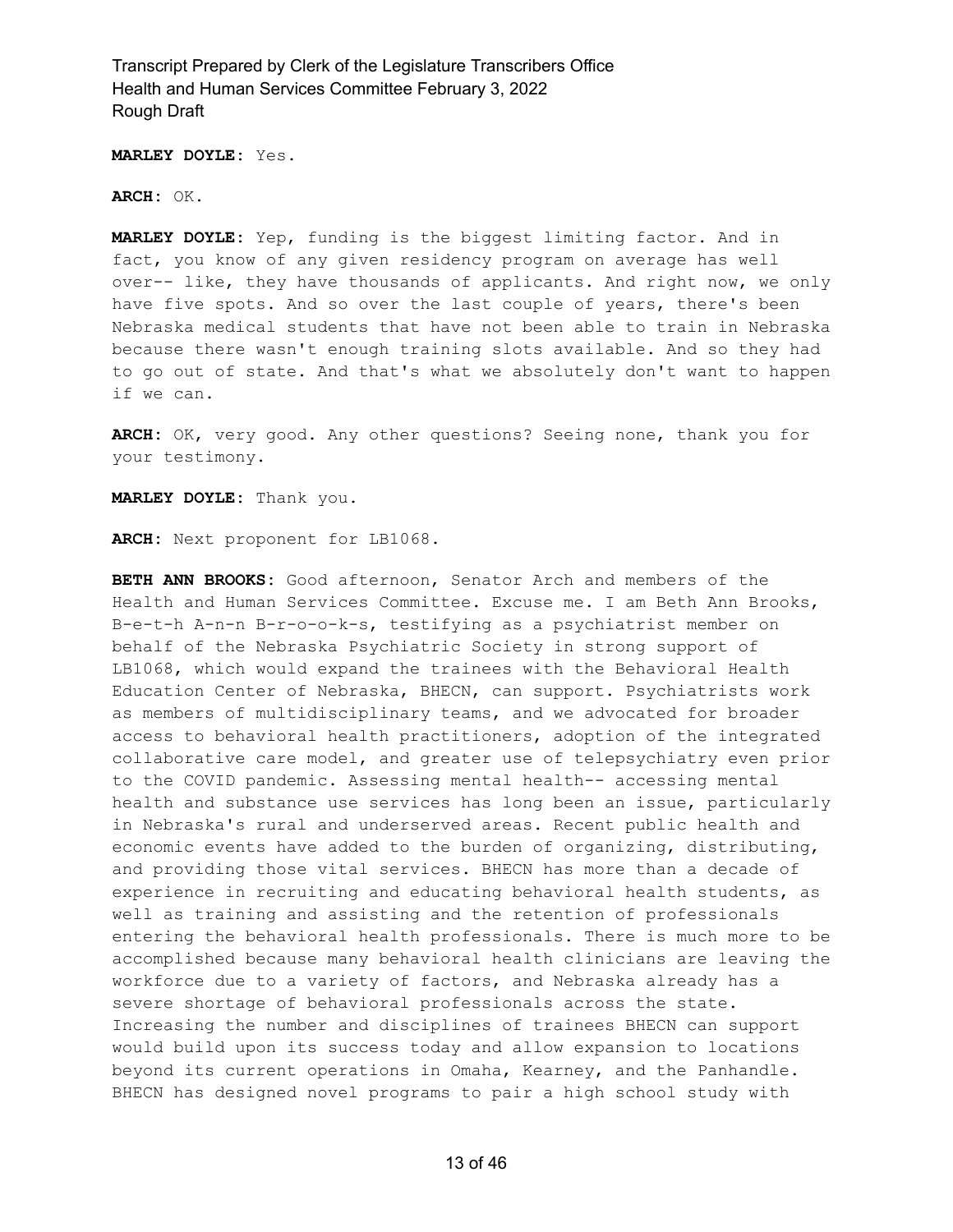**MARLEY DOYLE:** Yes.

**ARCH:** OK.

**MARLEY DOYLE:** Yep, funding is the biggest limiting factor. And in fact, you know of any given residency program on average has well over-- like, they have thousands of applicants. And right now, we only have five spots. And so over the last couple of years, there's been Nebraska medical students that have not been able to train in Nebraska because there wasn't enough training slots available. And so they had to go out of state. And that's what we absolutely don't want to happen if we can.

**ARCH:** OK, very good. Any other questions? Seeing none, thank you for your testimony.

**MARLEY DOYLE:** Thank you.

**ARCH:** Next proponent for LB1068.

**BETH ANN BROOKS:** Good afternoon, Senator Arch and members of the Health and Human Services Committee. Excuse me. I am Beth Ann Brooks, B-e-t-h A-n-n B-r-o-o-k-s, testifying as a psychiatrist member on behalf of the Nebraska Psychiatric Society in strong support of LB1068, which would expand the trainees with the Behavioral Health Education Center of Nebraska, BHECN, can support. Psychiatrists work as members of multidisciplinary teams, and we advocated for broader access to behavioral health practitioners, adoption of the integrated collaborative care model, and greater use of telepsychiatry even prior to the COVID pandemic. Assessing mental health-- accessing mental health and substance use services has long been an issue, particularly in Nebraska's rural and underserved areas. Recent public health and economic events have added to the burden of organizing, distributing, and providing those vital services. BHECN has more than a decade of experience in recruiting and educating behavioral health students, as well as training and assisting and the retention of professionals entering the behavioral health professionals. There is much more to be accomplished because many behavioral health clinicians are leaving the workforce due to a variety of factors, and Nebraska already has a severe shortage of behavioral professionals across the state. Increasing the number and disciplines of trainees BHECN can support would build upon its success today and allow expansion to locations beyond its current operations in Omaha, Kearney, and the Panhandle. BHECN has designed novel programs to pair a high school study with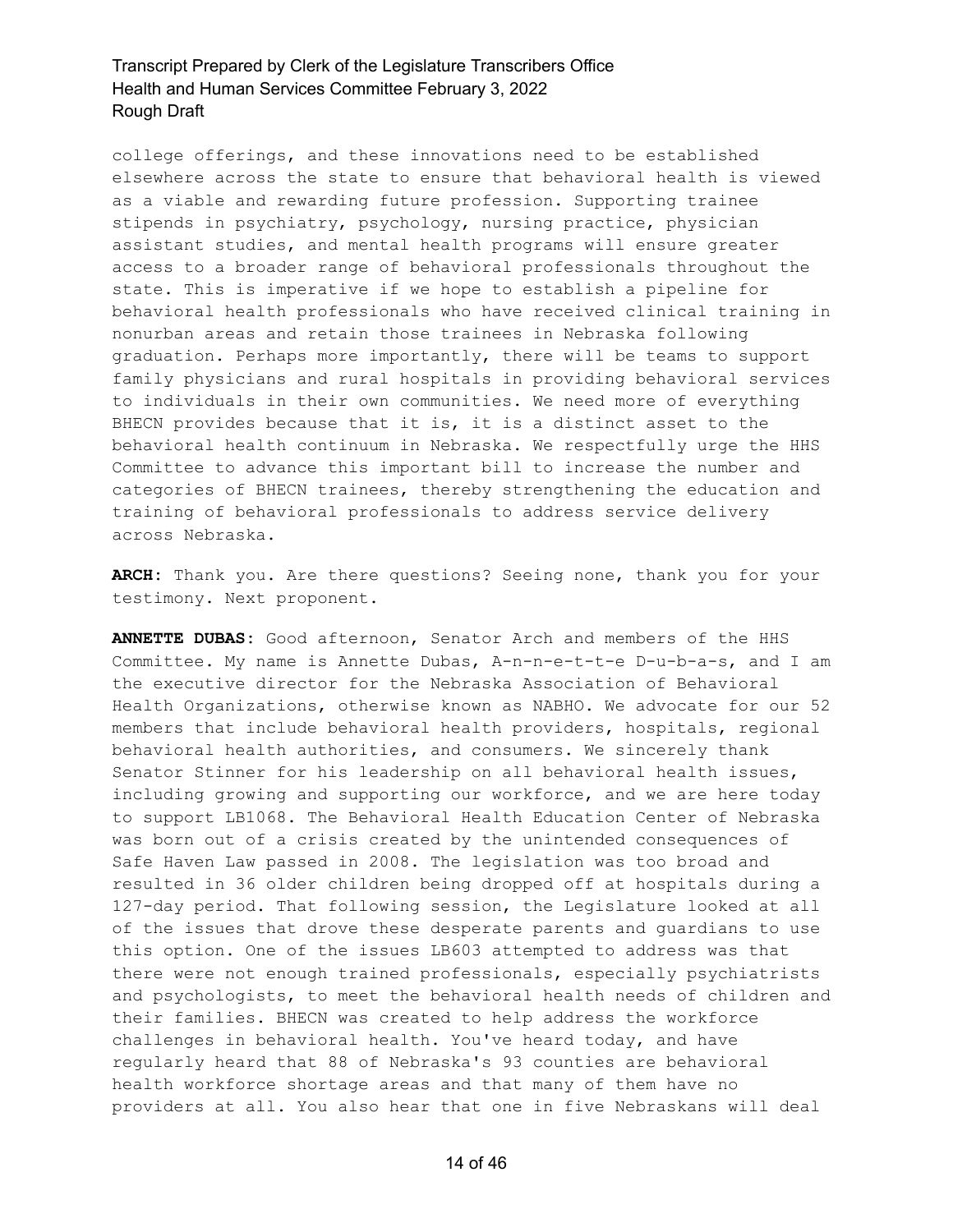college offerings, and these innovations need to be established elsewhere across the state to ensure that behavioral health is viewed as a viable and rewarding future profession. Supporting trainee stipends in psychiatry, psychology, nursing practice, physician assistant studies, and mental health programs will ensure greater access to a broader range of behavioral professionals throughout the state. This is imperative if we hope to establish a pipeline for behavioral health professionals who have received clinical training in nonurban areas and retain those trainees in Nebraska following graduation. Perhaps more importantly, there will be teams to support family physicians and rural hospitals in providing behavioral services to individuals in their own communities. We need more of everything BHECN provides because that it is, it is a distinct asset to the behavioral health continuum in Nebraska. We respectfully urge the HHS Committee to advance this important bill to increase the number and categories of BHECN trainees, thereby strengthening the education and training of behavioral professionals to address service delivery across Nebraska.

**ARCH:** Thank you. Are there questions? Seeing none, thank you for your testimony. Next proponent.

**ANNETTE DUBAS:** Good afternoon, Senator Arch and members of the HHS Committee. My name is Annette Dubas, A-n-n-e-t-t-e D-u-b-a-s, and I am the executive director for the Nebraska Association of Behavioral Health Organizations, otherwise known as NABHO. We advocate for our 52 members that include behavioral health providers, hospitals, regional behavioral health authorities, and consumers. We sincerely thank Senator Stinner for his leadership on all behavioral health issues, including growing and supporting our workforce, and we are here today to support LB1068. The Behavioral Health Education Center of Nebraska was born out of a crisis created by the unintended consequences of Safe Haven Law passed in 2008. The legislation was too broad and resulted in 36 older children being dropped off at hospitals during a 127-day period. That following session, the Legislature looked at all of the issues that drove these desperate parents and guardians to use this option. One of the issues LB603 attempted to address was that there were not enough trained professionals, especially psychiatrists and psychologists, to meet the behavioral health needs of children and their families. BHECN was created to help address the workforce challenges in behavioral health. You've heard today, and have regularly heard that 88 of Nebraska's 93 counties are behavioral health workforce shortage areas and that many of them have no providers at all. You also hear that one in five Nebraskans will deal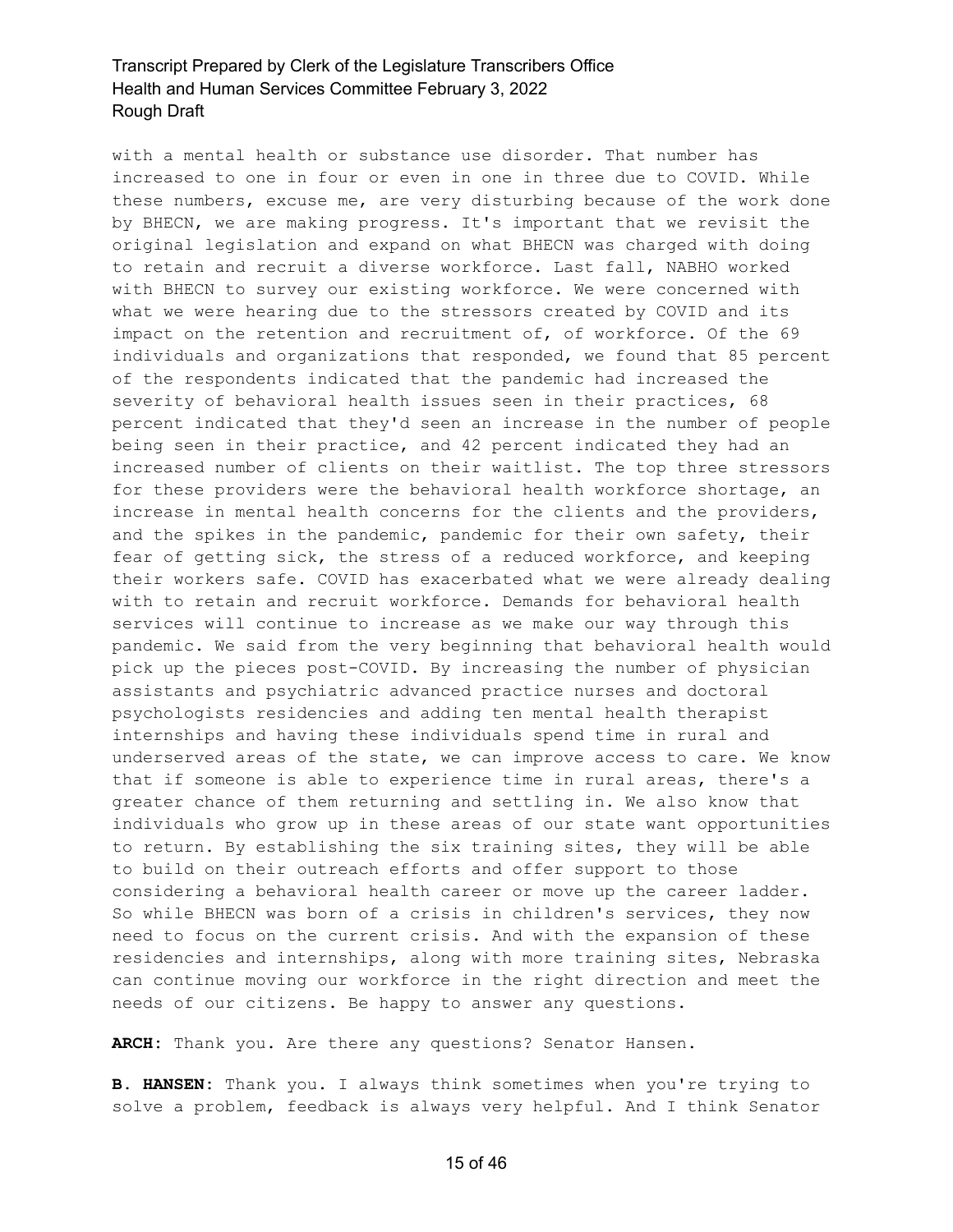with a mental health or substance use disorder. That number has increased to one in four or even in one in three due to COVID. While these numbers, excuse me, are very disturbing because of the work done by BHECN, we are making progress. It's important that we revisit the original legislation and expand on what BHECN was charged with doing to retain and recruit a diverse workforce. Last fall, NABHO worked with BHECN to survey our existing workforce. We were concerned with what we were hearing due to the stressors created by COVID and its impact on the retention and recruitment of, of workforce. Of the 69 individuals and organizations that responded, we found that 85 percent of the respondents indicated that the pandemic had increased the severity of behavioral health issues seen in their practices, 68 percent indicated that they'd seen an increase in the number of people being seen in their practice, and 42 percent indicated they had an increased number of clients on their waitlist. The top three stressors for these providers were the behavioral health workforce shortage, an increase in mental health concerns for the clients and the providers, and the spikes in the pandemic, pandemic for their own safety, their fear of getting sick, the stress of a reduced workforce, and keeping their workers safe. COVID has exacerbated what we were already dealing with to retain and recruit workforce. Demands for behavioral health services will continue to increase as we make our way through this pandemic. We said from the very beginning that behavioral health would pick up the pieces post-COVID. By increasing the number of physician assistants and psychiatric advanced practice nurses and doctoral psychologists residencies and adding ten mental health therapist internships and having these individuals spend time in rural and underserved areas of the state, we can improve access to care. We know that if someone is able to experience time in rural areas, there's a greater chance of them returning and settling in. We also know that individuals who grow up in these areas of our state want opportunities to return. By establishing the six training sites, they will be able to build on their outreach efforts and offer support to those considering a behavioral health career or move up the career ladder. So while BHECN was born of a crisis in children's services, they now need to focus on the current crisis. And with the expansion of these residencies and internships, along with more training sites, Nebraska can continue moving our workforce in the right direction and meet the needs of our citizens. Be happy to answer any questions.

**ARCH:** Thank you. Are there any questions? Senator Hansen.

**B. HANSEN:** Thank you. I always think sometimes when you're trying to solve a problem, feedback is always very helpful. And I think Senator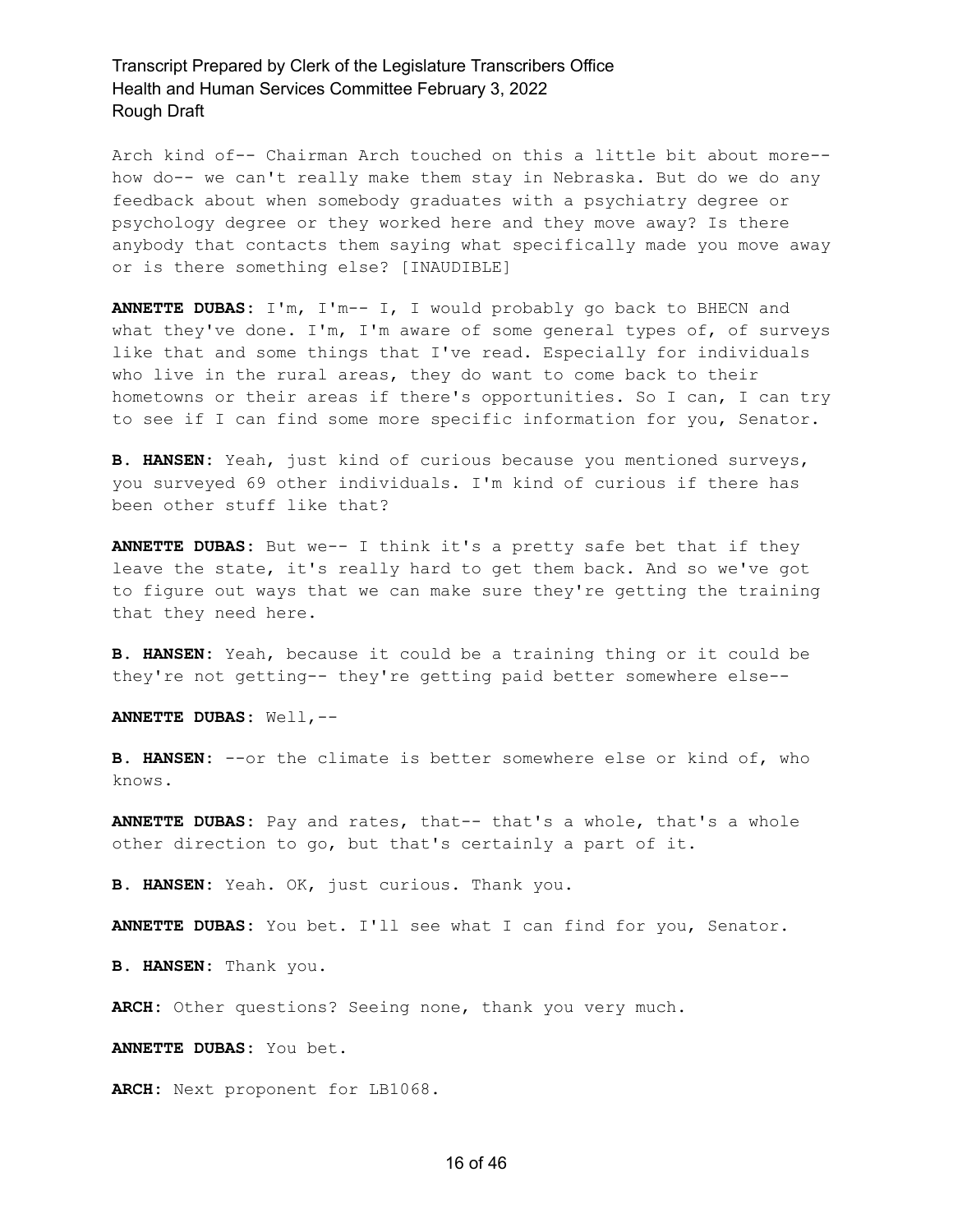Arch kind of-- Chairman Arch touched on this a little bit about more- how do-- we can't really make them stay in Nebraska. But do we do any feedback about when somebody graduates with a psychiatry degree or psychology degree or they worked here and they move away? Is there anybody that contacts them saying what specifically made you move away or is there something else? [INAUDIBLE]

**ANNETTE DUBAS:** I'm, I'm-- I, I would probably go back to BHECN and what they've done. I'm, I'm aware of some general types of, of surveys like that and some things that I've read. Especially for individuals who live in the rural areas, they do want to come back to their hometowns or their areas if there's opportunities. So I can, I can try to see if I can find some more specific information for you, Senator.

**B. HANSEN:** Yeah, just kind of curious because you mentioned surveys, you surveyed 69 other individuals. I'm kind of curious if there has been other stuff like that?

**ANNETTE DUBAS:** But we-- I think it's a pretty safe bet that if they leave the state, it's really hard to get them back. And so we've got to figure out ways that we can make sure they're getting the training that they need here.

**B. HANSEN:** Yeah, because it could be a training thing or it could be they're not getting-- they're getting paid better somewhere else--

**ANNETTE DUBAS:** Well,--

**B. HANSEN:** --or the climate is better somewhere else or kind of, who knows.

**ANNETTE DUBAS:** Pay and rates, that-- that's a whole, that's a whole other direction to go, but that's certainly a part of it.

**B. HANSEN:** Yeah. OK, just curious. Thank you.

**ANNETTE DUBAS:** You bet. I'll see what I can find for you, Senator.

**B. HANSEN:** Thank you.

**ARCH:** Other questions? Seeing none, thank you very much.

**ANNETTE DUBAS:** You bet.

**ARCH:** Next proponent for LB1068.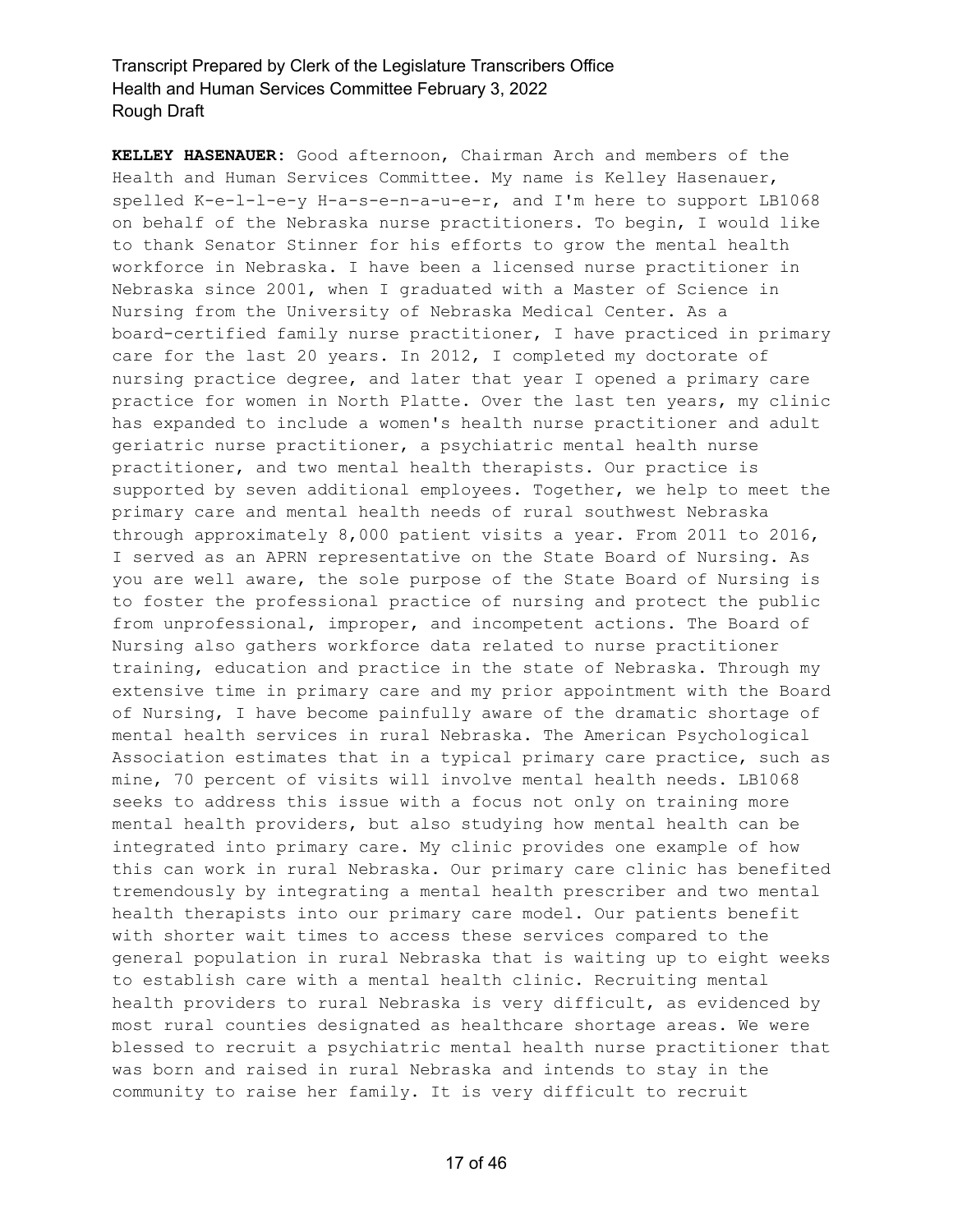**KELLEY HASENAUER:** Good afternoon, Chairman Arch and members of the Health and Human Services Committee. My name is Kelley Hasenauer, spelled K-e-l-l-e-y H-a-s-e-n-a-u-e-r, and I'm here to support LB1068 on behalf of the Nebraska nurse practitioners. To begin, I would like to thank Senator Stinner for his efforts to grow the mental health workforce in Nebraska. I have been a licensed nurse practitioner in Nebraska since 2001, when I graduated with a Master of Science in Nursing from the University of Nebraska Medical Center. As a board-certified family nurse practitioner, I have practiced in primary care for the last 20 years. In 2012, I completed my doctorate of nursing practice degree, and later that year I opened a primary care practice for women in North Platte. Over the last ten years, my clinic has expanded to include a women's health nurse practitioner and adult geriatric nurse practitioner, a psychiatric mental health nurse practitioner, and two mental health therapists. Our practice is supported by seven additional employees. Together, we help to meet the primary care and mental health needs of rural southwest Nebraska through approximately 8,000 patient visits a year. From 2011 to 2016, I served as an APRN representative on the State Board of Nursing. As you are well aware, the sole purpose of the State Board of Nursing is to foster the professional practice of nursing and protect the public from unprofessional, improper, and incompetent actions. The Board of Nursing also gathers workforce data related to nurse practitioner training, education and practice in the state of Nebraska. Through my extensive time in primary care and my prior appointment with the Board of Nursing, I have become painfully aware of the dramatic shortage of mental health services in rural Nebraska. The American Psychological Association estimates that in a typical primary care practice, such as mine, 70 percent of visits will involve mental health needs. LB1068 seeks to address this issue with a focus not only on training more mental health providers, but also studying how mental health can be integrated into primary care. My clinic provides one example of how this can work in rural Nebraska. Our primary care clinic has benefited tremendously by integrating a mental health prescriber and two mental health therapists into our primary care model. Our patients benefit with shorter wait times to access these services compared to the general population in rural Nebraska that is waiting up to eight weeks to establish care with a mental health clinic. Recruiting mental health providers to rural Nebraska is very difficult, as evidenced by most rural counties designated as healthcare shortage areas. We were blessed to recruit a psychiatric mental health nurse practitioner that was born and raised in rural Nebraska and intends to stay in the community to raise her family. It is very difficult to recruit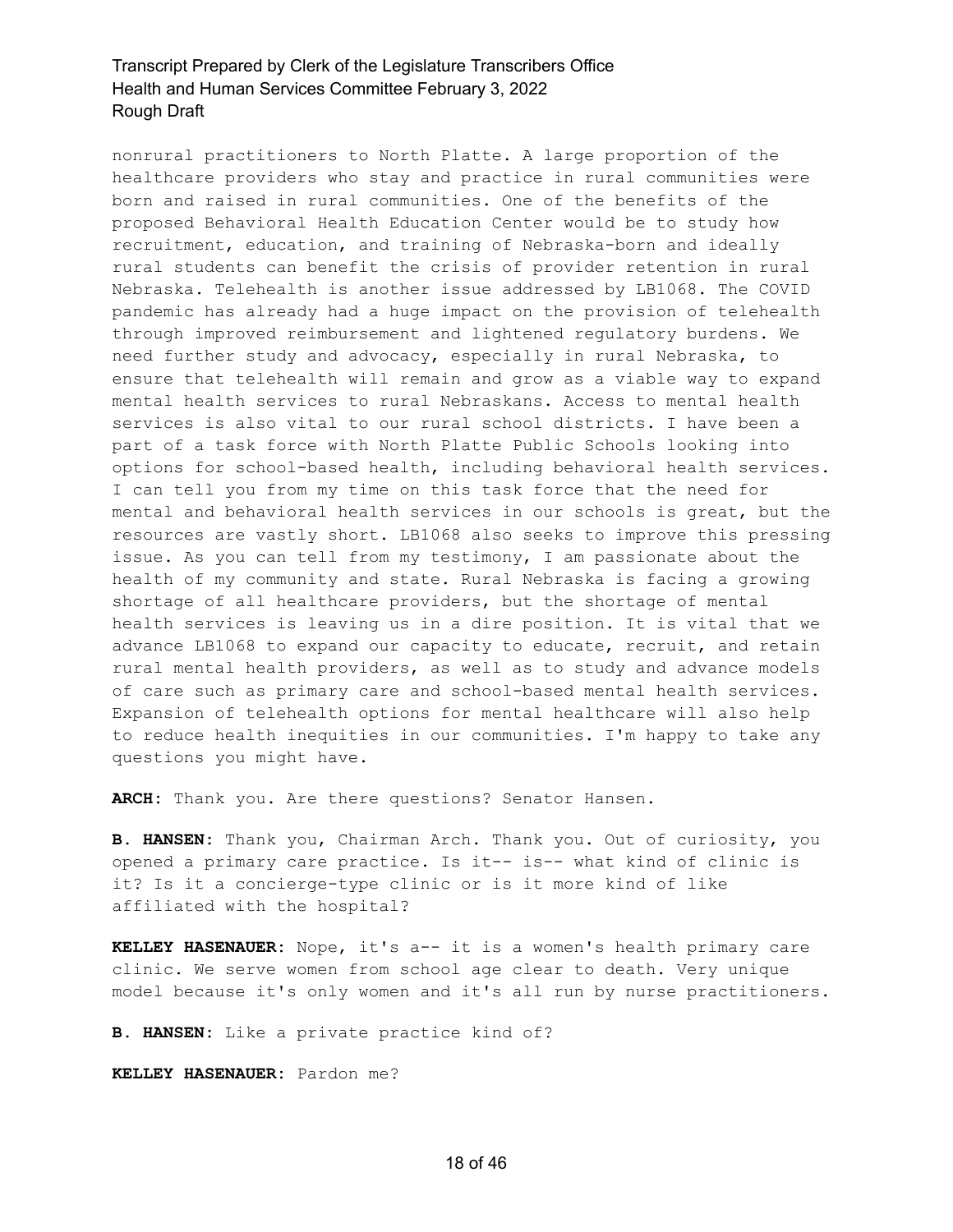nonrural practitioners to North Platte. A large proportion of the healthcare providers who stay and practice in rural communities were born and raised in rural communities. One of the benefits of the proposed Behavioral Health Education Center would be to study how recruitment, education, and training of Nebraska-born and ideally rural students can benefit the crisis of provider retention in rural Nebraska. Telehealth is another issue addressed by LB1068. The COVID pandemic has already had a huge impact on the provision of telehealth through improved reimbursement and lightened regulatory burdens. We need further study and advocacy, especially in rural Nebraska, to ensure that telehealth will remain and grow as a viable way to expand mental health services to rural Nebraskans. Access to mental health services is also vital to our rural school districts. I have been a part of a task force with North Platte Public Schools looking into options for school-based health, including behavioral health services. I can tell you from my time on this task force that the need for mental and behavioral health services in our schools is great, but the resources are vastly short. LB1068 also seeks to improve this pressing issue. As you can tell from my testimony, I am passionate about the health of my community and state. Rural Nebraska is facing a growing shortage of all healthcare providers, but the shortage of mental health services is leaving us in a dire position. It is vital that we advance LB1068 to expand our capacity to educate, recruit, and retain rural mental health providers, as well as to study and advance models of care such as primary care and school-based mental health services. Expansion of telehealth options for mental healthcare will also help to reduce health inequities in our communities. I'm happy to take any questions you might have.

**ARCH:** Thank you. Are there questions? Senator Hansen.

**B. HANSEN:** Thank you, Chairman Arch. Thank you. Out of curiosity, you opened a primary care practice. Is it-- is-- what kind of clinic is it? Is it a concierge-type clinic or is it more kind of like affiliated with the hospital?

**KELLEY HASENAUER:** Nope, it's a-- it is a women's health primary care clinic. We serve women from school age clear to death. Very unique model because it's only women and it's all run by nurse practitioners.

**B. HANSEN:** Like a private practice kind of?

**KELLEY HASENAUER:** Pardon me?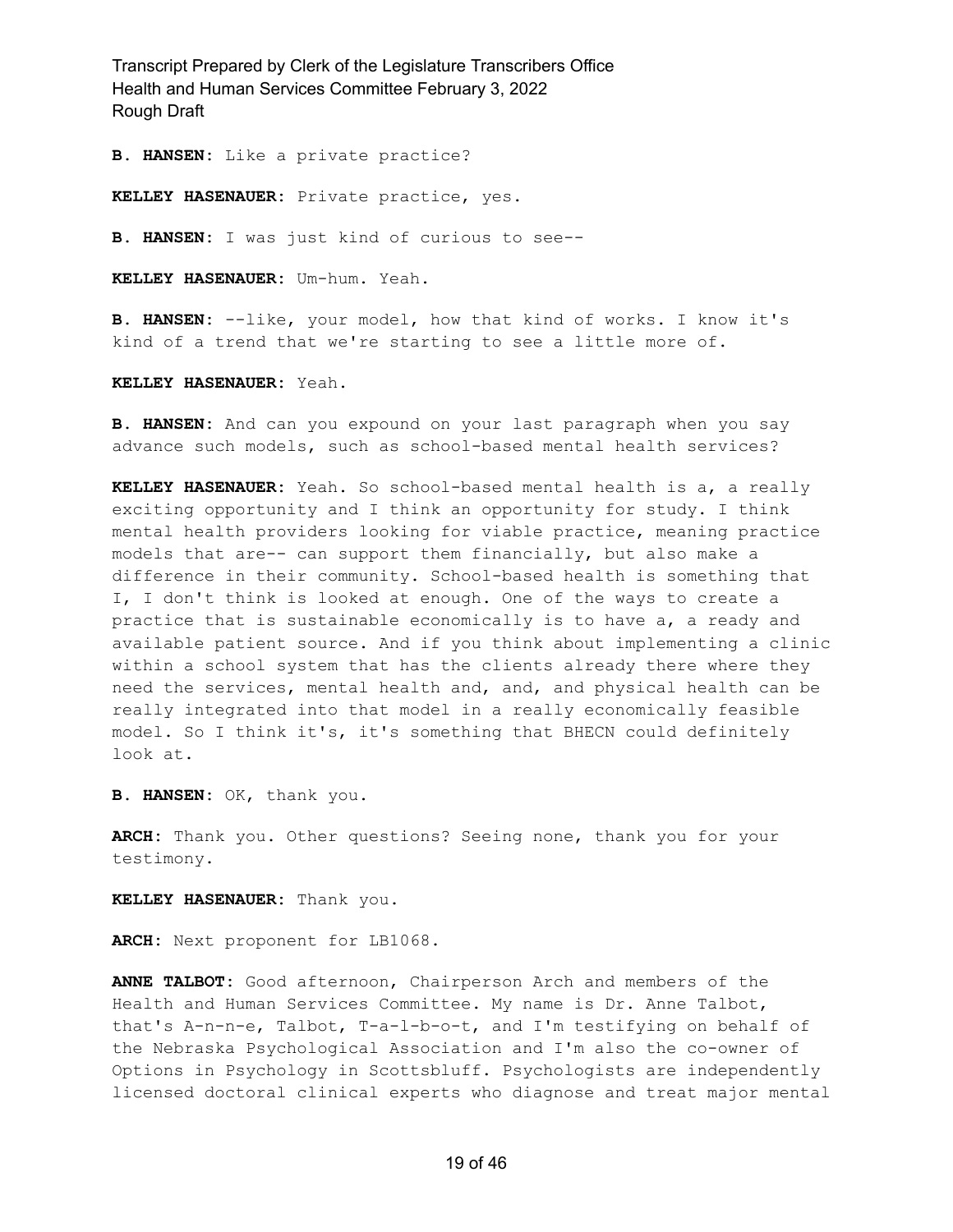**B. HANSEN:** Like a private practice?

**KELLEY HASENAUER:** Private practice, yes.

**B. HANSEN:** I was just kind of curious to see--

**KELLEY HASENAUER:** Um-hum. Yeah.

**B. HANSEN:** --like, your model, how that kind of works. I know it's kind of a trend that we're starting to see a little more of.

**KELLEY HASENAUER:** Yeah.

**B. HANSEN:** And can you expound on your last paragraph when you say advance such models, such as school-based mental health services?

**KELLEY HASENAUER:** Yeah. So school-based mental health is a, a really exciting opportunity and I think an opportunity for study. I think mental health providers looking for viable practice, meaning practice models that are-- can support them financially, but also make a difference in their community. School-based health is something that I, I don't think is looked at enough. One of the ways to create a practice that is sustainable economically is to have a, a ready and available patient source. And if you think about implementing a clinic within a school system that has the clients already there where they need the services, mental health and, and, and physical health can be really integrated into that model in a really economically feasible model. So I think it's, it's something that BHECN could definitely look at.

**B. HANSEN:** OK, thank you.

**ARCH:** Thank you. Other questions? Seeing none, thank you for your testimony.

**KELLEY HASENAUER:** Thank you.

**ARCH:** Next proponent for LB1068.

**ANNE TALBOT:** Good afternoon, Chairperson Arch and members of the Health and Human Services Committee. My name is Dr. Anne Talbot, that's A-n-n-e, Talbot, T-a-l-b-o-t, and I'm testifying on behalf of the Nebraska Psychological Association and I'm also the co-owner of Options in Psychology in Scottsbluff. Psychologists are independently licensed doctoral clinical experts who diagnose and treat major mental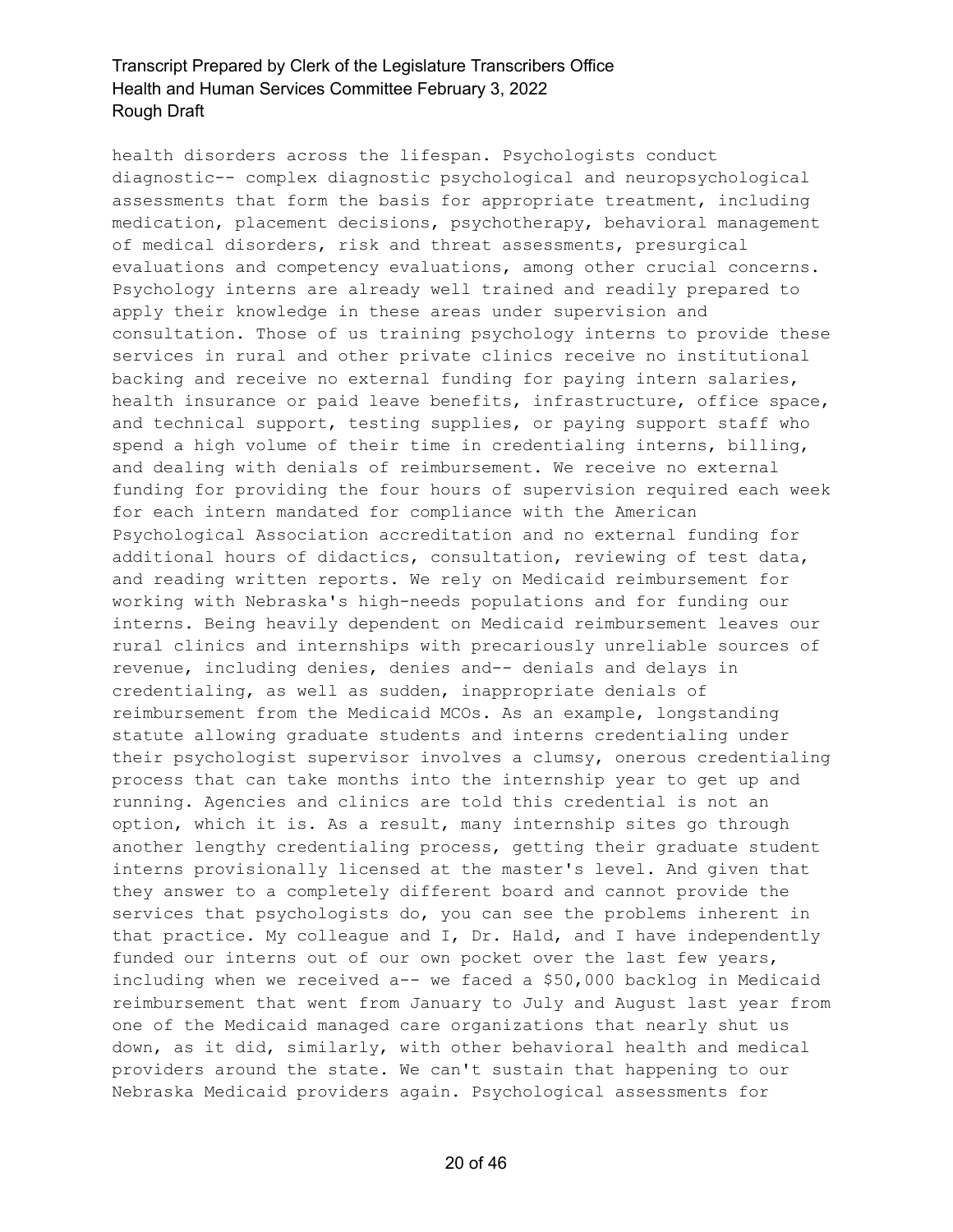health disorders across the lifespan. Psychologists conduct diagnostic-- complex diagnostic psychological and neuropsychological assessments that form the basis for appropriate treatment, including medication, placement decisions, psychotherapy, behavioral management of medical disorders, risk and threat assessments, presurgical evaluations and competency evaluations, among other crucial concerns. Psychology interns are already well trained and readily prepared to apply their knowledge in these areas under supervision and consultation. Those of us training psychology interns to provide these services in rural and other private clinics receive no institutional backing and receive no external funding for paying intern salaries, health insurance or paid leave benefits, infrastructure, office space, and technical support, testing supplies, or paying support staff who spend a high volume of their time in credentialing interns, billing, and dealing with denials of reimbursement. We receive no external funding for providing the four hours of supervision required each week for each intern mandated for compliance with the American Psychological Association accreditation and no external funding for additional hours of didactics, consultation, reviewing of test data, and reading written reports. We rely on Medicaid reimbursement for working with Nebraska's high-needs populations and for funding our interns. Being heavily dependent on Medicaid reimbursement leaves our rural clinics and internships with precariously unreliable sources of revenue, including denies, denies and-- denials and delays in credentialing, as well as sudden, inappropriate denials of reimbursement from the Medicaid MCOs. As an example, longstanding statute allowing graduate students and interns credentialing under their psychologist supervisor involves a clumsy, onerous credentialing process that can take months into the internship year to get up and running. Agencies and clinics are told this credential is not an option, which it is. As a result, many internship sites go through another lengthy credentialing process, getting their graduate student interns provisionally licensed at the master's level. And given that they answer to a completely different board and cannot provide the services that psychologists do, you can see the problems inherent in that practice. My colleague and I, Dr. Hald, and I have independently funded our interns out of our own pocket over the last few years, including when we received a-- we faced a \$50,000 backlog in Medicaid reimbursement that went from January to July and August last year from one of the Medicaid managed care organizations that nearly shut us down, as it did, similarly, with other behavioral health and medical providers around the state. We can't sustain that happening to our Nebraska Medicaid providers again. Psychological assessments for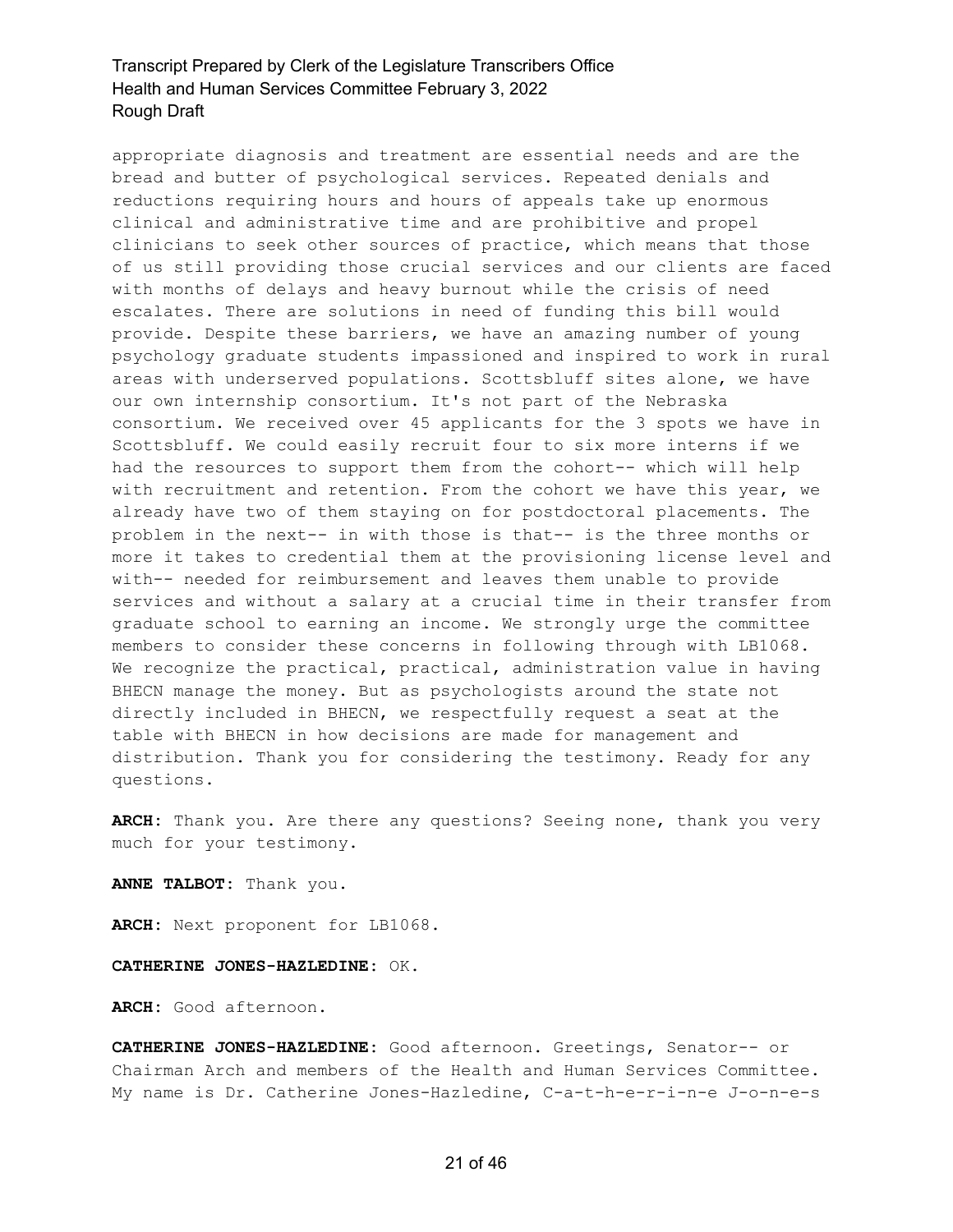appropriate diagnosis and treatment are essential needs and are the bread and butter of psychological services. Repeated denials and reductions requiring hours and hours of appeals take up enormous clinical and administrative time and are prohibitive and propel clinicians to seek other sources of practice, which means that those of us still providing those crucial services and our clients are faced with months of delays and heavy burnout while the crisis of need escalates. There are solutions in need of funding this bill would provide. Despite these barriers, we have an amazing number of young psychology graduate students impassioned and inspired to work in rural areas with underserved populations. Scottsbluff sites alone, we have our own internship consortium. It's not part of the Nebraska consortium. We received over 45 applicants for the 3 spots we have in Scottsbluff. We could easily recruit four to six more interns if we had the resources to support them from the cohort-- which will help with recruitment and retention. From the cohort we have this year, we already have two of them staying on for postdoctoral placements. The problem in the next-- in with those is that-- is the three months or more it takes to credential them at the provisioning license level and with-- needed for reimbursement and leaves them unable to provide services and without a salary at a crucial time in their transfer from graduate school to earning an income. We strongly urge the committee members to consider these concerns in following through with LB1068. We recognize the practical, practical, administration value in having BHECN manage the money. But as psychologists around the state not directly included in BHECN, we respectfully request a seat at the table with BHECN in how decisions are made for management and distribution. Thank you for considering the testimony. Ready for any questions.

**ARCH:** Thank you. Are there any questions? Seeing none, thank you very much for your testimony.

**ANNE TALBOT:** Thank you.

**ARCH:** Next proponent for LB1068.

**CATHERINE JONES-HAZLEDINE:** OK.

**ARCH:** Good afternoon.

**CATHERINE JONES-HAZLEDINE:** Good afternoon. Greetings, Senator-- or Chairman Arch and members of the Health and Human Services Committee. My name is Dr. Catherine Jones-Hazledine, C-a-t-h-e-r-i-n-e J-o-n-e-s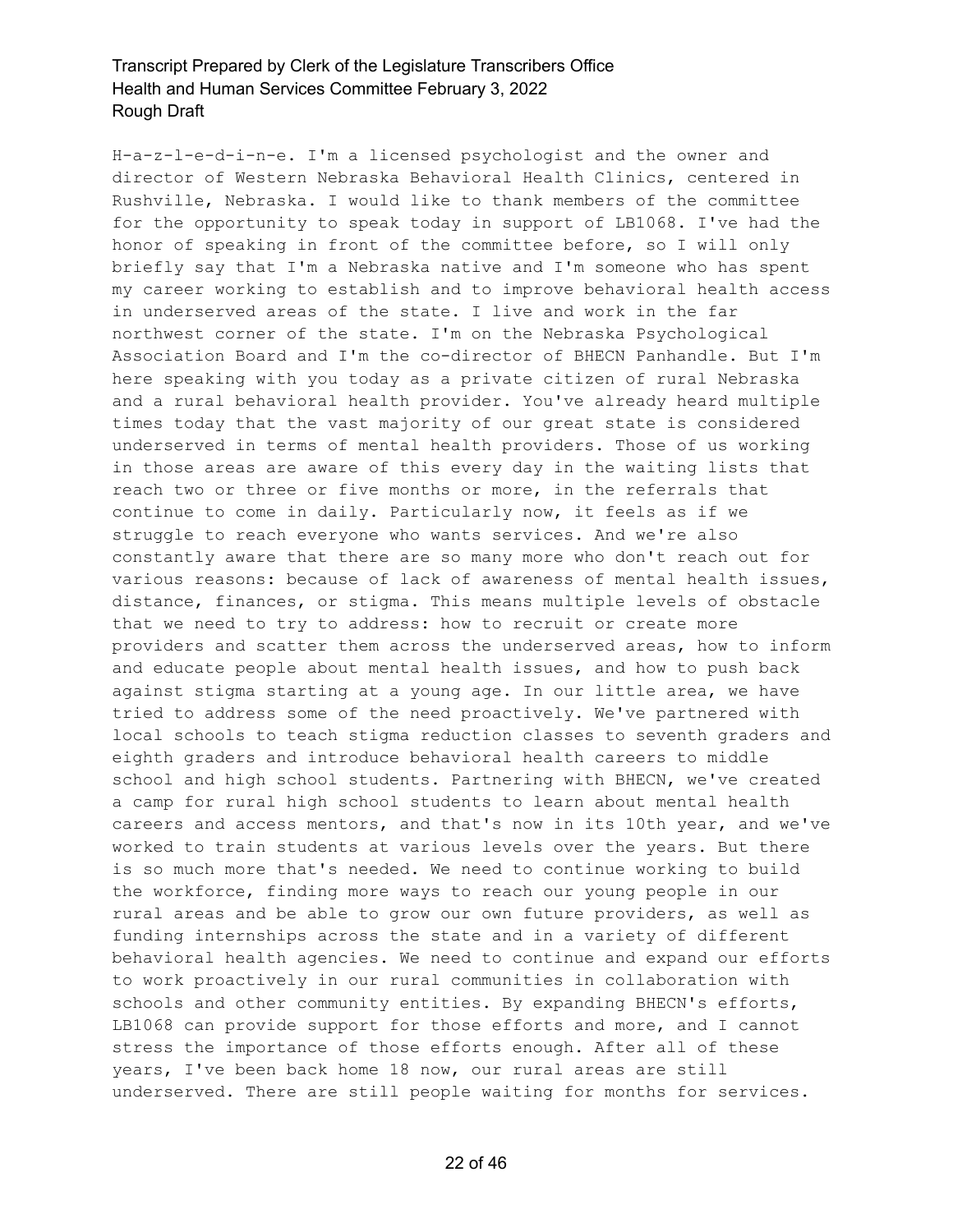H-a-z-l-e-d-i-n-e. I'm a licensed psychologist and the owner and director of Western Nebraska Behavioral Health Clinics, centered in Rushville, Nebraska. I would like to thank members of the committee for the opportunity to speak today in support of LB1068. I've had the honor of speaking in front of the committee before, so I will only briefly say that I'm a Nebraska native and I'm someone who has spent my career working to establish and to improve behavioral health access in underserved areas of the state. I live and work in the far northwest corner of the state. I'm on the Nebraska Psychological Association Board and I'm the co-director of BHECN Panhandle. But I'm here speaking with you today as a private citizen of rural Nebraska and a rural behavioral health provider. You've already heard multiple times today that the vast majority of our great state is considered underserved in terms of mental health providers. Those of us working in those areas are aware of this every day in the waiting lists that reach two or three or five months or more, in the referrals that continue to come in daily. Particularly now, it feels as if we struggle to reach everyone who wants services. And we're also constantly aware that there are so many more who don't reach out for various reasons: because of lack of awareness of mental health issues, distance, finances, or stigma. This means multiple levels of obstacle that we need to try to address: how to recruit or create more providers and scatter them across the underserved areas, how to inform and educate people about mental health issues, and how to push back against stigma starting at a young age. In our little area, we have tried to address some of the need proactively. We've partnered with local schools to teach stigma reduction classes to seventh graders and eighth graders and introduce behavioral health careers to middle school and high school students. Partnering with BHECN, we've created a camp for rural high school students to learn about mental health careers and access mentors, and that's now in its 10th year, and we've worked to train students at various levels over the years. But there is so much more that's needed. We need to continue working to build the workforce, finding more ways to reach our young people in our rural areas and be able to grow our own future providers, as well as funding internships across the state and in a variety of different behavioral health agencies. We need to continue and expand our efforts to work proactively in our rural communities in collaboration with schools and other community entities. By expanding BHECN's efforts, LB1068 can provide support for those efforts and more, and I cannot stress the importance of those efforts enough. After all of these years, I've been back home 18 now, our rural areas are still underserved. There are still people waiting for months for services.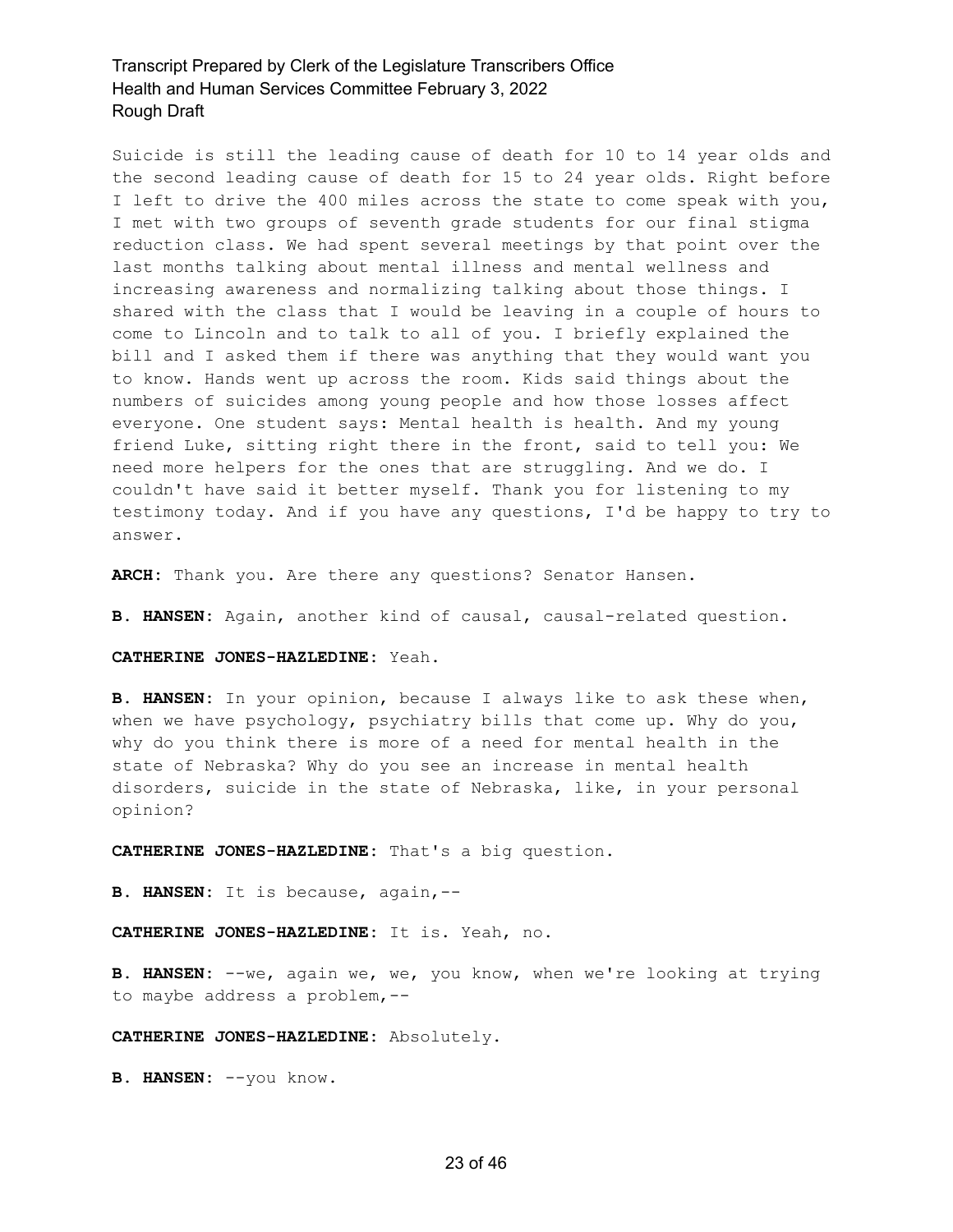Suicide is still the leading cause of death for 10 to 14 year olds and the second leading cause of death for 15 to 24 year olds. Right before I left to drive the 400 miles across the state to come speak with you, I met with two groups of seventh grade students for our final stigma reduction class. We had spent several meetings by that point over the last months talking about mental illness and mental wellness and increasing awareness and normalizing talking about those things. I shared with the class that I would be leaving in a couple of hours to come to Lincoln and to talk to all of you. I briefly explained the bill and I asked them if there was anything that they would want you to know. Hands went up across the room. Kids said things about the numbers of suicides among young people and how those losses affect everyone. One student says: Mental health is health. And my young friend Luke, sitting right there in the front, said to tell you: We need more helpers for the ones that are struggling. And we do. I couldn't have said it better myself. Thank you for listening to my testimony today. And if you have any questions, I'd be happy to try to answer.

**ARCH:** Thank you. Are there any questions? Senator Hansen.

**B. HANSEN:** Again, another kind of causal, causal-related question.

**CATHERINE JONES-HAZLEDINE:** Yeah.

**B. HANSEN:** In your opinion, because I always like to ask these when, when we have psychology, psychiatry bills that come up. Why do you, why do you think there is more of a need for mental health in the state of Nebraska? Why do you see an increase in mental health disorders, suicide in the state of Nebraska, like, in your personal opinion?

**CATHERINE JONES-HAZLEDINE:** That's a big question.

**B. HANSEN:** It is because, again,--

**CATHERINE JONES-HAZLEDINE:** It is. Yeah, no.

**B. HANSEN:** --we, again we, we, you know, when we're looking at trying to maybe address a problem,--

**CATHERINE JONES-HAZLEDINE:** Absolutely.

**B. HANSEN:** --you know.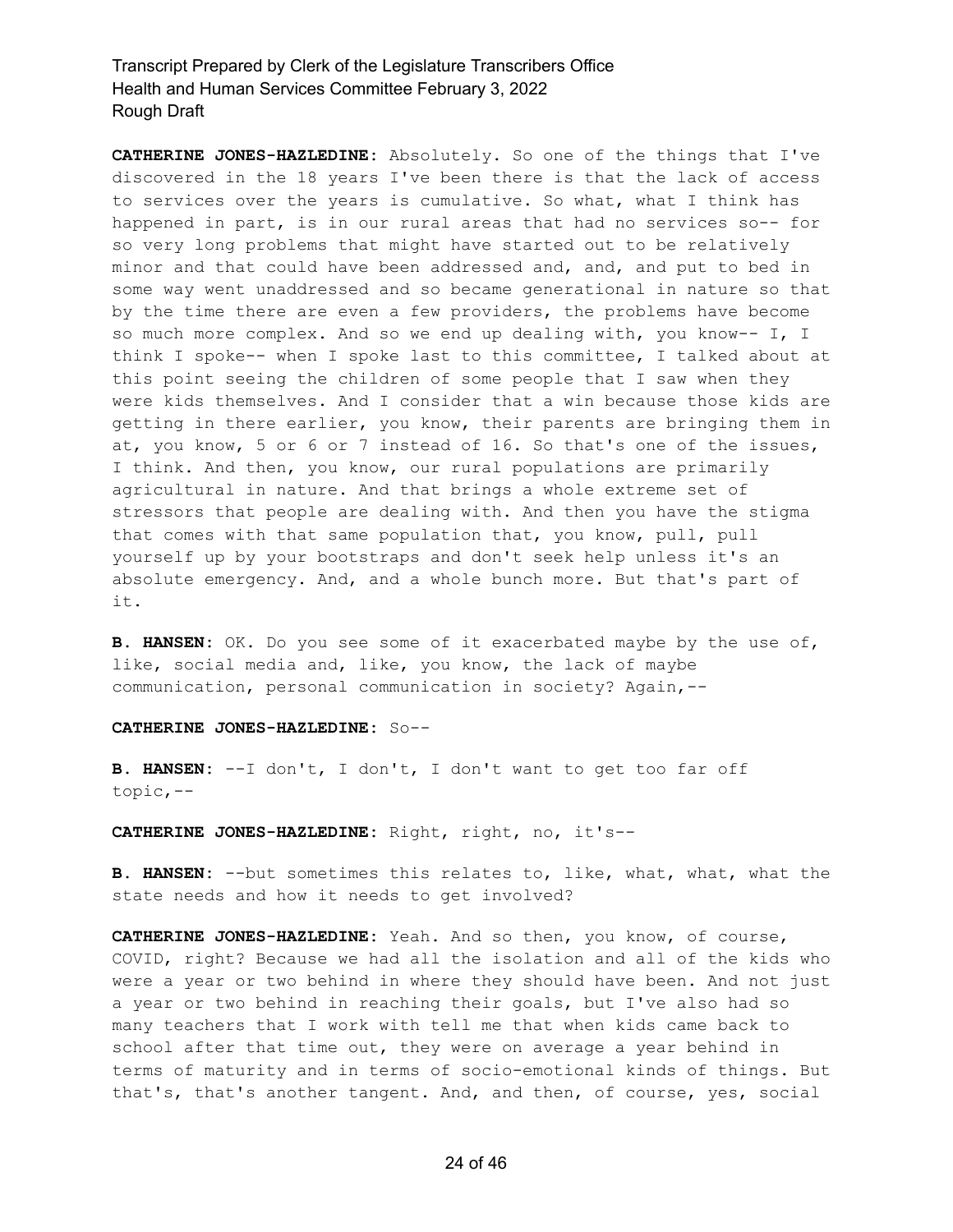**CATHERINE JONES-HAZLEDINE:** Absolutely. So one of the things that I've discovered in the 18 years I've been there is that the lack of access to services over the years is cumulative. So what, what I think has happened in part, is in our rural areas that had no services so-- for so very long problems that might have started out to be relatively minor and that could have been addressed and, and, and put to bed in some way went unaddressed and so became generational in nature so that by the time there are even a few providers, the problems have become so much more complex. And so we end up dealing with, you know-- I, I think I spoke-- when I spoke last to this committee, I talked about at this point seeing the children of some people that I saw when they were kids themselves. And I consider that a win because those kids are getting in there earlier, you know, their parents are bringing them in at, you know, 5 or 6 or 7 instead of 16. So that's one of the issues, I think. And then, you know, our rural populations are primarily agricultural in nature. And that brings a whole extreme set of stressors that people are dealing with. And then you have the stigma that comes with that same population that, you know, pull, pull yourself up by your bootstraps and don't seek help unless it's an absolute emergency. And, and a whole bunch more. But that's part of it.

**B. HANSEN:** OK. Do you see some of it exacerbated maybe by the use of, like, social media and, like, you know, the lack of maybe communication, personal communication in society? Again,--

#### **CATHERINE JONES-HAZLEDINE:** So--

**B. HANSEN:** --I don't, I don't, I don't want to get too far off topic,--

**CATHERINE JONES-HAZLEDINE:** Right, right, no, it's--

**B. HANSEN:** --but sometimes this relates to, like, what, what, what the state needs and how it needs to get involved?

**CATHERINE JONES-HAZLEDINE:** Yeah. And so then, you know, of course, COVID, right? Because we had all the isolation and all of the kids who were a year or two behind in where they should have been. And not just a year or two behind in reaching their goals, but I've also had so many teachers that I work with tell me that when kids came back to school after that time out, they were on average a year behind in terms of maturity and in terms of socio-emotional kinds of things. But that's, that's another tangent. And, and then, of course, yes, social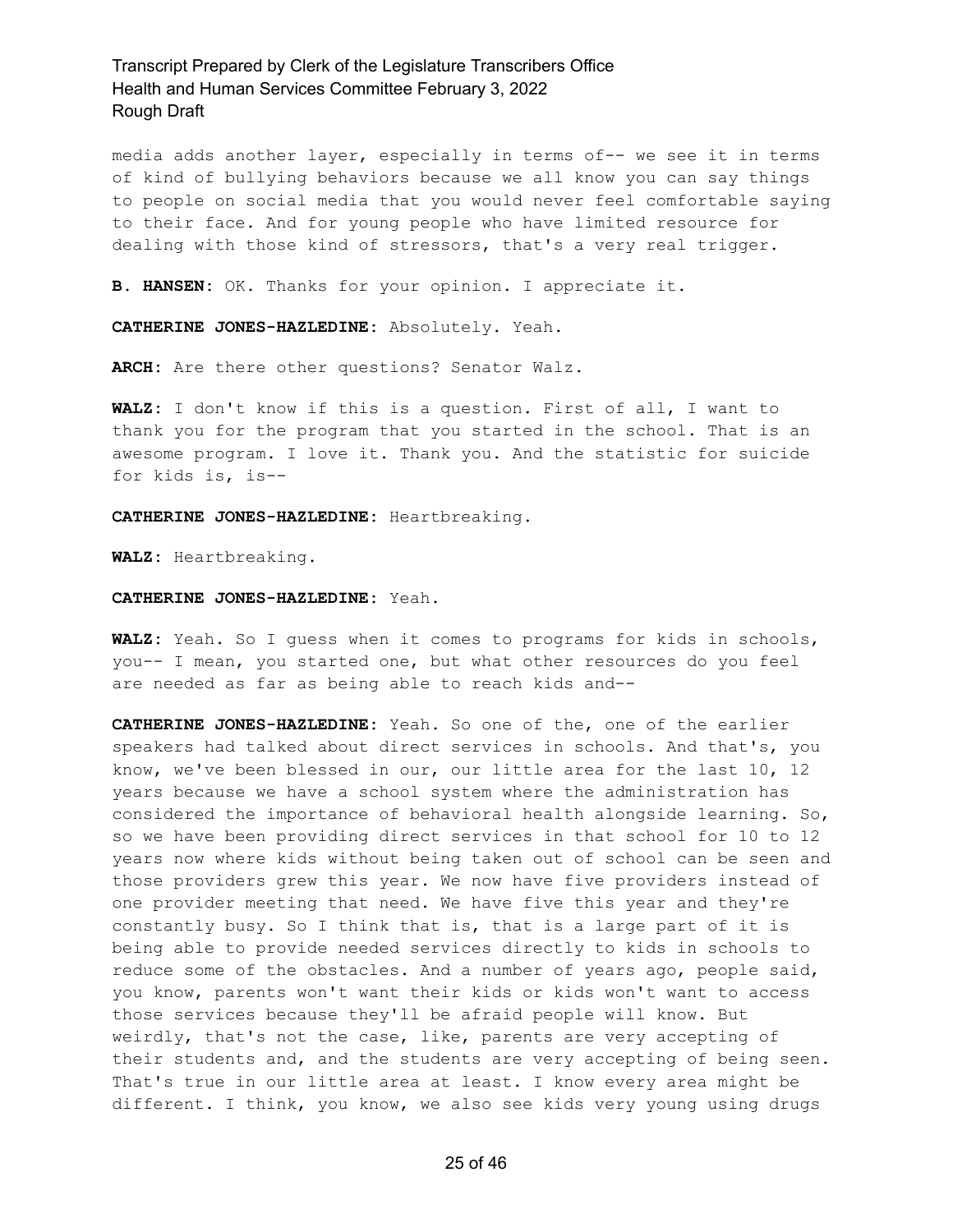media adds another layer, especially in terms of-- we see it in terms of kind of bullying behaviors because we all know you can say things to people on social media that you would never feel comfortable saying to their face. And for young people who have limited resource for dealing with those kind of stressors, that's a very real trigger.

**B. HANSEN:** OK. Thanks for your opinion. I appreciate it.

**CATHERINE JONES-HAZLEDINE:** Absolutely. Yeah.

**ARCH:** Are there other questions? Senator Walz.

**WALZ:** I don't know if this is a question. First of all, I want to thank you for the program that you started in the school. That is an awesome program. I love it. Thank you. And the statistic for suicide for kids is, is--

**CATHERINE JONES-HAZLEDINE:** Heartbreaking.

**WALZ:** Heartbreaking.

#### **CATHERINE JONES-HAZLEDINE:** Yeah.

**WALZ:** Yeah. So I guess when it comes to programs for kids in schools, you-- I mean, you started one, but what other resources do you feel are needed as far as being able to reach kids and--

**CATHERINE JONES-HAZLEDINE:** Yeah. So one of the, one of the earlier speakers had talked about direct services in schools. And that's, you know, we've been blessed in our, our little area for the last 10, 12 years because we have a school system where the administration has considered the importance of behavioral health alongside learning. So, so we have been providing direct services in that school for 10 to 12 years now where kids without being taken out of school can be seen and those providers grew this year. We now have five providers instead of one provider meeting that need. We have five this year and they're constantly busy. So I think that is, that is a large part of it is being able to provide needed services directly to kids in schools to reduce some of the obstacles. And a number of years ago, people said, you know, parents won't want their kids or kids won't want to access those services because they'll be afraid people will know. But weirdly, that's not the case, like, parents are very accepting of their students and, and the students are very accepting of being seen. That's true in our little area at least. I know every area might be different. I think, you know, we also see kids very young using drugs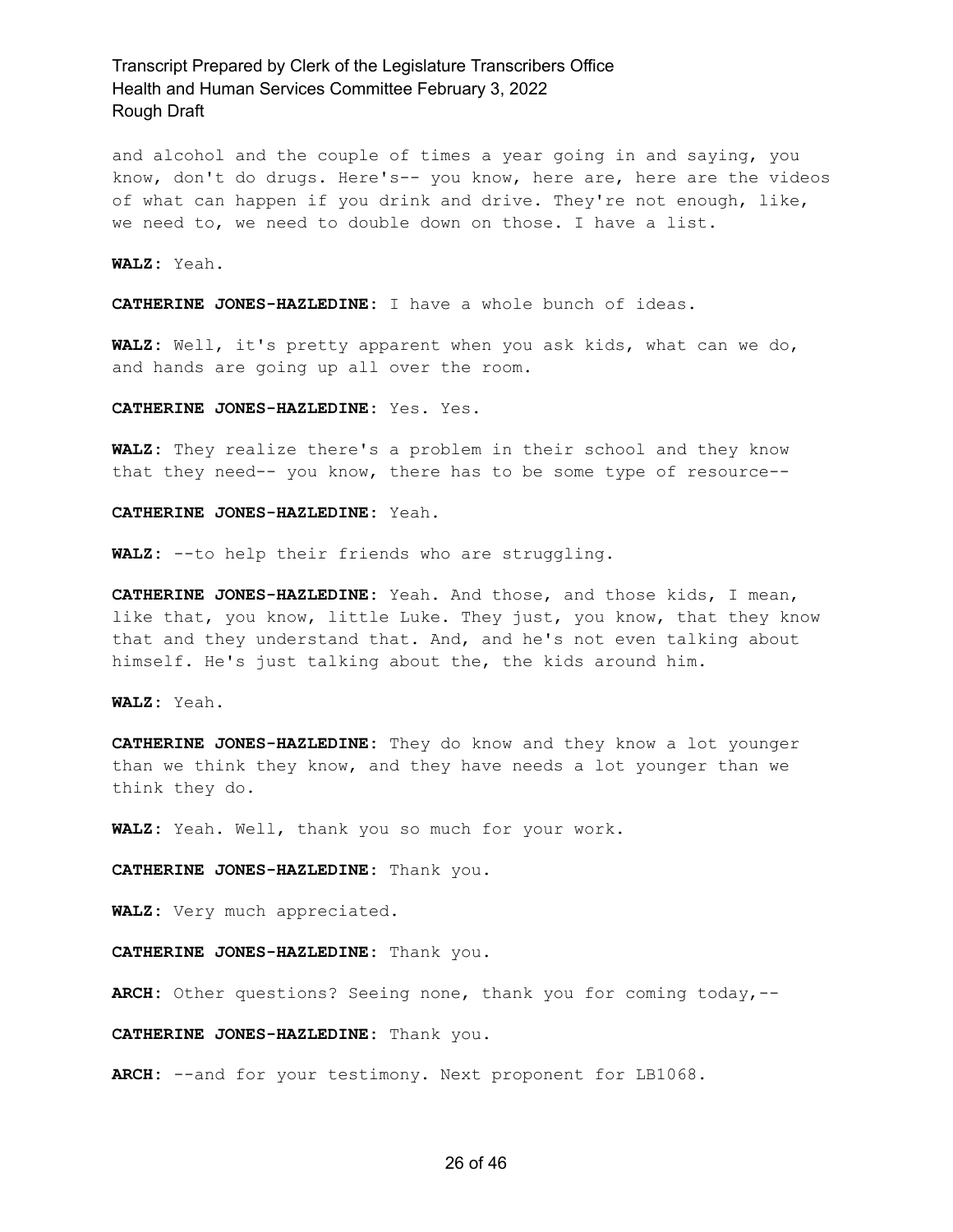and alcohol and the couple of times a year going in and saying, you know, don't do drugs. Here's-- you know, here are, here are the videos of what can happen if you drink and drive. They're not enough, like, we need to, we need to double down on those. I have a list.

**WALZ:** Yeah.

**CATHERINE JONES-HAZLEDINE:** I have a whole bunch of ideas.

**WALZ:** Well, it's pretty apparent when you ask kids, what can we do, and hands are going up all over the room.

**CATHERINE JONES-HAZLEDINE:** Yes. Yes.

**WALZ:** They realize there's a problem in their school and they know that they need-- you know, there has to be some type of resource--

#### **CATHERINE JONES-HAZLEDINE:** Yeah.

**WALZ:** --to help their friends who are struggling.

**CATHERINE JONES-HAZLEDINE:** Yeah. And those, and those kids, I mean, like that, you know, little Luke. They just, you know, that they know that and they understand that. And, and he's not even talking about himself. He's just talking about the, the kids around him.

**WALZ:** Yeah.

**CATHERINE JONES-HAZLEDINE:** They do know and they know a lot younger than we think they know, and they have needs a lot younger than we think they do.

**WALZ:** Yeah. Well, thank you so much for your work.

**CATHERINE JONES-HAZLEDINE:** Thank you.

**WALZ:** Very much appreciated.

**CATHERINE JONES-HAZLEDINE:** Thank you.

**ARCH:** Other questions? Seeing none, thank you for coming today,--

**CATHERINE JONES-HAZLEDINE:** Thank you.

**ARCH:** --and for your testimony. Next proponent for LB1068.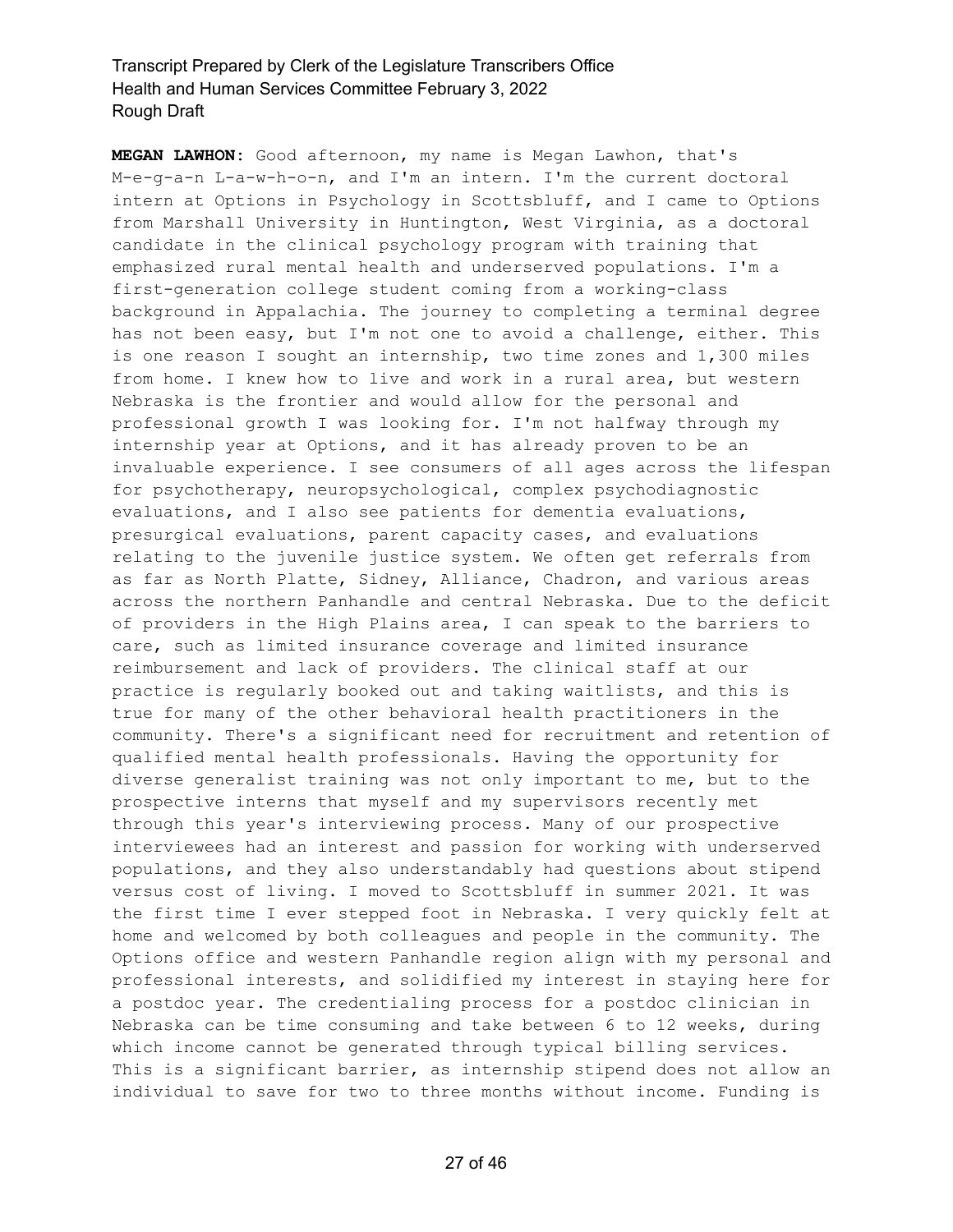**MEGAN LAWHON:** Good afternoon, my name is Megan Lawhon, that's M-e-g-a-n L-a-w-h-o-n, and I'm an intern. I'm the current doctoral intern at Options in Psychology in Scottsbluff, and I came to Options from Marshall University in Huntington, West Virginia, as a doctoral candidate in the clinical psychology program with training that emphasized rural mental health and underserved populations. I'm a first-generation college student coming from a working-class background in Appalachia. The journey to completing a terminal degree has not been easy, but I'm not one to avoid a challenge, either. This is one reason I sought an internship, two time zones and 1,300 miles from home. I knew how to live and work in a rural area, but western Nebraska is the frontier and would allow for the personal and professional growth I was looking for. I'm not halfway through my internship year at Options, and it has already proven to be an invaluable experience. I see consumers of all ages across the lifespan for psychotherapy, neuropsychological, complex psychodiagnostic evaluations, and I also see patients for dementia evaluations, presurgical evaluations, parent capacity cases, and evaluations relating to the juvenile justice system. We often get referrals from as far as North Platte, Sidney, Alliance, Chadron, and various areas across the northern Panhandle and central Nebraska. Due to the deficit of providers in the High Plains area, I can speak to the barriers to care, such as limited insurance coverage and limited insurance reimbursement and lack of providers. The clinical staff at our practice is regularly booked out and taking waitlists, and this is true for many of the other behavioral health practitioners in the community. There's a significant need for recruitment and retention of qualified mental health professionals. Having the opportunity for diverse generalist training was not only important to me, but to the prospective interns that myself and my supervisors recently met through this year's interviewing process. Many of our prospective interviewees had an interest and passion for working with underserved populations, and they also understandably had questions about stipend versus cost of living. I moved to Scottsbluff in summer 2021. It was the first time I ever stepped foot in Nebraska. I very quickly felt at home and welcomed by both colleagues and people in the community. The Options office and western Panhandle region align with my personal and professional interests, and solidified my interest in staying here for a postdoc year. The credentialing process for a postdoc clinician in Nebraska can be time consuming and take between 6 to 12 weeks, during which income cannot be generated through typical billing services. This is a significant barrier, as internship stipend does not allow an individual to save for two to three months without income. Funding is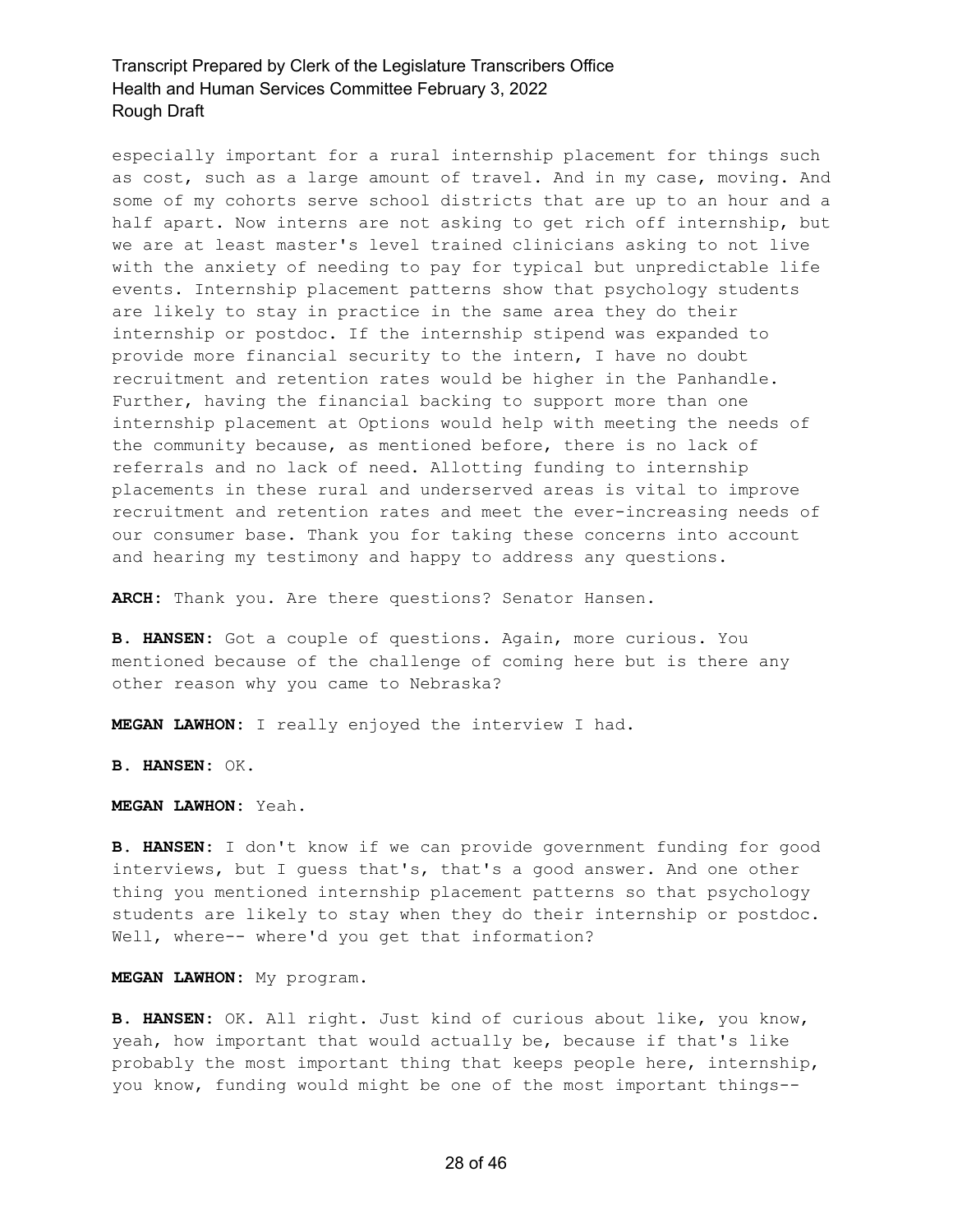especially important for a rural internship placement for things such as cost, such as a large amount of travel. And in my case, moving. And some of my cohorts serve school districts that are up to an hour and a half apart. Now interns are not asking to get rich off internship, but we are at least master's level trained clinicians asking to not live with the anxiety of needing to pay for typical but unpredictable life events. Internship placement patterns show that psychology students are likely to stay in practice in the same area they do their internship or postdoc. If the internship stipend was expanded to provide more financial security to the intern, I have no doubt recruitment and retention rates would be higher in the Panhandle. Further, having the financial backing to support more than one internship placement at Options would help with meeting the needs of the community because, as mentioned before, there is no lack of referrals and no lack of need. Allotting funding to internship placements in these rural and underserved areas is vital to improve recruitment and retention rates and meet the ever-increasing needs of our consumer base. Thank you for taking these concerns into account and hearing my testimony and happy to address any questions.

**ARCH:** Thank you. Are there questions? Senator Hansen.

**B. HANSEN:** Got a couple of questions. Again, more curious. You mentioned because of the challenge of coming here but is there any other reason why you came to Nebraska?

**MEGAN LAWHON:** I really enjoyed the interview I had.

**B. HANSEN:** OK.

**MEGAN LAWHON:** Yeah.

**B. HANSEN:** I don't know if we can provide government funding for good interviews, but I guess that's, that's a good answer. And one other thing you mentioned internship placement patterns so that psychology students are likely to stay when they do their internship or postdoc. Well, where-- where'd you get that information?

**MEGAN LAWHON:** My program.

**B. HANSEN:** OK. All right. Just kind of curious about like, you know, yeah, how important that would actually be, because if that's like probably the most important thing that keeps people here, internship, you know, funding would might be one of the most important things--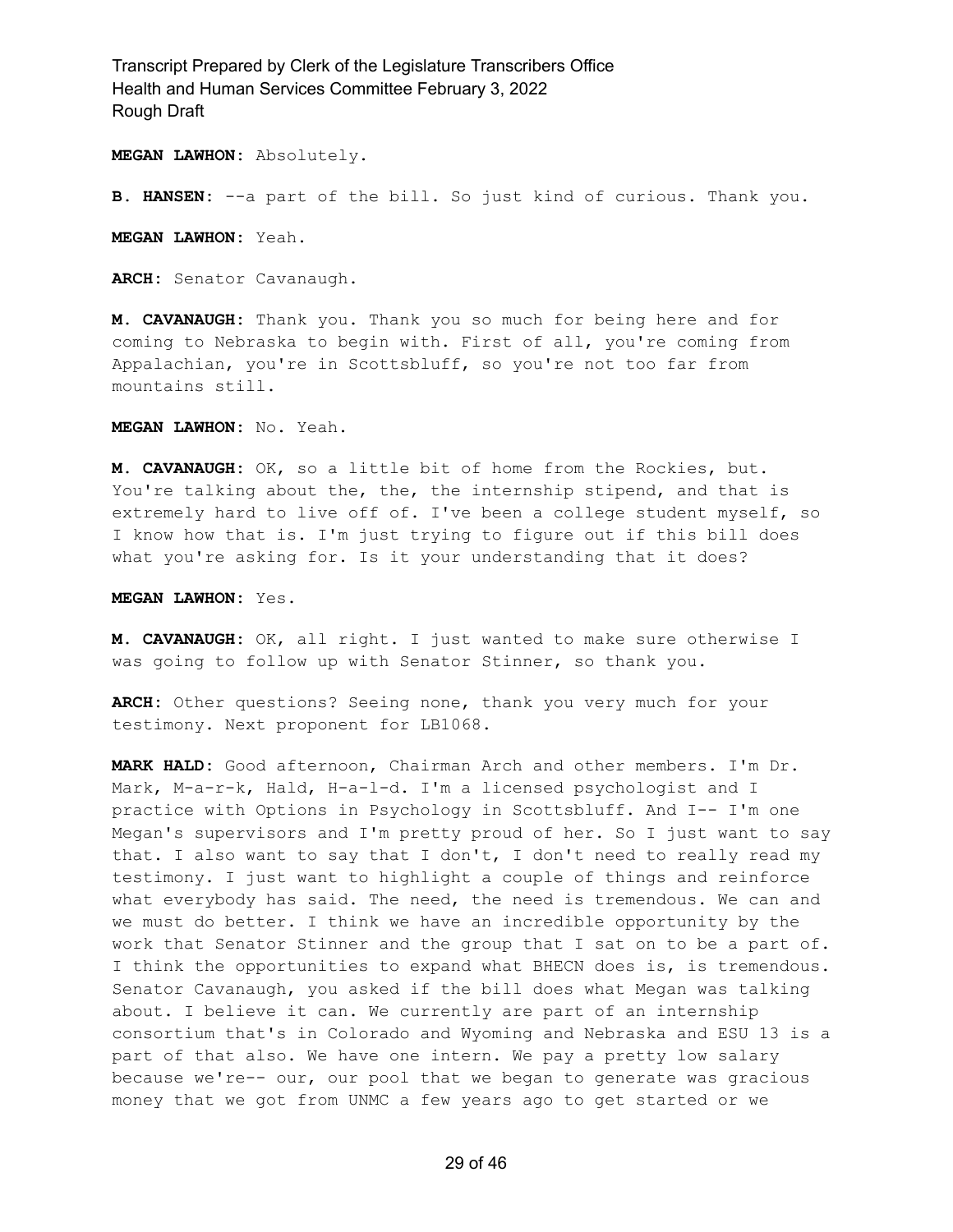**MEGAN LAWHON:** Absolutely.

**B. HANSEN:** --a part of the bill. So just kind of curious. Thank you.

**MEGAN LAWHON:** Yeah.

**ARCH:** Senator Cavanaugh.

**M. CAVANAUGH:** Thank you. Thank you so much for being here and for coming to Nebraska to begin with. First of all, you're coming from Appalachian, you're in Scottsbluff, so you're not too far from mountains still.

**MEGAN LAWHON:** No. Yeah.

**M. CAVANAUGH:** OK, so a little bit of home from the Rockies, but. You're talking about the, the, the internship stipend, and that is extremely hard to live off of. I've been a college student myself, so I know how that is. I'm just trying to figure out if this bill does what you're asking for. Is it your understanding that it does?

**MEGAN LAWHON:** Yes.

**M. CAVANAUGH:** OK, all right. I just wanted to make sure otherwise I was going to follow up with Senator Stinner, so thank you.

**ARCH:** Other questions? Seeing none, thank you very much for your testimony. Next proponent for LB1068.

**MARK HALD:** Good afternoon, Chairman Arch and other members. I'm Dr. Mark, M-a-r-k, Hald, H-a-l-d. I'm a licensed psychologist and I practice with Options in Psychology in Scottsbluff. And I-- I'm one Megan's supervisors and I'm pretty proud of her. So I just want to say that. I also want to say that I don't, I don't need to really read my testimony. I just want to highlight a couple of things and reinforce what everybody has said. The need, the need is tremendous. We can and we must do better. I think we have an incredible opportunity by the work that Senator Stinner and the group that I sat on to be a part of. I think the opportunities to expand what BHECN does is, is tremendous. Senator Cavanaugh, you asked if the bill does what Megan was talking about. I believe it can. We currently are part of an internship consortium that's in Colorado and Wyoming and Nebraska and ESU 13 is a part of that also. We have one intern. We pay a pretty low salary because we're-- our, our pool that we began to generate was gracious money that we got from UNMC a few years ago to get started or we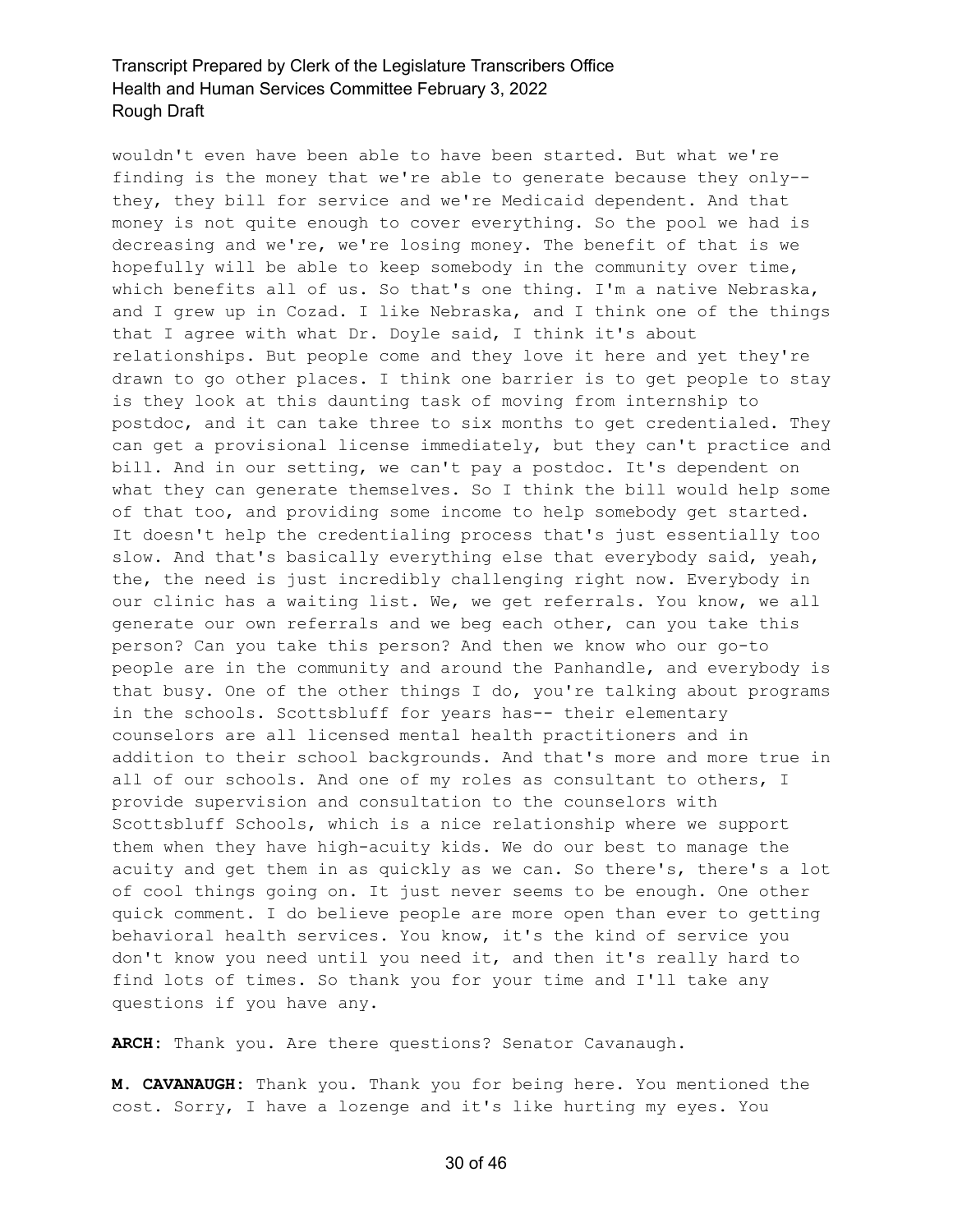wouldn't even have been able to have been started. But what we're finding is the money that we're able to generate because they only- they, they bill for service and we're Medicaid dependent. And that money is not quite enough to cover everything. So the pool we had is decreasing and we're, we're losing money. The benefit of that is we hopefully will be able to keep somebody in the community over time, which benefits all of us. So that's one thing. I'm a native Nebraska, and I grew up in Cozad. I like Nebraska, and I think one of the things that I agree with what Dr. Doyle said, I think it's about relationships. But people come and they love it here and yet they're drawn to go other places. I think one barrier is to get people to stay is they look at this daunting task of moving from internship to postdoc, and it can take three to six months to get credentialed. They can get a provisional license immediately, but they can't practice and bill. And in our setting, we can't pay a postdoc. It's dependent on what they can generate themselves. So I think the bill would help some of that too, and providing some income to help somebody get started. It doesn't help the credentialing process that's just essentially too slow. And that's basically everything else that everybody said, yeah, the, the need is just incredibly challenging right now. Everybody in our clinic has a waiting list. We, we get referrals. You know, we all generate our own referrals and we beg each other, can you take this person? Can you take this person? And then we know who our go-to people are in the community and around the Panhandle, and everybody is that busy. One of the other things I do, you're talking about programs in the schools. Scottsbluff for years has-- their elementary counselors are all licensed mental health practitioners and in addition to their school backgrounds. And that's more and more true in all of our schools. And one of my roles as consultant to others, I provide supervision and consultation to the counselors with Scottsbluff Schools, which is a nice relationship where we support them when they have high-acuity kids. We do our best to manage the acuity and get them in as quickly as we can. So there's, there's a lot of cool things going on. It just never seems to be enough. One other quick comment. I do believe people are more open than ever to getting behavioral health services. You know, it's the kind of service you don't know you need until you need it, and then it's really hard to find lots of times. So thank you for your time and I'll take any questions if you have any.

**ARCH:** Thank you. Are there questions? Senator Cavanaugh.

**M. CAVANAUGH:** Thank you. Thank you for being here. You mentioned the cost. Sorry, I have a lozenge and it's like hurting my eyes. You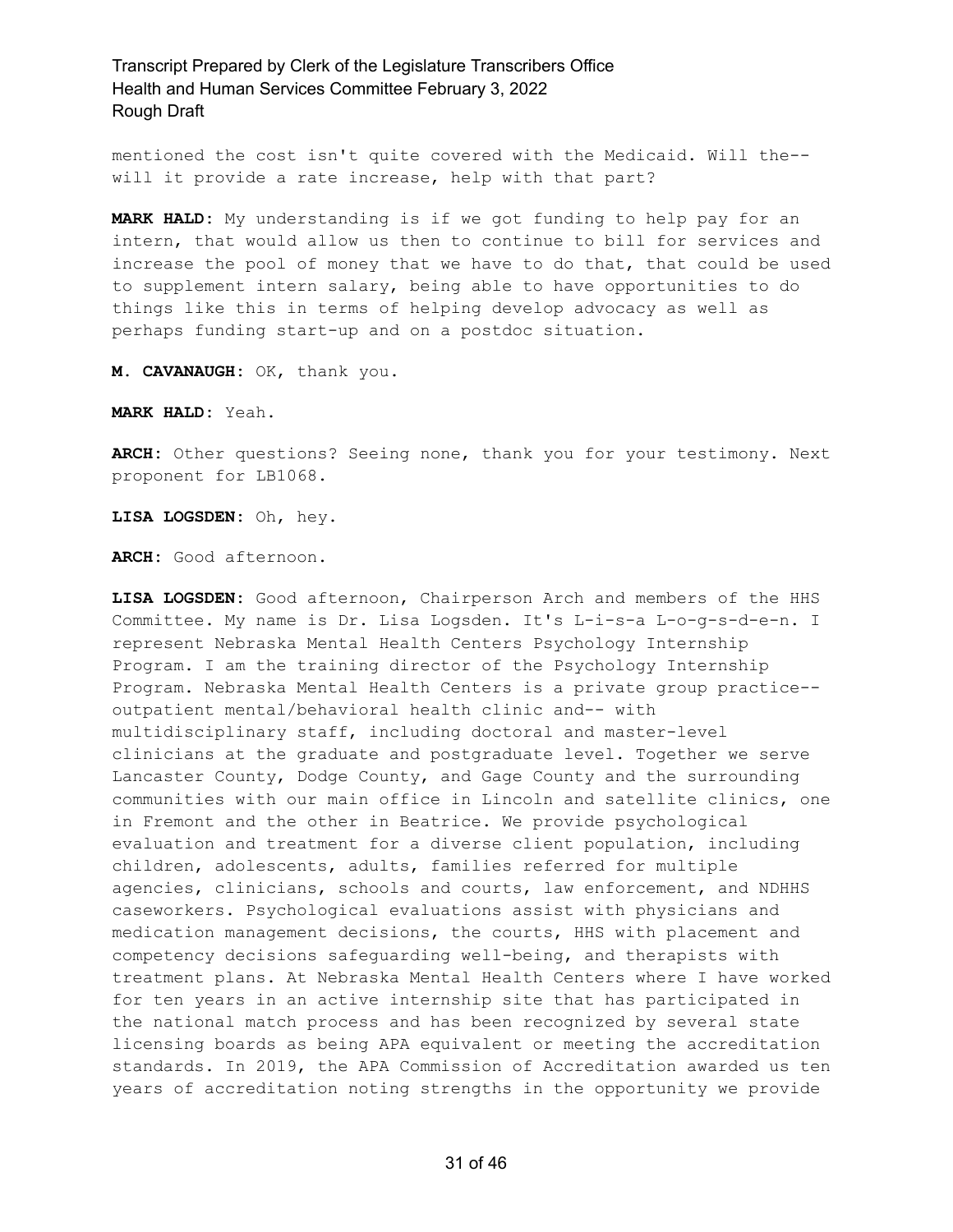mentioned the cost isn't quite covered with the Medicaid. Will the- will it provide a rate increase, help with that part?

**MARK HALD:** My understanding is if we got funding to help pay for an intern, that would allow us then to continue to bill for services and increase the pool of money that we have to do that, that could be used to supplement intern salary, being able to have opportunities to do things like this in terms of helping develop advocacy as well as perhaps funding start-up and on a postdoc situation.

**M. CAVANAUGH:** OK, thank you.

**MARK HALD:** Yeah.

**ARCH:** Other questions? Seeing none, thank you for your testimony. Next proponent for LB1068.

**LISA LOGSDEN:** Oh, hey.

**ARCH:** Good afternoon.

**LISA LOGSDEN:** Good afternoon, Chairperson Arch and members of the HHS Committee. My name is Dr. Lisa Logsden. It's L-i-s-a L-o-g-s-d-e-n. I represent Nebraska Mental Health Centers Psychology Internship Program. I am the training director of the Psychology Internship Program. Nebraska Mental Health Centers is a private group practice- outpatient mental/behavioral health clinic and-- with multidisciplinary staff, including doctoral and master-level clinicians at the graduate and postgraduate level. Together we serve Lancaster County, Dodge County, and Gage County and the surrounding communities with our main office in Lincoln and satellite clinics, one in Fremont and the other in Beatrice. We provide psychological evaluation and treatment for a diverse client population, including children, adolescents, adults, families referred for multiple agencies, clinicians, schools and courts, law enforcement, and NDHHS caseworkers. Psychological evaluations assist with physicians and medication management decisions, the courts, HHS with placement and competency decisions safeguarding well-being, and therapists with treatment plans. At Nebraska Mental Health Centers where I have worked for ten years in an active internship site that has participated in the national match process and has been recognized by several state licensing boards as being APA equivalent or meeting the accreditation standards. In 2019, the APA Commission of Accreditation awarded us ten years of accreditation noting strengths in the opportunity we provide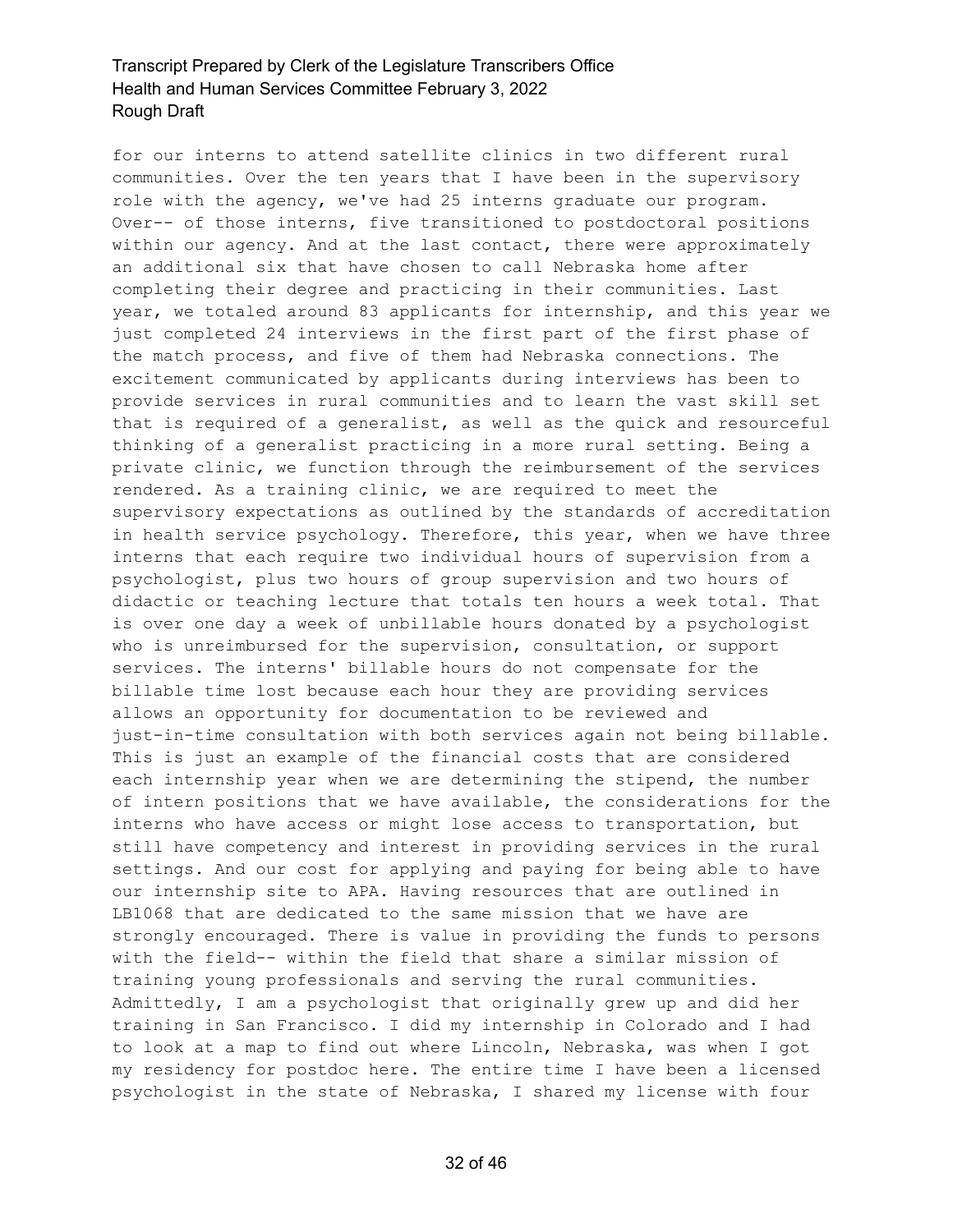for our interns to attend satellite clinics in two different rural communities. Over the ten years that I have been in the supervisory role with the agency, we've had 25 interns graduate our program. Over-- of those interns, five transitioned to postdoctoral positions within our agency. And at the last contact, there were approximately an additional six that have chosen to call Nebraska home after completing their degree and practicing in their communities. Last year, we totaled around 83 applicants for internship, and this year we just completed 24 interviews in the first part of the first phase of the match process, and five of them had Nebraska connections. The excitement communicated by applicants during interviews has been to provide services in rural communities and to learn the vast skill set that is required of a generalist, as well as the quick and resourceful thinking of a generalist practicing in a more rural setting. Being a private clinic, we function through the reimbursement of the services rendered. As a training clinic, we are required to meet the supervisory expectations as outlined by the standards of accreditation in health service psychology. Therefore, this year, when we have three interns that each require two individual hours of supervision from a psychologist, plus two hours of group supervision and two hours of didactic or teaching lecture that totals ten hours a week total. That is over one day a week of unbillable hours donated by a psychologist who is unreimbursed for the supervision, consultation, or support services. The interns' billable hours do not compensate for the billable time lost because each hour they are providing services allows an opportunity for documentation to be reviewed and just-in-time consultation with both services again not being billable. This is just an example of the financial costs that are considered each internship year when we are determining the stipend, the number of intern positions that we have available, the considerations for the interns who have access or might lose access to transportation, but still have competency and interest in providing services in the rural settings. And our cost for applying and paying for being able to have our internship site to APA. Having resources that are outlined in LB1068 that are dedicated to the same mission that we have are strongly encouraged. There is value in providing the funds to persons with the field-- within the field that share a similar mission of training young professionals and serving the rural communities. Admittedly, I am a psychologist that originally grew up and did her training in San Francisco. I did my internship in Colorado and I had to look at a map to find out where Lincoln, Nebraska, was when I got my residency for postdoc here. The entire time I have been a licensed psychologist in the state of Nebraska, I shared my license with four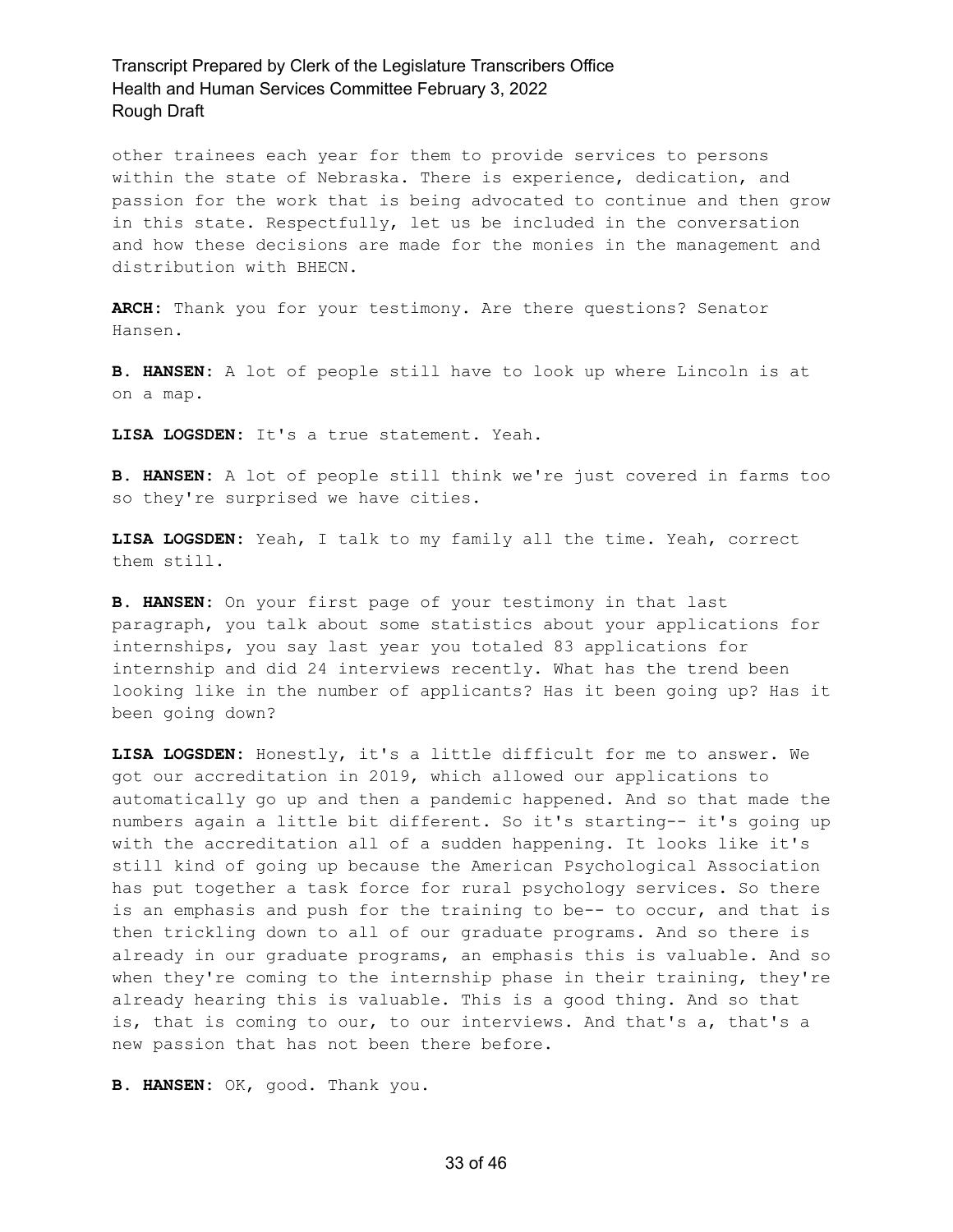other trainees each year for them to provide services to persons within the state of Nebraska. There is experience, dedication, and passion for the work that is being advocated to continue and then grow in this state. Respectfully, let us be included in the conversation and how these decisions are made for the monies in the management and distribution with BHECN.

**ARCH:** Thank you for your testimony. Are there questions? Senator Hansen.

**B. HANSEN:** A lot of people still have to look up where Lincoln is at on a map.

**LISA LOGSDEN:** It's a true statement. Yeah.

**B. HANSEN:** A lot of people still think we're just covered in farms too so they're surprised we have cities.

**LISA LOGSDEN:** Yeah, I talk to my family all the time. Yeah, correct them still.

**B. HANSEN:** On your first page of your testimony in that last paragraph, you talk about some statistics about your applications for internships, you say last year you totaled 83 applications for internship and did 24 interviews recently. What has the trend been looking like in the number of applicants? Has it been going up? Has it been going down?

**LISA LOGSDEN:** Honestly, it's a little difficult for me to answer. We got our accreditation in 2019, which allowed our applications to automatically go up and then a pandemic happened. And so that made the numbers again a little bit different. So it's starting-- it's going up with the accreditation all of a sudden happening. It looks like it's still kind of going up because the American Psychological Association has put together a task force for rural psychology services. So there is an emphasis and push for the training to be-- to occur, and that is then trickling down to all of our graduate programs. And so there is already in our graduate programs, an emphasis this is valuable. And so when they're coming to the internship phase in their training, they're already hearing this is valuable. This is a good thing. And so that is, that is coming to our, to our interviews. And that's a, that's a new passion that has not been there before.

**B. HANSEN:** OK, good. Thank you.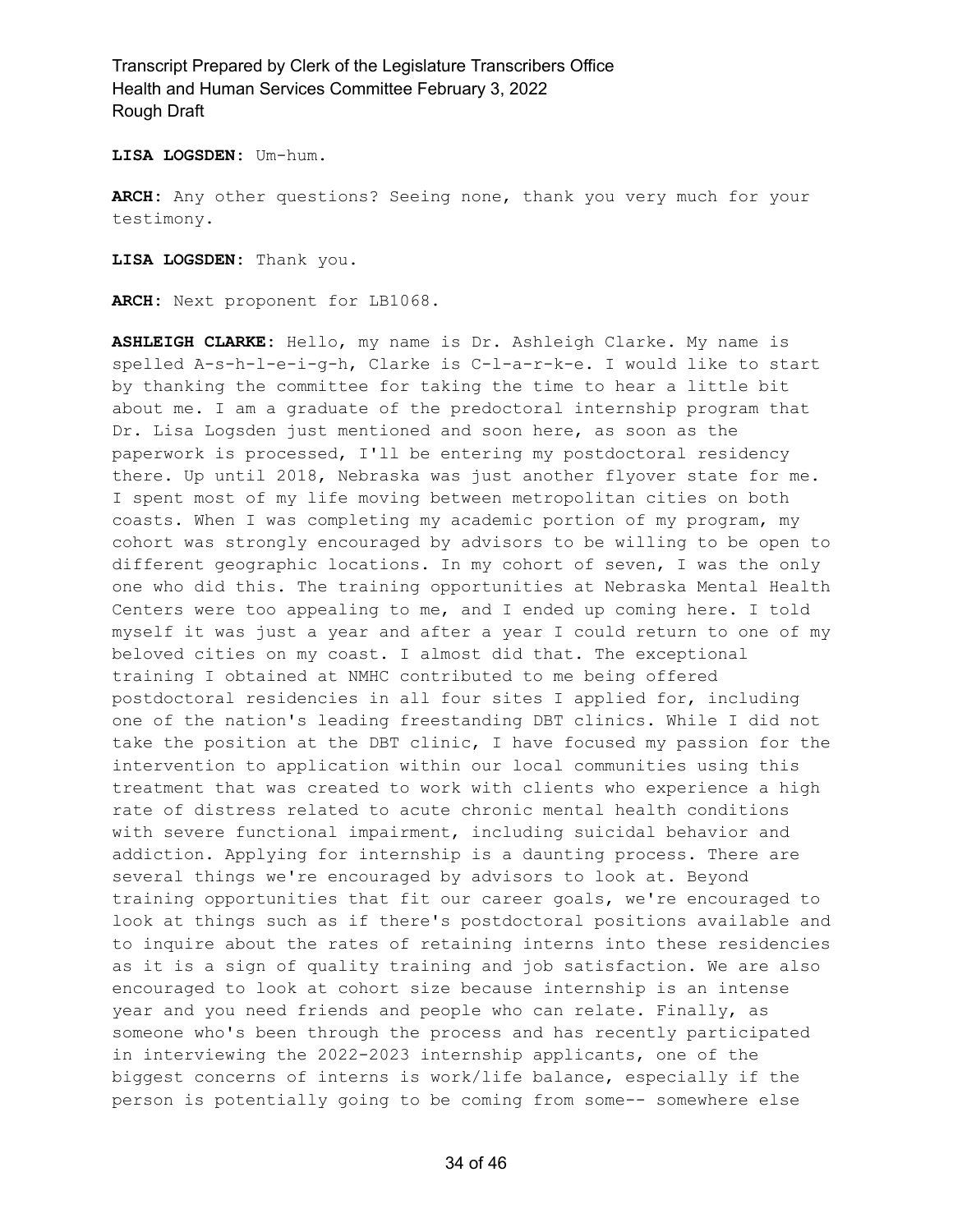**LISA LOGSDEN:** Um-hum.

**ARCH:** Any other questions? Seeing none, thank you very much for your testimony.

**LISA LOGSDEN:** Thank you.

**ARCH:** Next proponent for LB1068.

**ASHLEIGH CLARKE:** Hello, my name is Dr. Ashleigh Clarke. My name is spelled A-s-h-l-e-i-g-h, Clarke is C-l-a-r-k-e. I would like to start by thanking the committee for taking the time to hear a little bit about me. I am a graduate of the predoctoral internship program that Dr. Lisa Logsden just mentioned and soon here, as soon as the paperwork is processed, I'll be entering my postdoctoral residency there. Up until 2018, Nebraska was just another flyover state for me. I spent most of my life moving between metropolitan cities on both coasts. When I was completing my academic portion of my program, my cohort was strongly encouraged by advisors to be willing to be open to different geographic locations. In my cohort of seven, I was the only one who did this. The training opportunities at Nebraska Mental Health Centers were too appealing to me, and I ended up coming here. I told myself it was just a year and after a year I could return to one of my beloved cities on my coast. I almost did that. The exceptional training I obtained at NMHC contributed to me being offered postdoctoral residencies in all four sites I applied for, including one of the nation's leading freestanding DBT clinics. While I did not take the position at the DBT clinic, I have focused my passion for the intervention to application within our local communities using this treatment that was created to work with clients who experience a high rate of distress related to acute chronic mental health conditions with severe functional impairment, including suicidal behavior and addiction. Applying for internship is a daunting process. There are several things we're encouraged by advisors to look at. Beyond training opportunities that fit our career goals, we're encouraged to look at things such as if there's postdoctoral positions available and to inquire about the rates of retaining interns into these residencies as it is a sign of quality training and job satisfaction. We are also encouraged to look at cohort size because internship is an intense year and you need friends and people who can relate. Finally, as someone who's been through the process and has recently participated in interviewing the 2022-2023 internship applicants, one of the biggest concerns of interns is work/life balance, especially if the person is potentially going to be coming from some-- somewhere else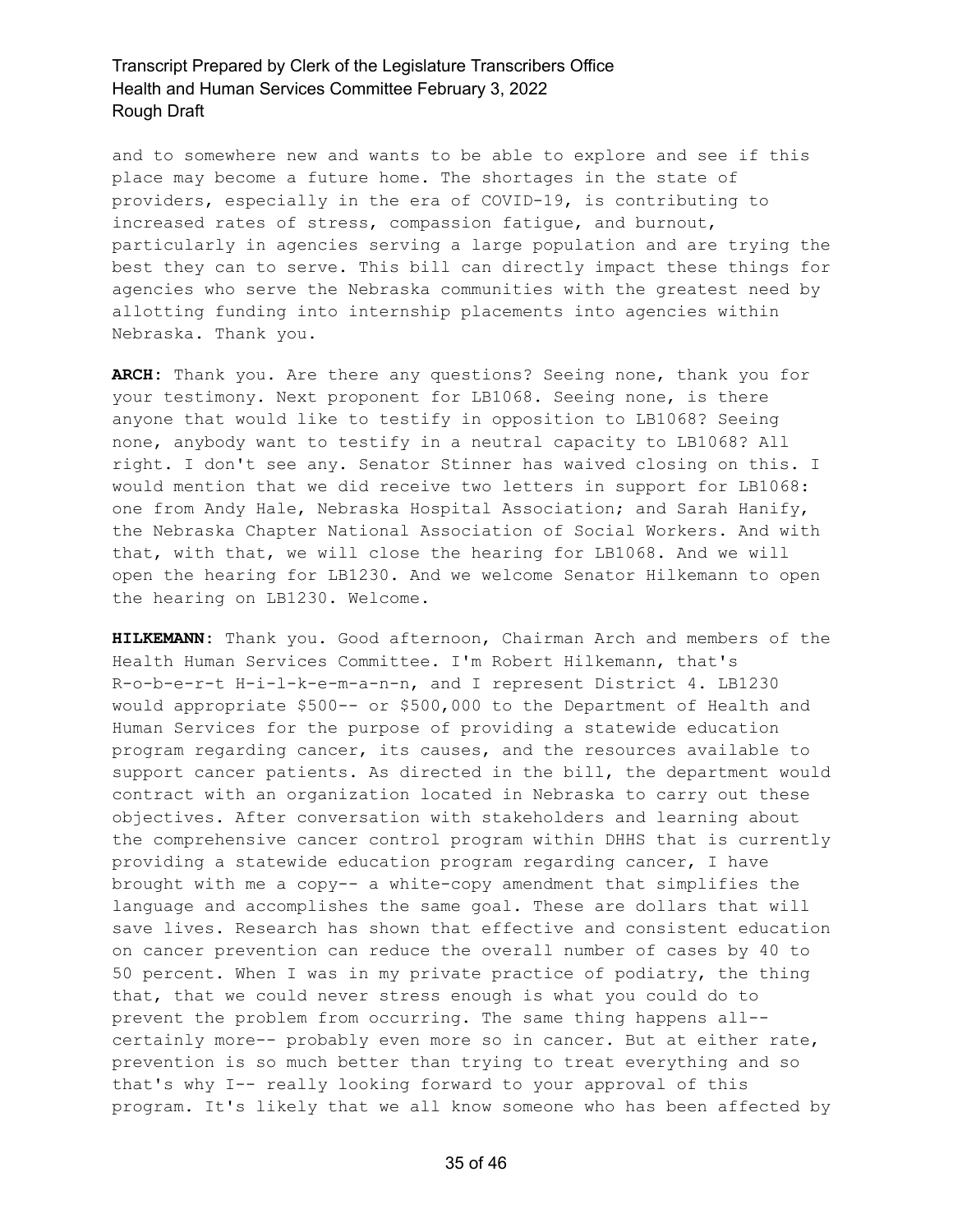and to somewhere new and wants to be able to explore and see if this place may become a future home. The shortages in the state of providers, especially in the era of COVID-19, is contributing to increased rates of stress, compassion fatigue, and burnout, particularly in agencies serving a large population and are trying the best they can to serve. This bill can directly impact these things for agencies who serve the Nebraska communities with the greatest need by allotting funding into internship placements into agencies within Nebraska. Thank you.

**ARCH:** Thank you. Are there any questions? Seeing none, thank you for your testimony. Next proponent for LB1068. Seeing none, is there anyone that would like to testify in opposition to LB1068? Seeing none, anybody want to testify in a neutral capacity to LB1068? All right. I don't see any. Senator Stinner has waived closing on this. I would mention that we did receive two letters in support for LB1068: one from Andy Hale, Nebraska Hospital Association; and Sarah Hanify, the Nebraska Chapter National Association of Social Workers. And with that, with that, we will close the hearing for LB1068. And we will open the hearing for LB1230. And we welcome Senator Hilkemann to open the hearing on LB1230. Welcome.

**HILKEMANN:** Thank you. Good afternoon, Chairman Arch and members of the Health Human Services Committee. I'm Robert Hilkemann, that's R-o-b-e-r-t H-i-l-k-e-m-a-n-n, and I represent District 4. LB1230 would appropriate \$500-- or \$500,000 to the Department of Health and Human Services for the purpose of providing a statewide education program regarding cancer, its causes, and the resources available to support cancer patients. As directed in the bill, the department would contract with an organization located in Nebraska to carry out these objectives. After conversation with stakeholders and learning about the comprehensive cancer control program within DHHS that is currently providing a statewide education program regarding cancer, I have brought with me a copy-- a white-copy amendment that simplifies the language and accomplishes the same goal. These are dollars that will save lives. Research has shown that effective and consistent education on cancer prevention can reduce the overall number of cases by 40 to 50 percent. When I was in my private practice of podiatry, the thing that, that we could never stress enough is what you could do to prevent the problem from occurring. The same thing happens all- certainly more-- probably even more so in cancer. But at either rate, prevention is so much better than trying to treat everything and so that's why I-- really looking forward to your approval of this program. It's likely that we all know someone who has been affected by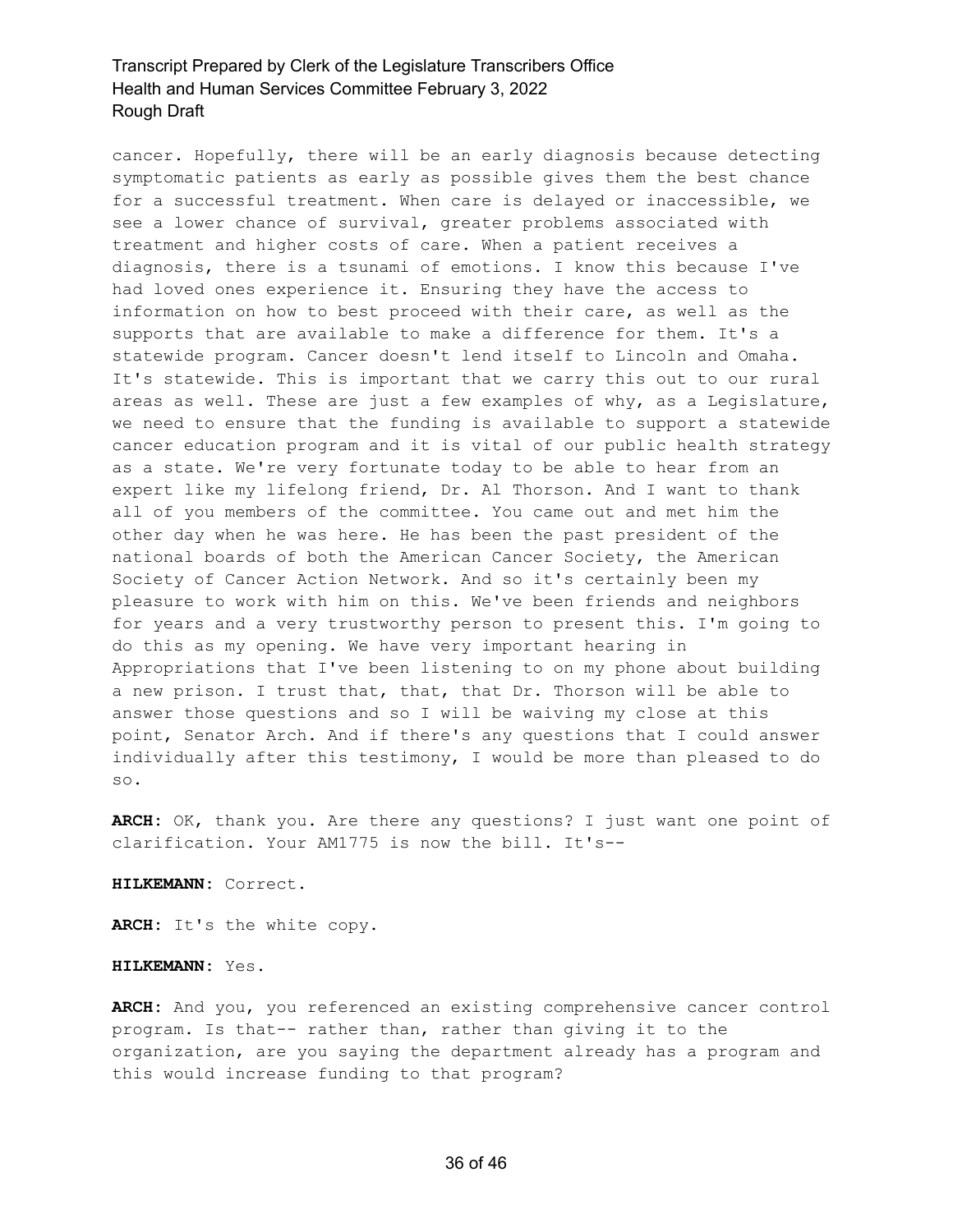cancer. Hopefully, there will be an early diagnosis because detecting symptomatic patients as early as possible gives them the best chance for a successful treatment. When care is delayed or inaccessible, we see a lower chance of survival, greater problems associated with treatment and higher costs of care. When a patient receives a diagnosis, there is a tsunami of emotions. I know this because I've had loved ones experience it. Ensuring they have the access to information on how to best proceed with their care, as well as the supports that are available to make a difference for them. It's a statewide program. Cancer doesn't lend itself to Lincoln and Omaha. It's statewide. This is important that we carry this out to our rural areas as well. These are just a few examples of why, as a Legislature, we need to ensure that the funding is available to support a statewide cancer education program and it is vital of our public health strategy as a state. We're very fortunate today to be able to hear from an expert like my lifelong friend, Dr. Al Thorson. And I want to thank all of you members of the committee. You came out and met him the other day when he was here. He has been the past president of the national boards of both the American Cancer Society, the American Society of Cancer Action Network. And so it's certainly been my pleasure to work with him on this. We've been friends and neighbors for years and a very trustworthy person to present this. I'm going to do this as my opening. We have very important hearing in Appropriations that I've been listening to on my phone about building a new prison. I trust that, that, that Dr. Thorson will be able to answer those questions and so I will be waiving my close at this point, Senator Arch. And if there's any questions that I could answer individually after this testimony, I would be more than pleased to do so.

**ARCH:** OK, thank you. Are there any questions? I just want one point of clarification. Your AM1775 is now the bill. It's--

**HILKEMANN:** Correct.

**ARCH:** It's the white copy.

#### **HILKEMANN:** Yes.

**ARCH:** And you, you referenced an existing comprehensive cancer control program. Is that-- rather than, rather than giving it to the organization, are you saying the department already has a program and this would increase funding to that program?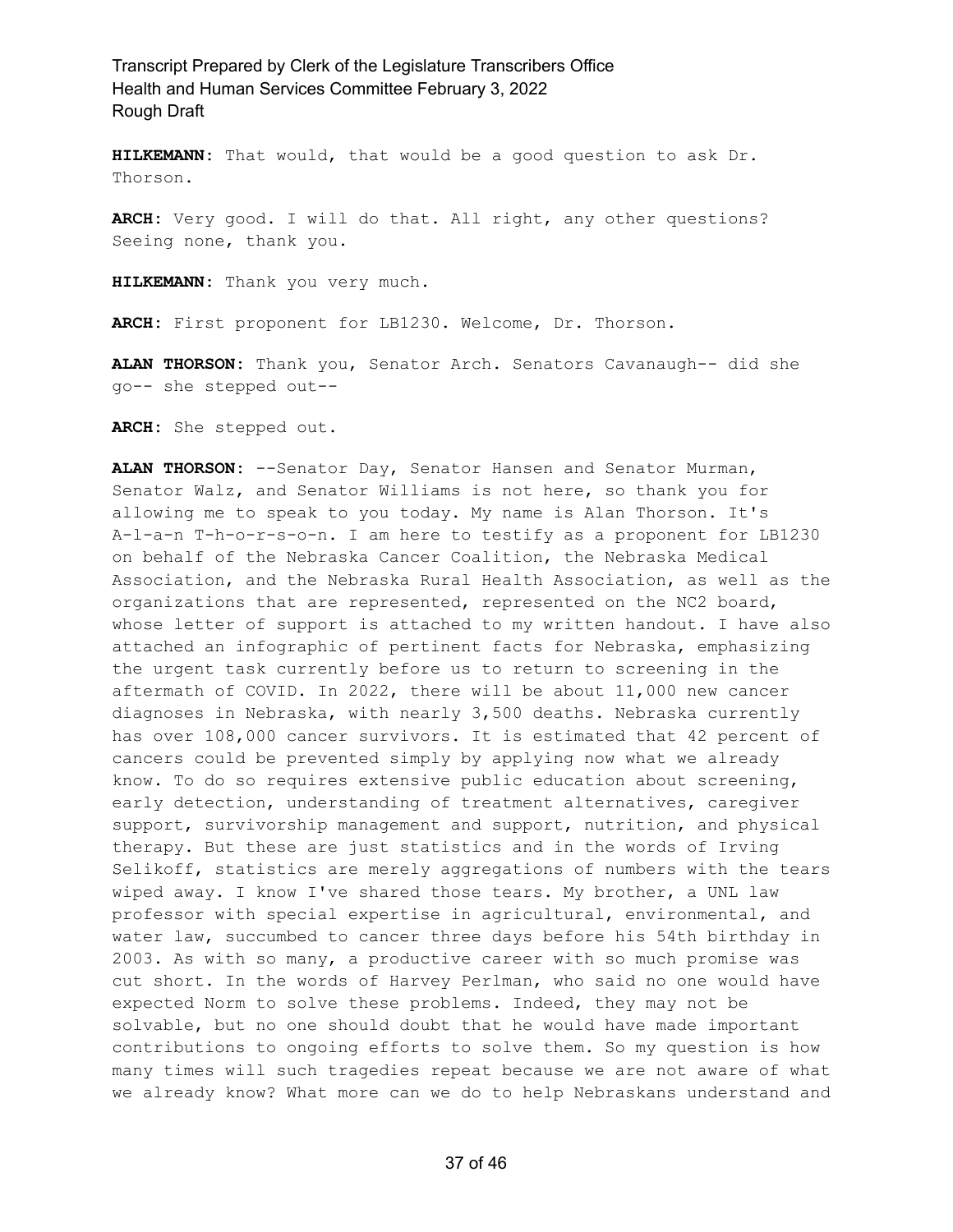**HILKEMANN:** That would, that would be a good question to ask Dr. Thorson.

**ARCH:** Very good. I will do that. All right, any other questions? Seeing none, thank you.

**HILKEMANN:** Thank you very much.

**ARCH:** First proponent for LB1230. Welcome, Dr. Thorson.

**ALAN THORSON:** Thank you, Senator Arch. Senators Cavanaugh-- did she go-- she stepped out--

**ARCH:** She stepped out.

**ALAN THORSON:** --Senator Day, Senator Hansen and Senator Murman, Senator Walz, and Senator Williams is not here, so thank you for allowing me to speak to you today. My name is Alan Thorson. It's A-l-a-n T-h-o-r-s-o-n. I am here to testify as a proponent for LB1230 on behalf of the Nebraska Cancer Coalition, the Nebraska Medical Association, and the Nebraska Rural Health Association, as well as the organizations that are represented, represented on the NC2 board, whose letter of support is attached to my written handout. I have also attached an infographic of pertinent facts for Nebraska, emphasizing the urgent task currently before us to return to screening in the aftermath of COVID. In 2022, there will be about 11,000 new cancer diagnoses in Nebraska, with nearly 3,500 deaths. Nebraska currently has over 108,000 cancer survivors. It is estimated that 42 percent of cancers could be prevented simply by applying now what we already know. To do so requires extensive public education about screening, early detection, understanding of treatment alternatives, caregiver support, survivorship management and support, nutrition, and physical therapy. But these are just statistics and in the words of Irving Selikoff, statistics are merely aggregations of numbers with the tears wiped away. I know I've shared those tears. My brother, a UNL law professor with special expertise in agricultural, environmental, and water law, succumbed to cancer three days before his 54th birthday in 2003. As with so many, a productive career with so much promise was cut short. In the words of Harvey Perlman, who said no one would have expected Norm to solve these problems. Indeed, they may not be solvable, but no one should doubt that he would have made important contributions to ongoing efforts to solve them. So my question is how many times will such tragedies repeat because we are not aware of what we already know? What more can we do to help Nebraskans understand and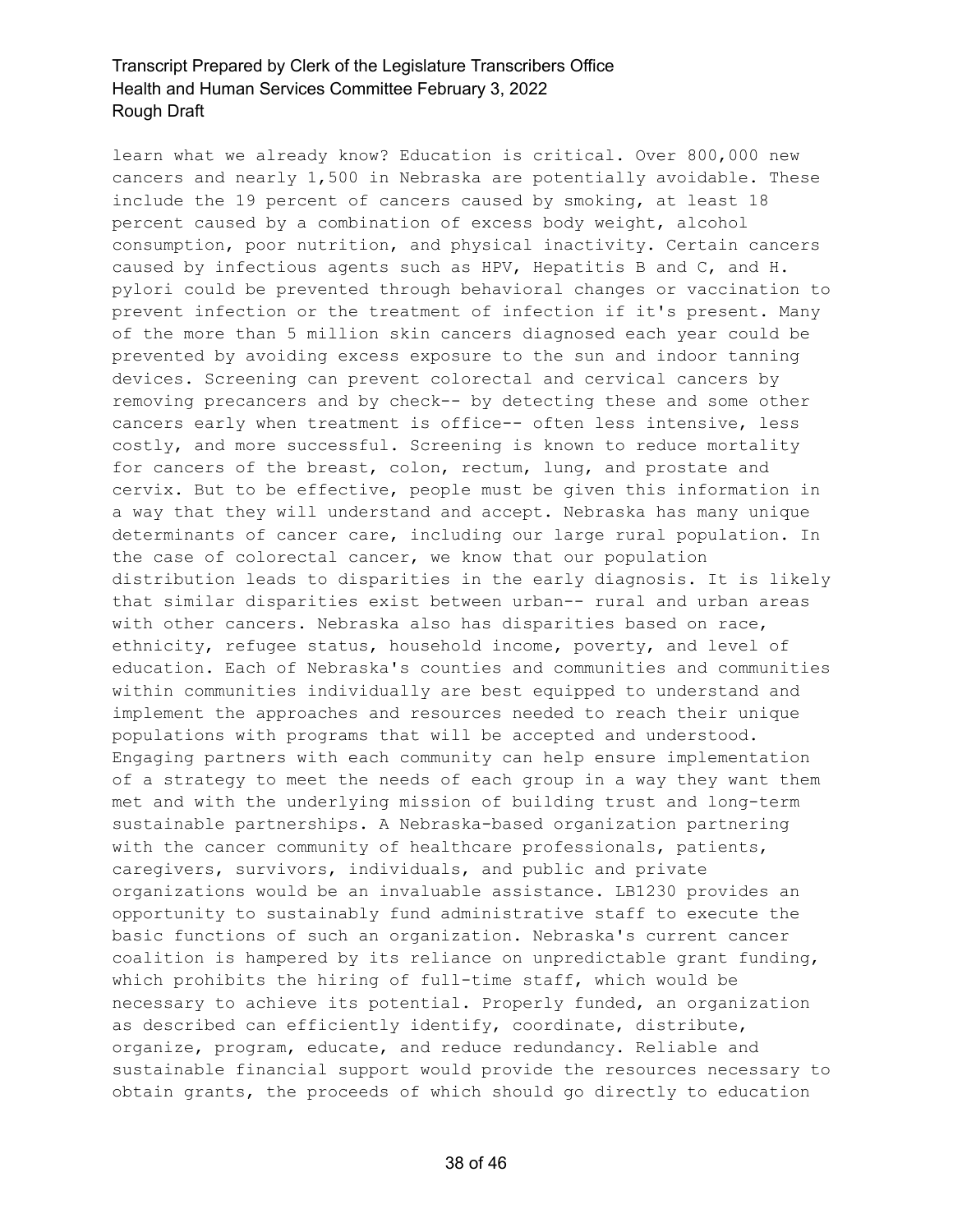learn what we already know? Education is critical. Over 800,000 new cancers and nearly 1,500 in Nebraska are potentially avoidable. These include the 19 percent of cancers caused by smoking, at least 18 percent caused by a combination of excess body weight, alcohol consumption, poor nutrition, and physical inactivity. Certain cancers caused by infectious agents such as HPV, Hepatitis B and C, and H. pylori could be prevented through behavioral changes or vaccination to prevent infection or the treatment of infection if it's present. Many of the more than 5 million skin cancers diagnosed each year could be prevented by avoiding excess exposure to the sun and indoor tanning devices. Screening can prevent colorectal and cervical cancers by removing precancers and by check-- by detecting these and some other cancers early when treatment is office-- often less intensive, less costly, and more successful. Screening is known to reduce mortality for cancers of the breast, colon, rectum, lung, and prostate and cervix. But to be effective, people must be given this information in a way that they will understand and accept. Nebraska has many unique determinants of cancer care, including our large rural population. In the case of colorectal cancer, we know that our population distribution leads to disparities in the early diagnosis. It is likely that similar disparities exist between urban-- rural and urban areas with other cancers. Nebraska also has disparities based on race, ethnicity, refugee status, household income, poverty, and level of education. Each of Nebraska's counties and communities and communities within communities individually are best equipped to understand and implement the approaches and resources needed to reach their unique populations with programs that will be accepted and understood. Engaging partners with each community can help ensure implementation of a strategy to meet the needs of each group in a way they want them met and with the underlying mission of building trust and long-term sustainable partnerships. A Nebraska-based organization partnering with the cancer community of healthcare professionals, patients, caregivers, survivors, individuals, and public and private organizations would be an invaluable assistance. LB1230 provides an opportunity to sustainably fund administrative staff to execute the basic functions of such an organization. Nebraska's current cancer coalition is hampered by its reliance on unpredictable grant funding, which prohibits the hiring of full-time staff, which would be necessary to achieve its potential. Properly funded, an organization as described can efficiently identify, coordinate, distribute, organize, program, educate, and reduce redundancy. Reliable and sustainable financial support would provide the resources necessary to obtain grants, the proceeds of which should go directly to education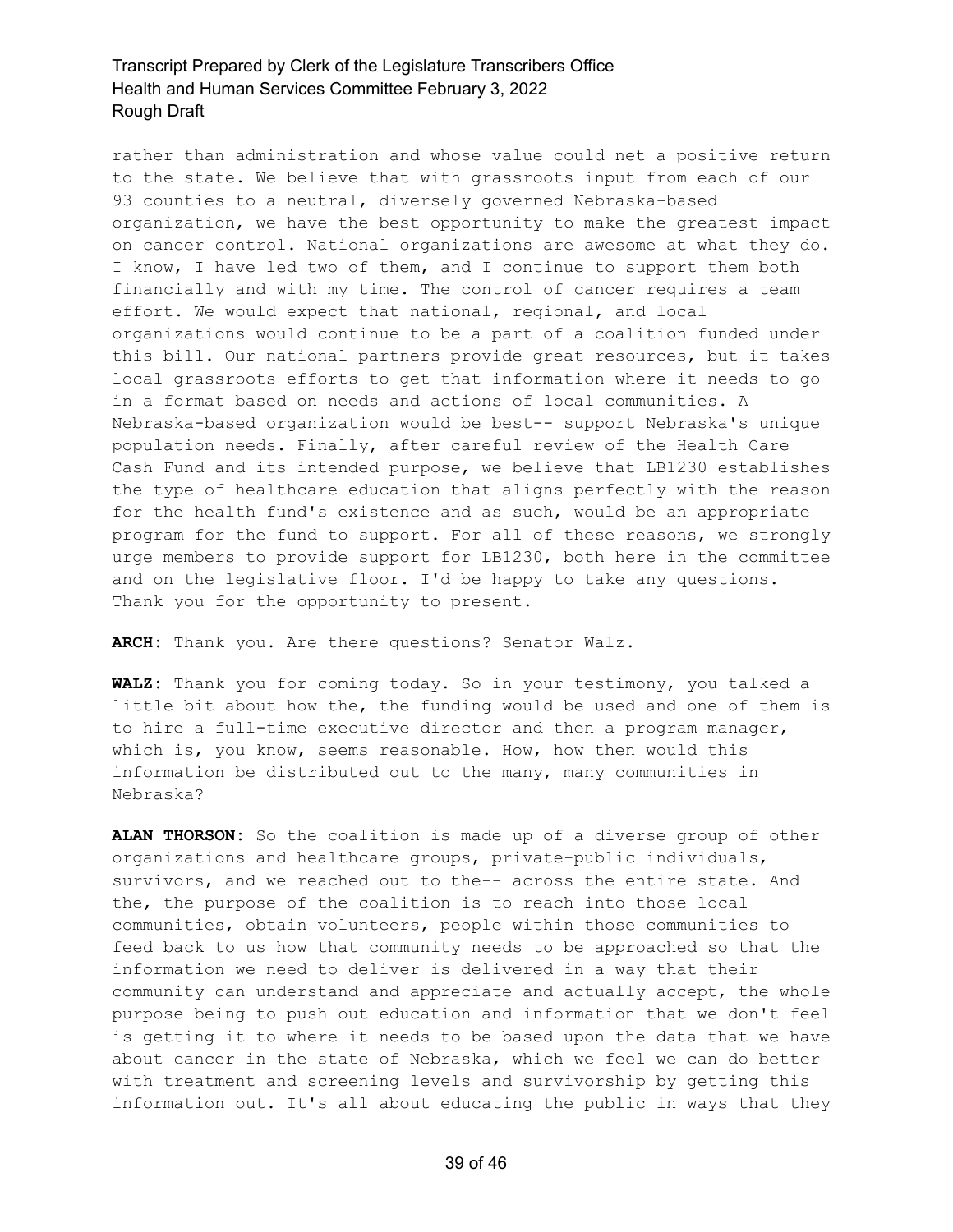rather than administration and whose value could net a positive return to the state. We believe that with grassroots input from each of our 93 counties to a neutral, diversely governed Nebraska-based organization, we have the best opportunity to make the greatest impact on cancer control. National organizations are awesome at what they do. I know, I have led two of them, and I continue to support them both financially and with my time. The control of cancer requires a team effort. We would expect that national, regional, and local organizations would continue to be a part of a coalition funded under this bill. Our national partners provide great resources, but it takes local grassroots efforts to get that information where it needs to go in a format based on needs and actions of local communities. A Nebraska-based organization would be best-- support Nebraska's unique population needs. Finally, after careful review of the Health Care Cash Fund and its intended purpose, we believe that LB1230 establishes the type of healthcare education that aligns perfectly with the reason for the health fund's existence and as such, would be an appropriate program for the fund to support. For all of these reasons, we strongly urge members to provide support for LB1230, both here in the committee and on the legislative floor. I'd be happy to take any questions. Thank you for the opportunity to present.

**ARCH:** Thank you. Are there questions? Senator Walz.

**WALZ:** Thank you for coming today. So in your testimony, you talked a little bit about how the, the funding would be used and one of them is to hire a full-time executive director and then a program manager, which is, you know, seems reasonable. How, how then would this information be distributed out to the many, many communities in Nebraska?

**ALAN THORSON:** So the coalition is made up of a diverse group of other organizations and healthcare groups, private-public individuals, survivors, and we reached out to the-- across the entire state. And the, the purpose of the coalition is to reach into those local communities, obtain volunteers, people within those communities to feed back to us how that community needs to be approached so that the information we need to deliver is delivered in a way that their community can understand and appreciate and actually accept, the whole purpose being to push out education and information that we don't feel is getting it to where it needs to be based upon the data that we have about cancer in the state of Nebraska, which we feel we can do better with treatment and screening levels and survivorship by getting this information out. It's all about educating the public in ways that they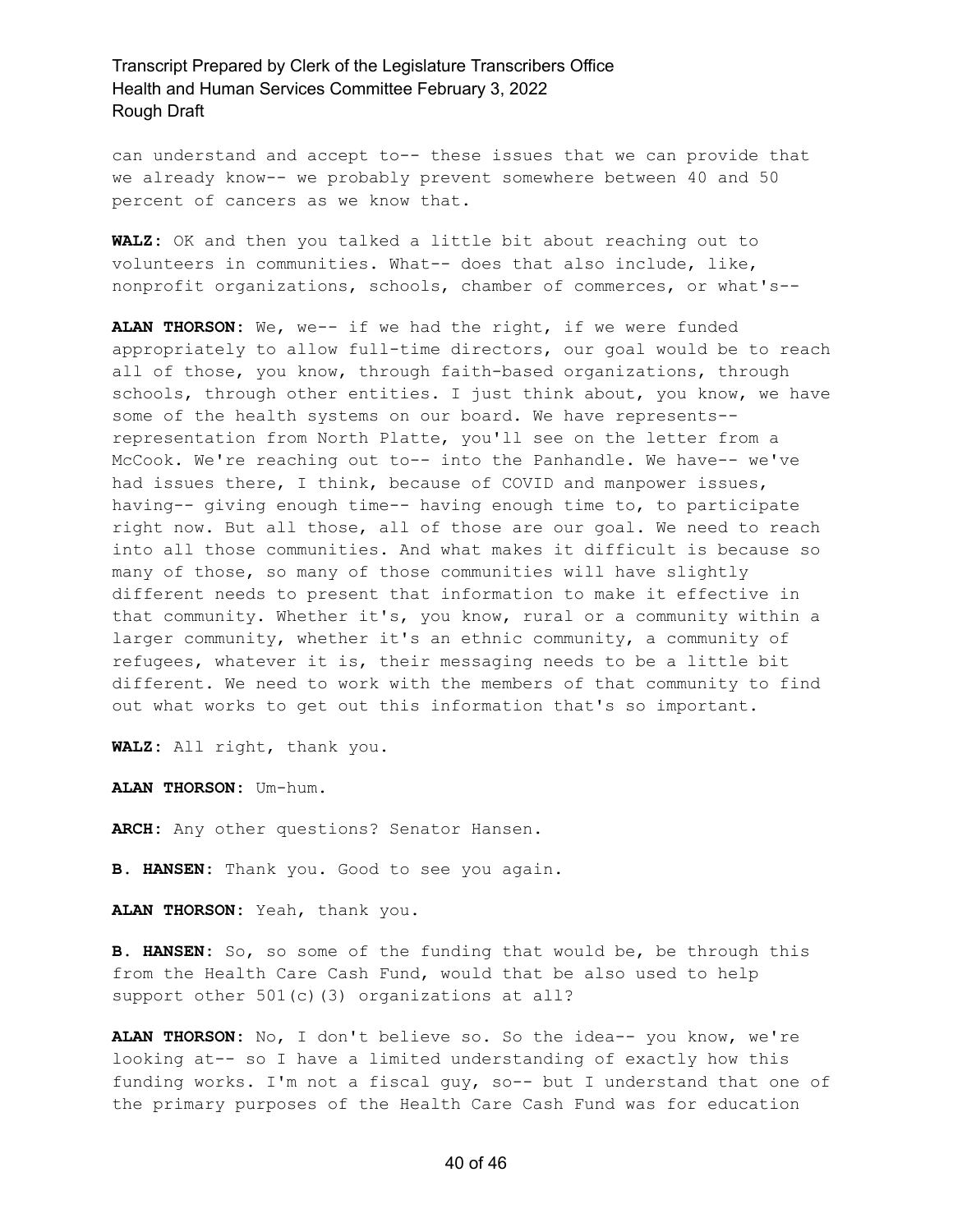can understand and accept to-- these issues that we can provide that we already know-- we probably prevent somewhere between 40 and 50 percent of cancers as we know that.

**WALZ:** OK and then you talked a little bit about reaching out to volunteers in communities. What-- does that also include, like, nonprofit organizations, schools, chamber of commerces, or what's--

**ALAN THORSON:** We, we-- if we had the right, if we were funded appropriately to allow full-time directors, our goal would be to reach all of those, you know, through faith-based organizations, through schools, through other entities. I just think about, you know, we have some of the health systems on our board. We have represents- representation from North Platte, you'll see on the letter from a McCook. We're reaching out to-- into the Panhandle. We have-- we've had issues there, I think, because of COVID and manpower issues, having-- giving enough time-- having enough time to, to participate right now. But all those, all of those are our goal. We need to reach into all those communities. And what makes it difficult is because so many of those, so many of those communities will have slightly different needs to present that information to make it effective in that community. Whether it's, you know, rural or a community within a larger community, whether it's an ethnic community, a community of refugees, whatever it is, their messaging needs to be a little bit different. We need to work with the members of that community to find out what works to get out this information that's so important.

**WALZ:** All right, thank you.

**ALAN THORSON:** Um-hum.

**ARCH:** Any other questions? Senator Hansen.

**B. HANSEN:** Thank you. Good to see you again.

**ALAN THORSON:** Yeah, thank you.

**B. HANSEN:** So, so some of the funding that would be, be through this from the Health Care Cash Fund, would that be also used to help support other 501(c)(3) organizations at all?

**ALAN THORSON:** No, I don't believe so. So the idea-- you know, we're looking at-- so I have a limited understanding of exactly how this funding works. I'm not a fiscal guy, so-- but I understand that one of the primary purposes of the Health Care Cash Fund was for education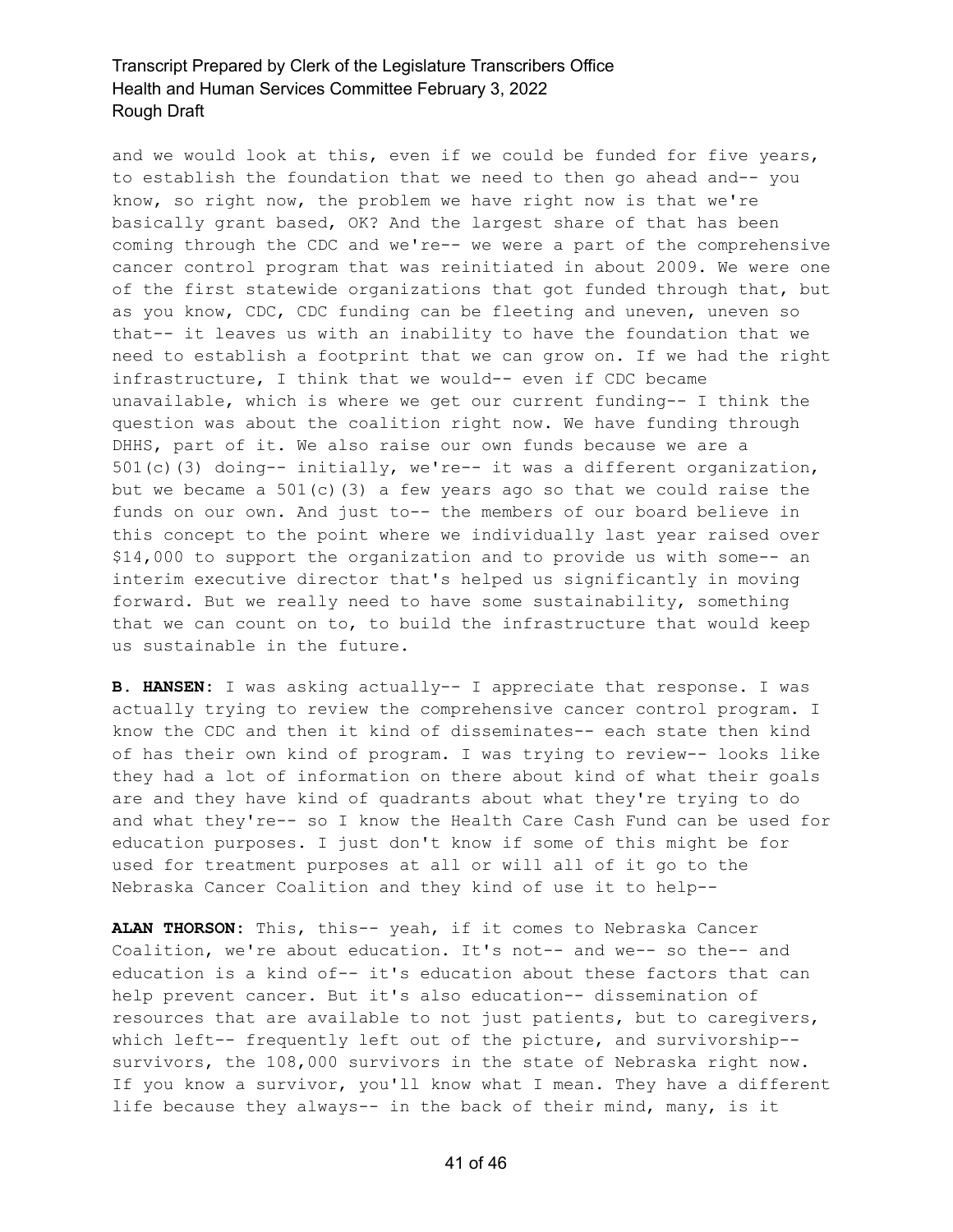and we would look at this, even if we could be funded for five years, to establish the foundation that we need to then go ahead and-- you know, so right now, the problem we have right now is that we're basically grant based, OK? And the largest share of that has been coming through the CDC and we're-- we were a part of the comprehensive cancer control program that was reinitiated in about 2009. We were one of the first statewide organizations that got funded through that, but as you know, CDC, CDC funding can be fleeting and uneven, uneven so that-- it leaves us with an inability to have the foundation that we need to establish a footprint that we can grow on. If we had the right infrastructure, I think that we would-- even if CDC became unavailable, which is where we get our current funding-- I think the question was about the coalition right now. We have funding through DHHS, part of it. We also raise our own funds because we are a 501(c)(3) doing-- initially, we're-- it was a different organization, but we became a  $501(c)$  (3) a few years ago so that we could raise the funds on our own. And just to-- the members of our board believe in this concept to the point where we individually last year raised over \$14,000 to support the organization and to provide us with some-- an interim executive director that's helped us significantly in moving forward. But we really need to have some sustainability, something that we can count on to, to build the infrastructure that would keep us sustainable in the future.

**B. HANSEN:** I was asking actually-- I appreciate that response. I was actually trying to review the comprehensive cancer control program. I know the CDC and then it kind of disseminates-- each state then kind of has their own kind of program. I was trying to review-- looks like they had a lot of information on there about kind of what their goals are and they have kind of quadrants about what they're trying to do and what they're-- so I know the Health Care Cash Fund can be used for education purposes. I just don't know if some of this might be for used for treatment purposes at all or will all of it go to the Nebraska Cancer Coalition and they kind of use it to help--

**ALAN THORSON:** This, this-- yeah, if it comes to Nebraska Cancer Coalition, we're about education. It's not-- and we-- so the-- and education is a kind of-- it's education about these factors that can help prevent cancer. But it's also education-- dissemination of resources that are available to not just patients, but to caregivers, which left-- frequently left out of the picture, and survivorship- survivors, the 108,000 survivors in the state of Nebraska right now. If you know a survivor, you'll know what I mean. They have a different life because they always-- in the back of their mind, many, is it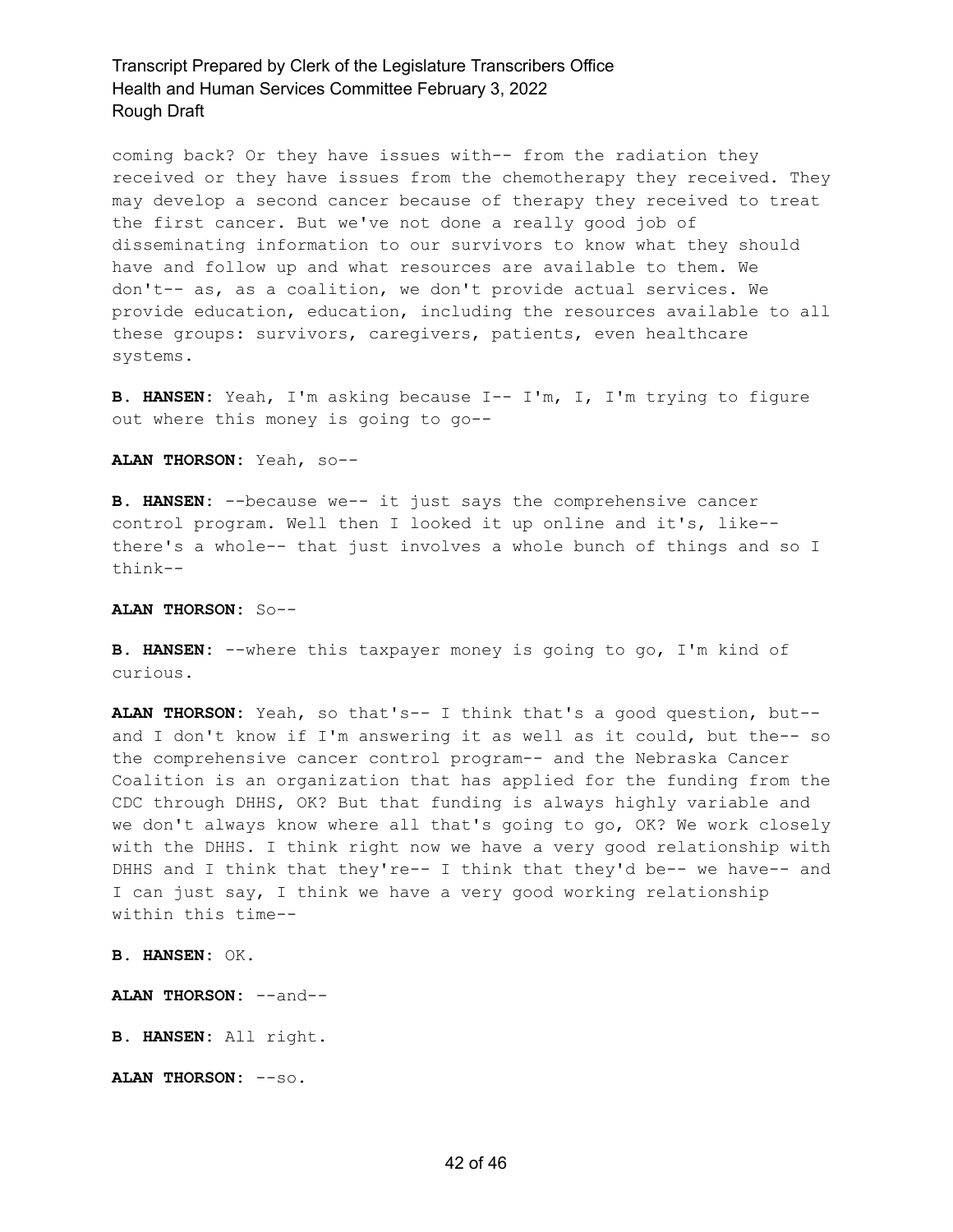coming back? Or they have issues with-- from the radiation they received or they have issues from the chemotherapy they received. They may develop a second cancer because of therapy they received to treat the first cancer. But we've not done a really good job of disseminating information to our survivors to know what they should have and follow up and what resources are available to them. We don't-- as, as a coalition, we don't provide actual services. We provide education, education, including the resources available to all these groups: survivors, caregivers, patients, even healthcare systems.

**B. HANSEN:** Yeah, I'm asking because I-- I'm, I, I'm trying to figure out where this money is going to go--

**ALAN THORSON:** Yeah, so--

**B. HANSEN:** --because we-- it just says the comprehensive cancer control program. Well then I looked it up online and it's, like- there's a whole-- that just involves a whole bunch of things and so I think--

#### **ALAN THORSON:** So--

**B. HANSEN:** --where this taxpayer money is going to go, I'm kind of curious.

**ALAN THORSON:** Yeah, so that's-- I think that's a good question, but- and I don't know if I'm answering it as well as it could, but the-- so the comprehensive cancer control program-- and the Nebraska Cancer Coalition is an organization that has applied for the funding from the CDC through DHHS, OK? But that funding is always highly variable and we don't always know where all that's going to go, OK? We work closely with the DHHS. I think right now we have a very good relationship with DHHS and I think that they're-- I think that they'd be-- we have-- and I can just say, I think we have a very good working relationship within this time--

**B. HANSEN:** OK.

**ALAN THORSON:** --and--

**B. HANSEN:** All right.

**ALAN THORSON:** --so.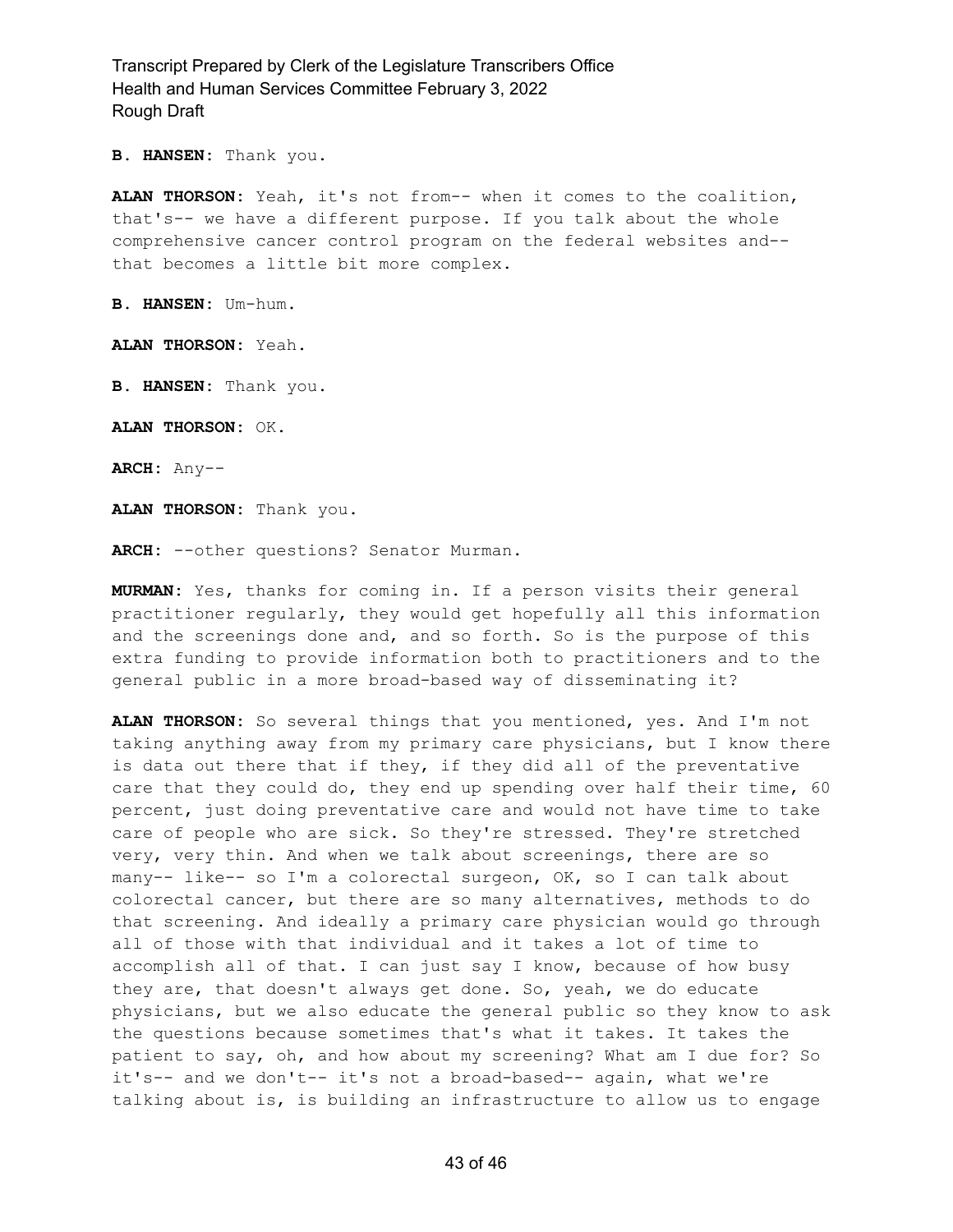**B. HANSEN:** Thank you.

**ALAN THORSON:** Yeah, it's not from-- when it comes to the coalition, that's-- we have a different purpose. If you talk about the whole comprehensive cancer control program on the federal websites and- that becomes a little bit more complex.

**B. HANSEN:** Um-hum.

**ALAN THORSON:** Yeah.

**B. HANSEN:** Thank you.

**ALAN THORSON:** OK.

**ARCH:** Any--

**ALAN THORSON:** Thank you.

**ARCH:** --other questions? Senator Murman.

**MURMAN:** Yes, thanks for coming in. If a person visits their general practitioner regularly, they would get hopefully all this information and the screenings done and, and so forth. So is the purpose of this extra funding to provide information both to practitioners and to the general public in a more broad-based way of disseminating it?

**ALAN THORSON:** So several things that you mentioned, yes. And I'm not taking anything away from my primary care physicians, but I know there is data out there that if they, if they did all of the preventative care that they could do, they end up spending over half their time, 60 percent, just doing preventative care and would not have time to take care of people who are sick. So they're stressed. They're stretched very, very thin. And when we talk about screenings, there are so many-- like-- so I'm a colorectal surgeon, OK, so I can talk about colorectal cancer, but there are so many alternatives, methods to do that screening. And ideally a primary care physician would go through all of those with that individual and it takes a lot of time to accomplish all of that. I can just say I know, because of how busy they are, that doesn't always get done. So, yeah, we do educate physicians, but we also educate the general public so they know to ask the questions because sometimes that's what it takes. It takes the patient to say, oh, and how about my screening? What am I due for? So it's-- and we don't-- it's not a broad-based-- again, what we're talking about is, is building an infrastructure to allow us to engage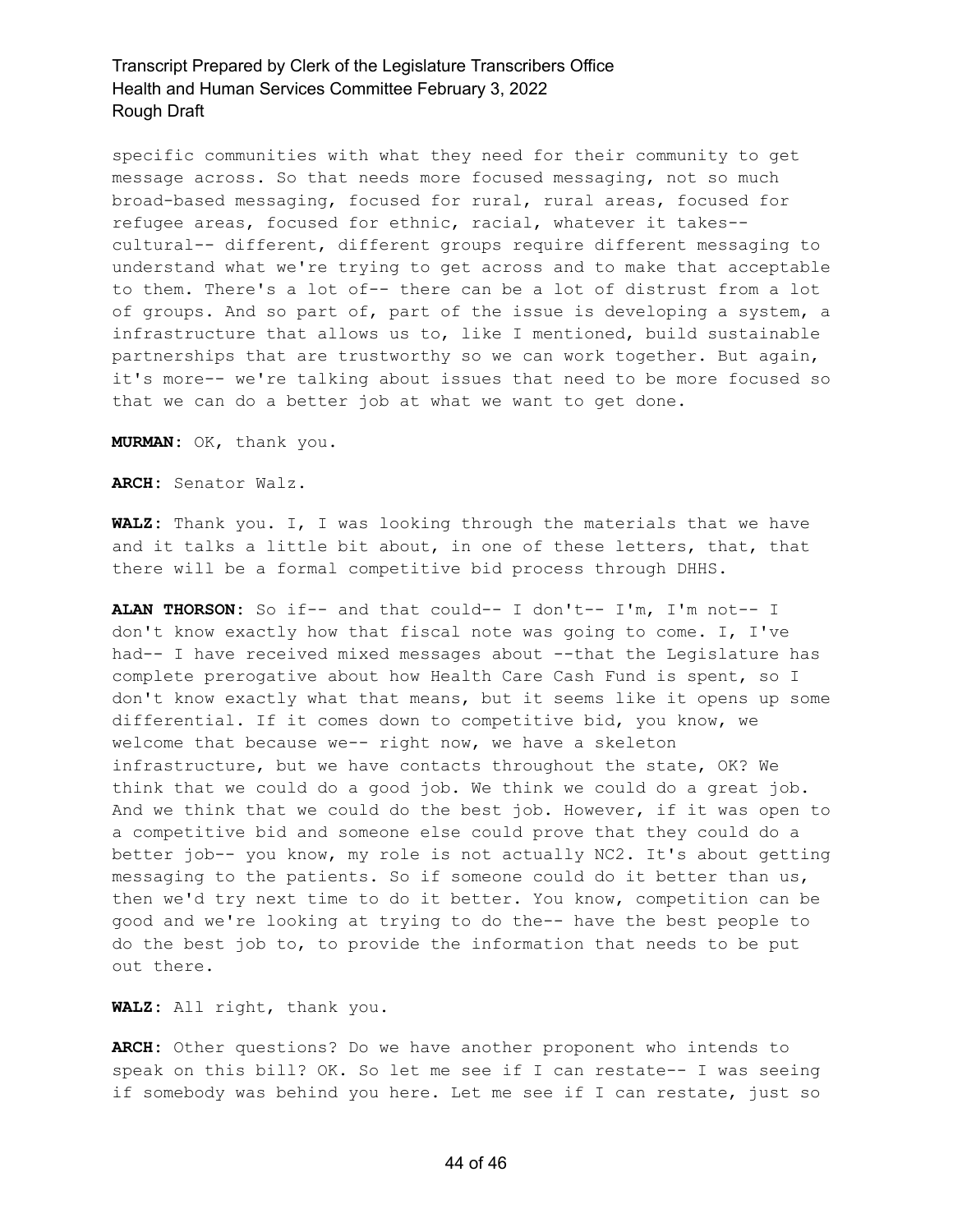specific communities with what they need for their community to get message across. So that needs more focused messaging, not so much broad-based messaging, focused for rural, rural areas, focused for refugee areas, focused for ethnic, racial, whatever it takes- cultural-- different, different groups require different messaging to understand what we're trying to get across and to make that acceptable to them. There's a lot of-- there can be a lot of distrust from a lot of groups. And so part of, part of the issue is developing a system, a infrastructure that allows us to, like I mentioned, build sustainable partnerships that are trustworthy so we can work together. But again, it's more-- we're talking about issues that need to be more focused so that we can do a better job at what we want to get done.

**MURMAN:** OK, thank you.

**ARCH:** Senator Walz.

**WALZ:** Thank you. I, I was looking through the materials that we have and it talks a little bit about, in one of these letters, that, that there will be a formal competitive bid process through DHHS.

**ALAN THORSON:** So if-- and that could-- I don't-- I'm, I'm not-- I don't know exactly how that fiscal note was going to come. I, I've had-- I have received mixed messages about --that the Legislature has complete prerogative about how Health Care Cash Fund is spent, so I don't know exactly what that means, but it seems like it opens up some differential. If it comes down to competitive bid, you know, we welcome that because we-- right now, we have a skeleton infrastructure, but we have contacts throughout the state, OK? We think that we could do a good job. We think we could do a great job. And we think that we could do the best job. However, if it was open to a competitive bid and someone else could prove that they could do a better job-- you know, my role is not actually NC2. It's about getting messaging to the patients. So if someone could do it better than us, then we'd try next time to do it better. You know, competition can be good and we're looking at trying to do the-- have the best people to do the best job to, to provide the information that needs to be put out there.

**WALZ:** All right, thank you.

**ARCH:** Other questions? Do we have another proponent who intends to speak on this bill? OK. So let me see if I can restate-- I was seeing if somebody was behind you here. Let me see if I can restate, just so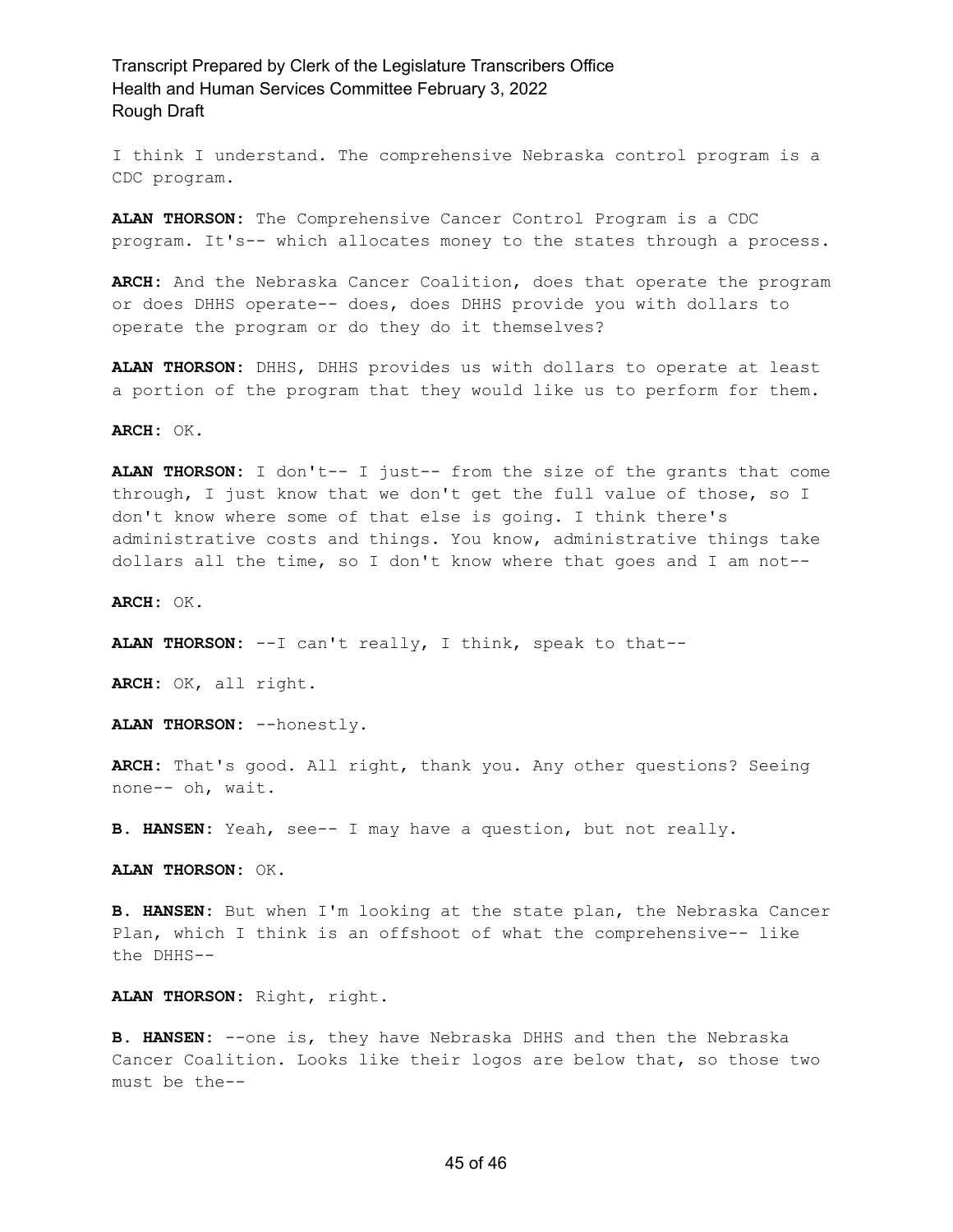I think I understand. The comprehensive Nebraska control program is a CDC program.

**ALAN THORSON:** The Comprehensive Cancer Control Program is a CDC program. It's-- which allocates money to the states through a process.

**ARCH:** And the Nebraska Cancer Coalition, does that operate the program or does DHHS operate-- does, does DHHS provide you with dollars to operate the program or do they do it themselves?

**ALAN THORSON:** DHHS, DHHS provides us with dollars to operate at least a portion of the program that they would like us to perform for them.

**ARCH:** OK.

**ALAN THORSON:** I don't-- I just-- from the size of the grants that come through, I just know that we don't get the full value of those, so I don't know where some of that else is going. I think there's administrative costs and things. You know, administrative things take dollars all the time, so I don't know where that goes and I am not--

**ARCH:** OK.

**ALAN THORSON:** --I can't really, I think, speak to that--

**ARCH:** OK, all right.

**ALAN THORSON:** --honestly.

**ARCH:** That's good. All right, thank you. Any other questions? Seeing none-- oh, wait.

**B. HANSEN:** Yeah, see-- I may have a question, but not really.

**ALAN THORSON:** OK.

**B. HANSEN:** But when I'm looking at the state plan, the Nebraska Cancer Plan, which I think is an offshoot of what the comprehensive-- like the DHHS--

**ALAN THORSON:** Right, right.

**B. HANSEN:** --one is, they have Nebraska DHHS and then the Nebraska Cancer Coalition. Looks like their logos are below that, so those two must be the--